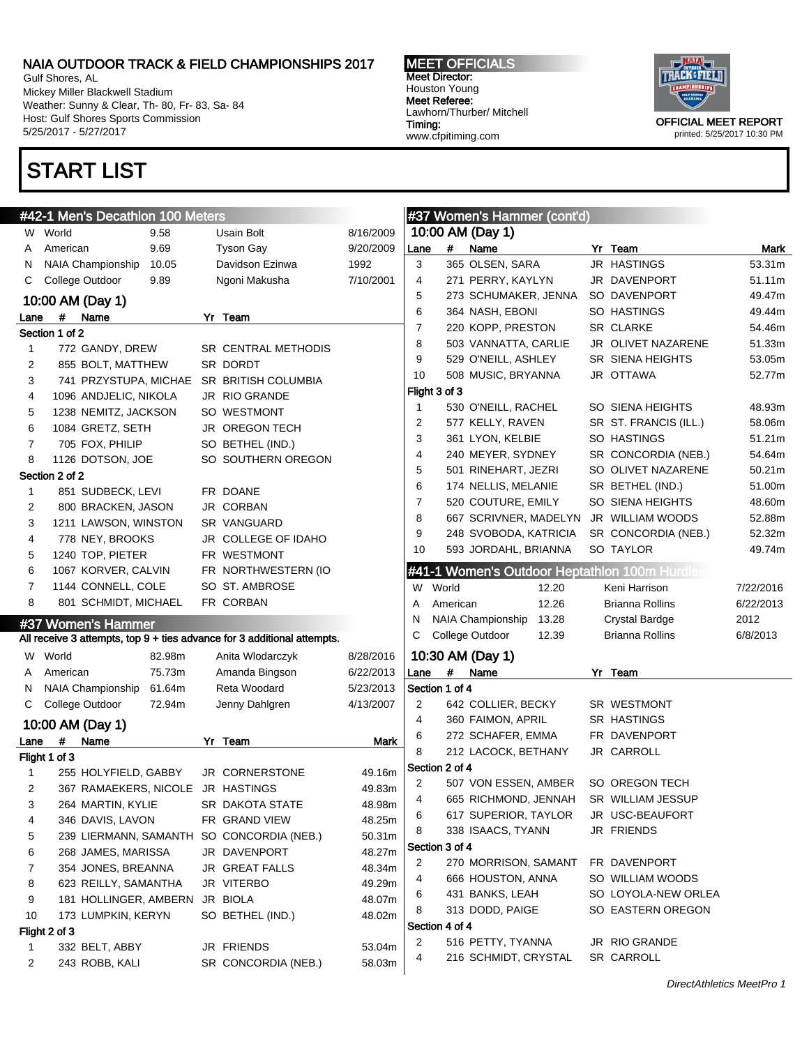Gulf Shores, AL Mickey Miller Blackwell Stadium Weather: Sunny & Clear, Th- 80, Fr- 83, Sa- 84 Host: Gulf Shores Sports Commission 5/25/2017 - 5/27/2017

## START LIST

#### MEET OFFICIALS Meet Director: Houston Young Meet Referee: Lawhorn/Thurber/ Mitchell Timing: www.cfpitiming.com



|              | #42-1 Men's Decathlon 100 Meters  |        |                                                                         |           |                |                | #37 Women's Hammer (cont'd)                   |                        |           |
|--------------|-----------------------------------|--------|-------------------------------------------------------------------------|-----------|----------------|----------------|-----------------------------------------------|------------------------|-----------|
|              | W World                           | 9.58   | Usain Bolt                                                              | 8/16/2009 |                |                | 10:00 AM (Day 1)                              |                        |           |
| A            | American                          | 9.69   | <b>Tyson Gay</b>                                                        | 9/20/2009 | Lane           | #              | Name                                          | Yr Team                | Mark      |
| N            | NAIA Championship                 | 10.05  | Davidson Ezinwa                                                         | 1992      | 3              |                | 365 OLSEN, SARA                               | JR HASTINGS            | 53.31m    |
| C            | College Outdoor                   | 9.89   | Ngoni Makusha                                                           | 7/10/2001 | 4              |                | 271 PERRY, KAYLYN                             | JR DAVENPORT           | 51.11m    |
|              | 10:00 AM (Day 1)                  |        |                                                                         |           | 5              |                | 273 SCHUMAKER, JENNA                          | SO DAVENPORT           | 49.47m    |
| Lane         | # Name                            |        | Yr Team                                                                 |           | 6              |                | 364 NASH, EBONI                               | SO HASTINGS            | 49.44m    |
|              | Section 1 of 2                    |        |                                                                         |           | $\overline{7}$ |                | 220 KOPP, PRESTON                             | <b>SR CLARKE</b>       | 54.46m    |
| 1            | 772 GANDY, DREW                   |        | SR CENTRAL METHODIS                                                     |           | 8              |                | 503 VANNATTA, CARLIE                          | JR OLIVET NAZARENE     | 51.33m    |
| 2            | 855 BOLT, MATTHEW                 |        | SR DORDT                                                                |           | 9              |                | 529 O'NEILL, ASHLEY                           | SR SIENA HEIGHTS       | 53.05m    |
| 3            | 741 PRZYSTUPA, MICHAE             |        | SR BRITISH COLUMBIA                                                     |           | 10             |                | 508 MUSIC, BRYANNA                            | JR OTTAWA              | 52.77m    |
| 4            | 1096 ANDJELIC, NIKOLA             |        | JR RIO GRANDE                                                           |           |                | Flight 3 of 3  |                                               |                        |           |
| 5            | 1238 NEMITZ, JACKSON              |        | SO WESTMONT                                                             |           | $\mathbf{1}$   |                | 530 O'NEILL, RACHEL                           | SO SIENA HEIGHTS       | 48.93m    |
| 6            | 1084 GRETZ, SETH                  |        | JR OREGON TECH                                                          |           | 2              |                | 577 KELLY, RAVEN                              | SR ST. FRANCIS (ILL.)  | 58.06m    |
| 7            | 705 FOX, PHILIP                   |        | SO BETHEL (IND.)                                                        |           | 3              |                | 361 LYON, KELBIE                              | SO HASTINGS            | 51.21m    |
| 8            | 1126 DOTSON, JOE                  |        | SO SOUTHERN OREGON                                                      |           | 4              |                | 240 MEYER, SYDNEY                             | SR CONCORDIA (NEB.)    | 54.64m    |
|              | Section 2 of 2                    |        |                                                                         |           | 5              |                | 501 RINEHART, JEZRI                           | SO OLIVET NAZARENE     | 50.21m    |
| 1            | 851 SUDBECK, LEVI                 |        | FR DOANE                                                                |           | 6              |                | 174 NELLIS, MELANIE                           | SR BETHEL (IND.)       | 51.00m    |
| 2            | 800 BRACKEN, JASON                |        | JR CORBAN                                                               |           | $\overline{7}$ |                | 520 COUTURE, EMILY                            | SO SIENA HEIGHTS       | 48.60m    |
| 3            | 1211 LAWSON, WINSTON              |        | SR VANGUARD                                                             |           | 8              |                | 667 SCRIVNER, MADELYN                         | JR WILLIAM WOODS       | 52.88m    |
| 4            | 778 NEY, BROOKS                   |        | JR COLLEGE OF IDAHO                                                     |           | 9              |                | 248 SVOBODA, KATRICIA                         | SR CONCORDIA (NEB.)    | 52.32m    |
| 5            | 1240 TOP, PIETER                  |        | FR WESTMONT                                                             |           | 10             |                | 593 JORDAHL, BRIANNA                          | SO TAYLOR              | 49.74m    |
| 6            | 1067 KORVER, CALVIN               |        | FR NORTHWESTERN (IO                                                     |           |                |                | #41-1 Women's Outdoor Heptathlon 100m Hurdles |                        |           |
| 7            | 1144 CONNELL, COLE                |        | SO ST. AMBROSE                                                          |           |                | W World        | 12.20                                         | Keni Harrison          | 7/22/2016 |
| 8            | 801 SCHMIDT, MICHAEL              |        | FR CORBAN                                                               |           | Α              | American       | 12.26                                         | <b>Brianna Rollins</b> | 6/22/2013 |
|              | #37 Women's Hammer                |        |                                                                         |           | N              |                | NAIA Championship<br>13.28                    | <b>Crystal Bardge</b>  | 2012      |
|              |                                   |        | All receive 3 attempts, top 9 + ties advance for 3 additional attempts. |           | C              |                | College Outdoor<br>12.39                      | <b>Brianna Rollins</b> | 6/8/2013  |
| W            | World                             | 82.98m | Anita Wlodarczyk                                                        | 8/28/2016 |                |                | 10:30 AM (Day 1)                              |                        |           |
| A            | American                          | 75.73m | Amanda Bingson                                                          | 6/22/2013 | Lane           | #              | Name                                          | Yr Team                |           |
| N            | <b>NAIA Championship</b>          | 61.64m | Reta Woodard                                                            | 5/23/2013 |                | Section 1 of 4 |                                               |                        |           |
| C            | College Outdoor                   | 72.94m | Jenny Dahlgren                                                          | 4/13/2007 | 2              |                | 642 COLLIER, BECKY                            | SR WESTMONT            |           |
|              |                                   |        |                                                                         |           | 4              |                | 360 FAIMON, APRIL                             | SR HASTINGS            |           |
|              | 10:00 AM (Day 1)                  |        |                                                                         |           | 6              |                | 272 SCHAFER, EMMA                             | FR DAVENPORT           |           |
| Lane         | $\#$<br>Name                      |        | Yr Team                                                                 | Mark      | 8              |                | 212 LACOCK, BETHANY                           | JR CARROLL             |           |
|              | Flight 1 of 3                     |        |                                                                         |           |                | Section 2 of 4 |                                               |                        |           |
| $\mathbf{1}$ | 255 HOLYFIELD, GABBY              |        | JR CORNERSTONE                                                          | 49.16m    | 2              |                | 507 VON ESSEN, AMBER                          | SO OREGON TECH         |           |
| 2            | 367 RAMAEKERS, NICOLE JR HASTINGS |        |                                                                         | 49.83m    | 4              |                | 665 RICHMOND, JENNAH                          | SR WILLIAM JESSUP      |           |
| 3            | 264 MARTIN, KYLIE                 |        | SR DAKOTA STATE                                                         | 48.98m    | 6              |                | 617 SUPERIOR, TAYLOR                          | JR USC-BEAUFORT        |           |
| 4            | 346 DAVIS, LAVON                  |        | FR GRAND VIEW                                                           | 48.25m    | 8              |                | 338 ISAACS, TYANN                             | JR FRIENDS             |           |
| 5            | 239 LIERMANN, SAMANTH             |        | SO CONCORDIA (NEB.)                                                     | 50.31m    |                | Section 3 of 4 |                                               |                        |           |
| 6            | 268 JAMES, MARISSA                |        | JR DAVENPORT                                                            | 48.27m    | 2              |                | 270 MORRISON, SAMANT                          | FR DAVENPORT           |           |
| 7            | 354 JONES, BREANNA                |        | <b>JR GREAT FALLS</b>                                                   | 48.34m    | 4              |                | 666 HOUSTON, ANNA                             | SO WILLIAM WOODS       |           |
| 8            | 623 REILLY, SAMANTHA              |        | JR VITERBO                                                              | 49.29m    | 6              |                | 431 BANKS, LEAH                               | SO LOYOLA-NEW ORLEA    |           |
| 9            | 181 HOLLINGER, AMBERN             |        | JR BIOLA                                                                | 48.07m    | 8              |                | 313 DODD, PAIGE                               | SO EASTERN OREGON      |           |
| 10           | 173 LUMPKIN, KERYN                |        | SO BETHEL (IND.)                                                        | 48.02m    |                | Section 4 of 4 |                                               |                        |           |
|              | Flight 2 of 3                     |        |                                                                         |           | 2              |                | 516 PETTY, TYANNA                             | JR RIO GRANDE          |           |
| 1            | 332 BELT, ABBY                    |        | JR FRIENDS                                                              | 53.04m    | 4              |                | 216 SCHMIDT, CRYSTAL                          | SR CARROLL             |           |
| 2            | 243 ROBB, KALI                    |        | SR CONCORDIA (NEB.)                                                     | 58.03m    |                |                |                                               |                        |           |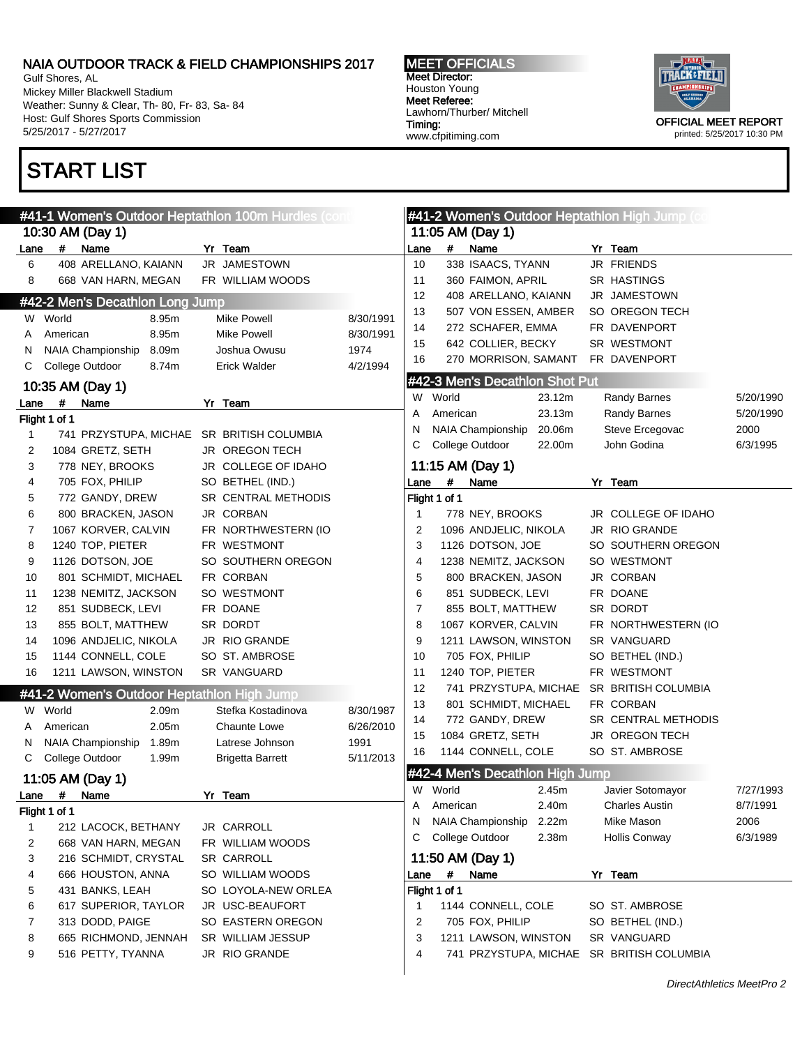Gulf Shores, AL Mickey Miller Blackwell Stadium Weather: Sunny & Clear, Th- 80, Fr- 83, Sa- 84 Host: Gulf Shores Sports Commission 5/25/2017 - 5/27/2017

# START LIST

MEET OFFICIALS Meet Director: Houston Young Meet Referee: Lawhorn/Thurber/ Mitchell Timing: www.cfpitiming.com



|      |               |                                            | #41-1 Women's Outdoor Heptathlon 100m Hurdles (cont |           |                |               |                                 |        | #41-2 Women's Outdoor Heptathlon High Jump (com |           |
|------|---------------|--------------------------------------------|-----------------------------------------------------|-----------|----------------|---------------|---------------------------------|--------|-------------------------------------------------|-----------|
|      |               | 10:30 AM (Day 1)                           |                                                     |           |                |               | 11:05 AM (Day 1)                |        |                                                 |           |
| Lane | #             | Name                                       | Yr Team                                             |           | Lane           | #             | Name                            |        | Yr Team                                         |           |
| 6    |               | 408 ARELLANO, KAIANN                       | JR JAMESTOWN                                        |           | 10             |               | 338 ISAACS, TYANN               |        | JR FRIENDS                                      |           |
| 8    |               | 668 VAN HARN, MEGAN                        | FR WILLIAM WOODS                                    |           | 11             |               | 360 FAIMON, APRIL               |        | <b>SR HASTINGS</b>                              |           |
|      |               | #42-2 Men's Decathlon Long Jump            |                                                     |           | 12             |               | 408 ARELLANO, KAIANN            |        | JR JAMESTOWN                                    |           |
|      | W World       | 8.95m                                      | <b>Mike Powell</b>                                  | 8/30/1991 | 13             |               | 507 VON ESSEN, AMBER            |        | SO OREGON TECH                                  |           |
| Α    | American      | 8.95m                                      | <b>Mike Powell</b>                                  | 8/30/1991 | 14             |               | 272 SCHAFER, EMMA               |        | FR DAVENPORT                                    |           |
| N    |               | 8.09m<br>NAIA Championship                 | Joshua Owusu                                        | 1974      | 15             |               | 642 COLLIER, BECKY              |        | SR WESTMONT                                     |           |
| C    |               | College Outdoor<br>8.74m                   | <b>Erick Walder</b>                                 | 4/2/1994  | 16             |               | 270 MORRISON, SAMANT            |        | FR DAVENPORT                                    |           |
|      |               |                                            |                                                     |           |                |               | #42-3 Men's Decathlon Shot Put  |        |                                                 |           |
|      |               | 10:35 AM (Day 1)                           |                                                     |           | W              | World         |                                 | 23.12m | Randy Barnes                                    | 5/20/1990 |
| Lane | #             | Name                                       | Yr Team                                             |           | Α              | American      |                                 | 23.13m | Randy Barnes                                    | 5/20/1990 |
|      | Flight 1 of 1 |                                            |                                                     |           | N              |               | <b>NAIA Championship</b>        | 20.06m | Steve Ercegovac                                 | 2000      |
| 1    |               | 741 PRZYSTUPA, MICHAE                      | SR BRITISH COLUMBIA                                 |           | С              |               | College Outdoor                 | 22.00m | John Godina                                     | 6/3/1995  |
| 2    |               | 1084 GRETZ, SETH                           | <b>JR OREGON TECH</b>                               |           |                |               |                                 |        |                                                 |           |
| 3    |               | 778 NEY, BROOKS                            | JR COLLEGE OF IDAHO                                 |           |                |               | 11:15 AM (Day 1)                |        |                                                 |           |
| 4    |               | 705 FOX, PHILIP                            | SO BETHEL (IND.)                                    |           | Lane           | #             | Name                            |        | Yr Team                                         |           |
| 5    |               | 772 GANDY, DREW                            | SR CENTRAL METHODIS                                 |           |                | Flight 1 of 1 |                                 |        |                                                 |           |
| 6    |               | 800 BRACKEN, JASON                         | JR CORBAN                                           |           | $\mathbf 1$    |               | 778 NEY, BROOKS                 |        | JR COLLEGE OF IDAHO                             |           |
| 7    |               | 1067 KORVER, CALVIN                        | FR NORTHWESTERN (IO                                 |           | 2              |               | 1096 ANDJELIC, NIKOLA           |        | JR RIO GRANDE                                   |           |
| 8    |               | 1240 TOP, PIETER                           | FR WESTMONT                                         |           | 3              |               | 1126 DOTSON, JOE                |        | SO SOUTHERN OREGON                              |           |
| 9    |               | 1126 DOTSON, JOE                           | SO SOUTHERN OREGON                                  |           | 4              |               | 1238 NEMITZ, JACKSON            |        | SO WESTMONT                                     |           |
| 10   |               | 801 SCHMIDT, MICHAEL                       | FR CORBAN                                           |           | 5              |               | 800 BRACKEN, JASON              |        | JR CORBAN                                       |           |
| 11   |               | 1238 NEMITZ, JACKSON                       | SO WESTMONT                                         |           | 6              |               | 851 SUDBECK, LEVI               |        | FR DOANE                                        |           |
| 12   |               | 851 SUDBECK, LEVI                          | FR DOANE                                            |           | $\overline{7}$ |               | 855 BOLT, MATTHEW               |        | SR DORDT                                        |           |
| 13   |               | 855 BOLT, MATTHEW                          | SR DORDT                                            |           | 8              |               | 1067 KORVER, CALVIN             |        | FR NORTHWESTERN (IO                             |           |
| 14   |               | 1096 ANDJELIC, NIKOLA                      | JR RIO GRANDE                                       |           | 9              |               | 1211 LAWSON, WINSTON            |        | SR VANGUARD                                     |           |
| 15   |               | 1144 CONNELL, COLE                         | SO ST. AMBROSE                                      |           | 10             |               | 705 FOX, PHILIP                 |        | SO BETHEL (IND.)                                |           |
| 16   |               | 1211 LAWSON, WINSTON                       | SR VANGUARD                                         |           | 11             |               | 1240 TOP, PIETER                |        | FR WESTMONT                                     |           |
|      |               | #41-2 Women's Outdoor Heptathlon High Jump |                                                     |           | 12             |               | 741 PRZYSTUPA, MICHAE           |        | SR BRITISH COLUMBIA                             |           |
| W    | World         | 2.09m                                      | Stefka Kostadinova                                  | 8/30/1987 | 13             |               | 801 SCHMIDT, MICHAEL            |        | FR CORBAN                                       |           |
| Α    | American      | 2.05m                                      | Chaunte Lowe                                        | 6/26/2010 | 14             |               | 772 GANDY, DREW                 |        | <b>SR CENTRAL METHODIS</b>                      |           |
| N    |               | 1.89m<br>NAIA Championship                 | Latrese Johnson                                     | 1991      | 15             |               | 1084 GRETZ, SETH                |        | JR OREGON TECH                                  |           |
| С    |               | College Outdoor<br>1.99m                   | <b>Brigetta Barrett</b>                             | 5/11/2013 | 16             |               | 1144 CONNELL, COLE              |        | SO ST. AMBROSE                                  |           |
|      |               |                                            |                                                     |           |                |               | #42-4 Men's Decathlon High Jump |        |                                                 |           |
|      |               | 11:05 AM (Day 1)                           |                                                     |           |                | W World       |                                 | 2.45m  | Javier Sotomayor                                | 7/27/1993 |
| Lane | $\pmb{\#}$    | Name                                       | Yr Team                                             |           | A              | American      |                                 | 2.40m  | <b>Charles Austin</b>                           | 8/7/1991  |
|      | Flight 1 of 1 |                                            |                                                     |           | N              |               | NAIA Championship               | 2.22m  | Mike Mason                                      | 2006      |
| 1    |               | 212 LACOCK, BETHANY                        | JR CARROLL                                          |           | С              |               | College Outdoor                 | 2.38m  | <b>Hollis Conway</b>                            | 6/3/1989  |
| 2    |               | 668 VAN HARN, MEGAN                        | FR WILLIAM WOODS                                    |           |                |               |                                 |        |                                                 |           |
| 3    |               | 216 SCHMIDT, CRYSTAL                       | SR CARROLL                                          |           |                |               | 11:50 AM (Day 1)                |        |                                                 |           |
| 4    |               | 666 HOUSTON, ANNA                          | SO WILLIAM WOODS                                    |           | Lane           | #             | Name                            |        | Yr Team                                         |           |
| 5    |               | 431 BANKS, LEAH                            | SO LOYOLA-NEW ORLEA                                 |           |                | Flight 1 of 1 |                                 |        |                                                 |           |
| 6    |               | 617 SUPERIOR, TAYLOR                       | JR USC-BEAUFORT                                     |           | 1              |               | 1144 CONNELL, COLE              |        | SO ST. AMBROSE                                  |           |
| 7    |               | 313 DODD, PAIGE                            | SO EASTERN OREGON                                   |           | 2              |               | 705 FOX, PHILIP                 |        | SO BETHEL (IND.)                                |           |
| 8    |               | 665 RICHMOND, JENNAH                       | SR WILLIAM JESSUP                                   |           | 3              |               | 1211 LAWSON, WINSTON            |        | SR VANGUARD                                     |           |
| 9    |               | 516 PETTY, TYANNA                          | JR RIO GRANDE                                       |           | 4              |               |                                 |        | 741 PRZYSTUPA, MICHAE SR BRITISH COLUMBIA       |           |
|      |               |                                            |                                                     |           |                |               |                                 |        |                                                 |           |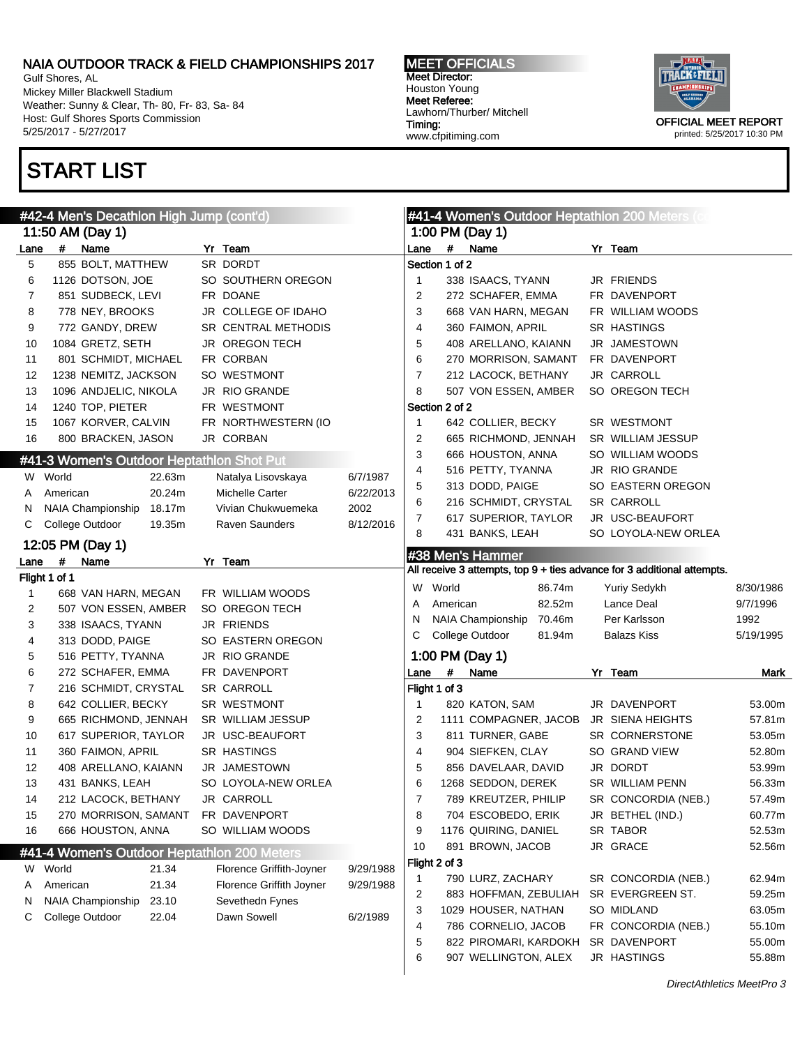Gulf Shores, AL Mickey Miller Blackwell Stadium Weather: Sunny & Clear, Th- 80, Fr- 83, Sa- 84 Host: Gulf Shores Sports Commission 5/25/2017 - 5/27/2017

# START LIST

MEET OFFICIALS Meet Director: Houston Young Meet Referee: Lawhorn/Thurber/ Mitchell Timing: www.cfpitiming.com



|      |               | #42-4 Men's Decathlon High Jump (cont'd)    |                          |           |                |                |                       |        | #41-4 Women's Outdoor Heptathlon 200 Meters (c                          |           |
|------|---------------|---------------------------------------------|--------------------------|-----------|----------------|----------------|-----------------------|--------|-------------------------------------------------------------------------|-----------|
|      |               | 11:50 AM (Day 1)                            |                          |           |                |                | 1:00 PM (Day 1)       |        |                                                                         |           |
| Lane | #             | Name                                        | Yr Team                  |           | Lane           | $\#$           | Name                  |        | Yr Team                                                                 |           |
| 5    |               | 855 BOLT, MATTHEW                           | SR DORDT                 |           |                | Section 1 of 2 |                       |        |                                                                         |           |
| 6    |               | 1126 DOTSON, JOE                            | SO SOUTHERN OREGON       |           | 1              |                | 338 ISAACS, TYANN     |        | JR FRIENDS                                                              |           |
| 7    |               | 851 SUDBECK, LEVI                           | FR DOANE                 |           | 2              |                | 272 SCHAFER, EMMA     |        | FR DAVENPORT                                                            |           |
| 8    |               | 778 NEY, BROOKS                             | JR COLLEGE OF IDAHO      |           | 3              |                | 668 VAN HARN, MEGAN   |        | FR WILLIAM WOODS                                                        |           |
| 9    |               | 772 GANDY, DREW                             | SR CENTRAL METHODIS      |           | 4              |                | 360 FAIMON, APRIL     |        | <b>SR HASTINGS</b>                                                      |           |
| 10   |               | 1084 GRETZ, SETH                            | <b>JR OREGON TECH</b>    |           | 5              |                | 408 ARELLANO, KAIANN  |        | JR JAMESTOWN                                                            |           |
| 11   |               | 801 SCHMIDT, MICHAEL                        | FR CORBAN                |           | 6              |                | 270 MORRISON, SAMANT  |        | FR DAVENPORT                                                            |           |
| 12   |               | 1238 NEMITZ, JACKSON                        | SO WESTMONT              |           | $\overline{7}$ |                | 212 LACOCK, BETHANY   |        | JR CARROLL                                                              |           |
| 13   |               | 1096 ANDJELIC, NIKOLA                       | JR RIO GRANDE            |           | 8              |                | 507 VON ESSEN, AMBER  |        | SO OREGON TECH                                                          |           |
| 14   |               | 1240 TOP, PIETER                            | FR WESTMONT              |           |                | Section 2 of 2 |                       |        |                                                                         |           |
| 15   |               | 1067 KORVER, CALVIN                         | FR NORTHWESTERN (IO      |           | 1              |                | 642 COLLIER, BECKY    |        | SR WESTMONT                                                             |           |
| 16   |               | 800 BRACKEN, JASON                          | JR CORBAN                |           | 2              |                | 665 RICHMOND, JENNAH  |        | SR WILLIAM JESSUP                                                       |           |
|      |               | #41-3 Women's Outdoor Heptathlon Shot Put   |                          |           | 3              |                | 666 HOUSTON, ANNA     |        | SO WILLIAM WOODS                                                        |           |
|      | W World       | 22.63m                                      | Natalya Lisovskaya       | 6/7/1987  | 4              |                | 516 PETTY, TYANNA     |        | JR RIO GRANDE                                                           |           |
| A    | American      | 20.24m                                      | Michelle Carter          | 6/22/2013 | 5              |                | 313 DODD, PAIGE       |        | SO EASTERN OREGON                                                       |           |
| N    |               | NAIA Championship 18.17m                    | Vivian Chukwuemeka       | 2002      | 6              |                | 216 SCHMIDT, CRYSTAL  |        | <b>SR CARROLL</b>                                                       |           |
| С    |               | College Outdoor<br>19.35m                   | Raven Saunders           | 8/12/2016 | 7              |                | 617 SUPERIOR, TAYLOR  |        | JR USC-BEAUFORT                                                         |           |
|      |               |                                             |                          |           | 8              |                | 431 BANKS, LEAH       |        | SO LOYOLA-NEW ORLEA                                                     |           |
|      |               | 12:05 PM (Day 1)                            |                          |           |                |                | #38 Men's Hammer      |        |                                                                         |           |
| Lane | #             | Name                                        | Yr Team                  |           |                |                |                       |        | All receive 3 attempts, top 9 + ties advance for 3 additional attempts. |           |
|      | Flight 1 of 1 |                                             |                          |           | W              | World          |                       | 86.74m | <b>Yuriy Sedykh</b>                                                     | 8/30/1986 |
| 1    |               | 668 VAN HARN, MEGAN                         | FR WILLIAM WOODS         |           | Α              | American       |                       | 82.52m | Lance Deal                                                              | 9/7/1996  |
| 2    |               | 507 VON ESSEN, AMBER                        | SO OREGON TECH           |           | N              |                | NAIA Championship     | 70.46m | Per Karlsson                                                            | 1992      |
| 3    |               | 338 ISAACS, TYANN                           | JR FRIENDS               |           | C              |                | College Outdoor       | 81.94m | <b>Balazs Kiss</b>                                                      | 5/19/1995 |
| 4    |               | 313 DODD, PAIGE                             | SO EASTERN OREGON        |           |                |                |                       |        |                                                                         |           |
| 5    |               | 516 PETTY, TYANNA                           | JR RIO GRANDE            |           |                |                | 1:00 PM (Day 1)       |        |                                                                         |           |
| 6    |               | 272 SCHAFER, EMMA                           | FR DAVENPORT             |           | Lane           | $\#$           | Name                  |        | Yr Team                                                                 | Mark      |
| 7    |               | 216 SCHMIDT, CRYSTAL                        | <b>SR CARROLL</b>        |           |                | Flight 1 of 3  |                       |        |                                                                         |           |
| 8    |               | 642 COLLIER, BECKY                          | SR WESTMONT              |           | $\mathbf 1$    |                | 820 KATON, SAM        |        | JR DAVENPORT                                                            | 53.00m    |
| 9    |               | 665 RICHMOND, JENNAH                        | SR WILLIAM JESSUP        |           | 2              |                | 1111 COMPAGNER, JACOB |        | JR SIENA HEIGHTS                                                        | 57.81m    |
| 10   |               | 617 SUPERIOR, TAYLOR                        | JR USC-BEAUFORT          |           | 3              |                | 811 TURNER, GABE      |        | SR CORNERSTONE                                                          | 53.05m    |
| 11   |               | 360 FAIMON, APRIL                           | SR HASTINGS              |           | 4              |                | 904 SIEFKEN, CLAY     |        | SO GRAND VIEW                                                           | 52.80m    |
| 12   |               | 408 ARELLANO, KAIANN                        | JR JAMESTOWN             |           | 5              |                | 856 DAVELAAR, DAVID   |        | JR DORDT                                                                | 53.99m    |
| 13   |               | 431 BANKS, LEAH                             | SO LOYOLA-NEW ORLEA      |           | 6              |                | 1268 SEDDON, DEREK    |        | SR WILLIAM PENN                                                         | 56.33m    |
| 14   |               | 212 LACOCK, BETHANY                         | JR CARROLL               |           | $\overline{7}$ |                | 789 KREUTZER, PHILIP  |        | SR CONCORDIA (NEB.)                                                     | 57.49m    |
| 15   |               | 270 MORRISON, SAMANT                        | FR DAVENPORT             |           | 8              |                | 704 ESCOBEDO, ERIK    |        | JR BETHEL (IND.)                                                        | 60.77m    |
| 16   |               | 666 HOUSTON, ANNA                           | SO WILLIAM WOODS         |           | 9              |                | 1176 QUIRING, DANIEL  |        | SR TABOR                                                                | 52.53m    |
|      |               | #41-4 Women's Outdoor Heptathlon 200 Meters |                          |           | 10             |                | 891 BROWN, JACOB      |        | JR GRACE                                                                | 52.56m    |
| W    | World         | 21.34                                       | Florence Griffith-Joyner | 9/29/1988 |                | Flight 2 of 3  |                       |        |                                                                         |           |
| Α    | American      | 21.34                                       | Florence Griffith Joyner | 9/29/1988 | $\mathbf 1$    |                | 790 LURZ, ZACHARY     |        | SR CONCORDIA (NEB.)                                                     | 62.94m    |
| N    |               | NAIA Championship<br>23.10                  | Sevethedn Fynes          |           | 2              |                | 883 HOFFMAN, ZEBULIAH |        | SR EVERGREEN ST.                                                        | 59.25m    |
|      |               |                                             | Dawn Sowell              | 6/2/1989  | 3              |                | 1029 HOUSER, NATHAN   |        | SO MIDLAND                                                              | 63.05m    |
|      |               |                                             |                          |           |                |                |                       |        |                                                                         |           |
| С    |               | College Outdoor<br>22.04                    |                          |           | 4              |                | 786 CORNELIO, JACOB   |        | FR CONCORDIA (NEB.)                                                     | 55.10m    |
|      |               |                                             |                          |           | 5              |                | 822 PIROMARI, KARDOKH |        | SR DAVENPORT                                                            | 55.00m    |
|      |               |                                             |                          |           | 6              |                | 907 WELLINGTON, ALEX  |        | JR HASTINGS                                                             | 55.88m    |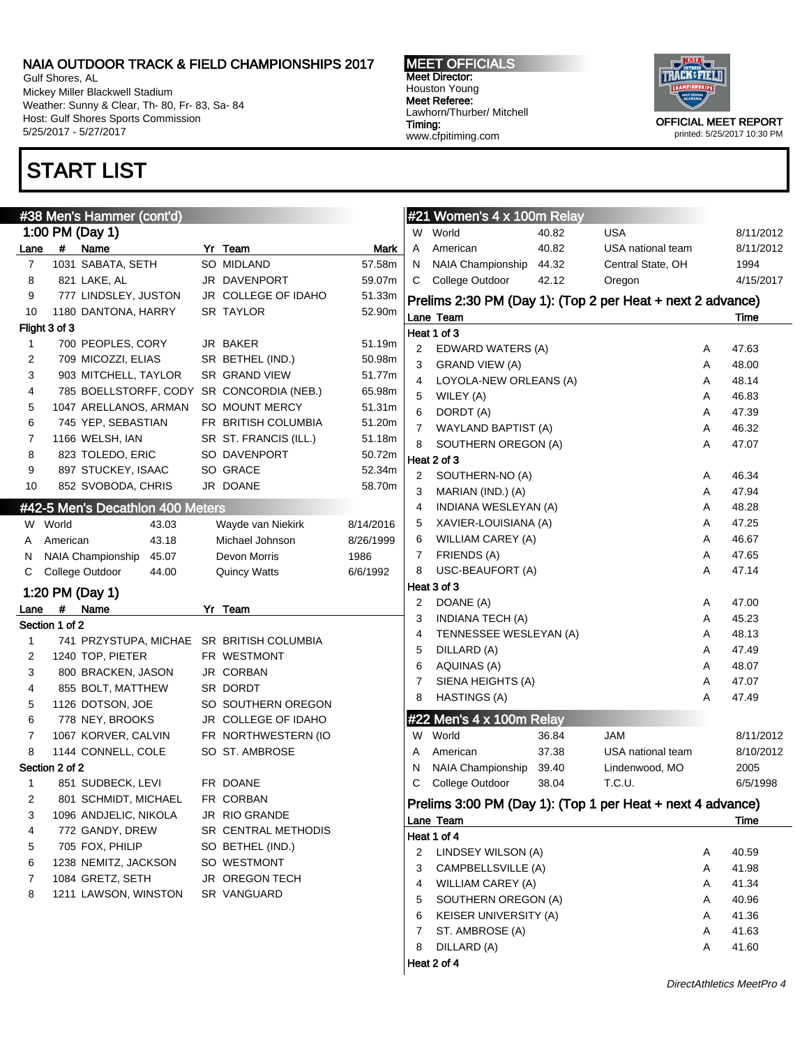Gulf Shores, AL Mickey Miller Blackwell Stadium Weather: Sunny & Clear, Th- 80, Fr- 83, Sa- 84 Host: Gulf Shores Sports Commission 5/25/2017 - 5/27/2017

Section 1 of 2

Section 2 of 2

### START LIST

Flight 3 of 3

MEET OFFICIALS Meet Director: Houston Young Meet Referee: Lawhorn/Thurber/ Mitchell Timing: www.cfpitiming.com



printed: 5/25/2017 10:30 PM

|                        |                | #38 Men's Hammer (cont'd)<br>1:00 PM (Day 1) |                       |             |                | #21 Women's 4 x 100m Relay<br>W World                      | 40.82 | <b>USA</b>        |   | 8/11/2012 |
|------------------------|----------------|----------------------------------------------|-----------------------|-------------|----------------|------------------------------------------------------------|-------|-------------------|---|-----------|
|                        | $\#$           | Name                                         | Yr Team               | <b>Mark</b> | A              | American                                                   | 40.82 | USA national team |   | 8/11/2012 |
| .ane<br>$\overline{7}$ |                | 1031 SABATA, SETH                            | SO MIDLAND            | 57.58m      | N              | NAIA Championship                                          | 44.32 | Central State, OH |   | 1994      |
| 8                      |                | 821 LAKE, AL                                 | JR DAVENPORT          | 59.07m      | C              | College Outdoor                                            | 42.12 | Oregon            |   | 4/15/2017 |
| 9                      |                | 777 LINDSLEY, JUSTON                         | JR COLLEGE OF IDAHO   | 51.33m      |                |                                                            |       |                   |   |           |
| 10                     |                | 1180 DANTONA, HARRY                          | <b>SR TAYLOR</b>      | 52.90m      |                | Prelims 2:30 PM (Day 1): (Top 2 per Heat + next 2 advance) |       |                   |   |           |
|                        | ight 3 of 3    |                                              |                       |             |                | Lane Team                                                  |       |                   |   | Time      |
| $\mathbf{1}$           |                | 700 PEOPLES, CORY                            | JR BAKER              | 51.19m      |                | Heat 1 of 3                                                |       |                   |   |           |
| $\overline{c}$         |                | 709 MICOZZI, ELIAS                           | SR BETHEL (IND.)      | 50.98m      | 2              | EDWARD WATERS (A)                                          |       |                   | Α | 47.63     |
| 3                      |                | 903 MITCHELL, TAYLOR                         | SR GRAND VIEW         | 51.77m      | 3              | <b>GRAND VIEW (A)</b>                                      |       |                   | Α | 48.00     |
| 4                      |                | 785 BOELLSTORFF, CODY SR CONCORDIA (NEB.)    |                       | 65.98m      | 4              | LOYOLA-NEW ORLEANS (A)                                     |       |                   | Α | 48.14     |
| 5                      |                | 1047 ARELLANOS, ARMAN                        | SO MOUNT MERCY        | 51.31m      | 5              | WILEY (A)                                                  |       |                   | Α | 46.83     |
| 6                      |                | 745 YEP, SEBASTIAN                           | FR BRITISH COLUMBIA   | 51.20m      | 6              | DORDT (A)                                                  |       |                   | Α | 47.39     |
| 7                      |                | 1166 WELSH, IAN                              | SR ST. FRANCIS (ILL.) | 51.18m      | 7              | WAYLAND BAPTIST (A)                                        |       |                   | Α | 46.32     |
| 8                      |                | 823 TOLEDO, ERIC                             | SO DAVENPORT          | 50.72m      | 8              | SOUTHERN OREGON (A)                                        |       |                   | Α | 47.07     |
| 9                      |                | 897 STUCKEY, ISAAC                           | SO GRACE              | 52.34m      |                | Heat 2 of 3                                                |       |                   |   |           |
| 10                     |                | 852 SVOBODA, CHRIS                           | JR DOANE              | 58.70m      | 2              | SOUTHERN-NO (A)                                            |       |                   | Α | 46.34     |
|                        |                |                                              |                       |             | 3              | MARIAN (IND.) (A)                                          |       |                   | Α | 47.94     |
|                        |                | #42-5 Men's Decathlon 400 Meters             |                       |             | 4              | INDIANA WESLEYAN (A)                                       |       |                   | Α | 48.28     |
|                        | W World        | 43.03                                        | Wayde van Niekirk     | 8/14/2016   | 5              | XAVIER-LOUISIANA (A)                                       |       |                   | Α | 47.25     |
| A                      | American       | 43.18                                        | Michael Johnson       | 8/26/1999   | 6              | <b>WILLIAM CAREY (A)</b>                                   |       |                   | Α | 46.67     |
| N                      |                | NAIA Championship<br>45.07                   | Devon Morris          | 1986        | 7              | FRIENDS (A)                                                |       |                   | Α | 47.65     |
| С                      |                | College Outdoor<br>44.00                     | <b>Quincy Watts</b>   | 6/6/1992    | 8              | USC-BEAUFORT (A)                                           |       |                   | Α | 47.14     |
|                        |                | 1:20 PM (Day 1)                              |                       |             |                | Heat 3 of 3                                                |       |                   |   |           |
| .ane                   | #              | Name                                         | Yr Team               |             | 2              | DOANE (A)                                                  |       |                   | Α | 47.00     |
|                        | Section 1 of 2 |                                              |                       |             | 3              | <b>INDIANA TECH (A)</b>                                    |       |                   | Α | 45.23     |
| $\mathbf{1}$           |                | 741 PRZYSTUPA, MICHAE SR BRITISH COLUMBIA    |                       |             | 4              | TENNESSEE WESLEYAN (A)                                     |       |                   | Α | 48.13     |
| $\overline{2}$         |                | 1240 TOP, PIETER                             | FR WESTMONT           |             | 5              | DILLARD (A)                                                |       |                   | A | 47.49     |
| 3                      |                | 800 BRACKEN, JASON                           | JR CORBAN             |             | 6              | <b>AQUINAS (A)</b>                                         |       |                   | Α | 48.07     |
| 4                      |                | 855 BOLT, MATTHEW                            | SR DORDT              |             | 7              | SIENA HEIGHTS (A)                                          |       |                   | Α | 47.07     |
| 5                      |                | 1126 DOTSON, JOE                             | SO SOUTHERN OREGON    |             | 8              | <b>HASTINGS (A)</b>                                        |       |                   | Α | 47.49     |
| 6                      |                | 778 NEY, BROOKS                              | JR COLLEGE OF IDAHO   |             |                | #22 Men's 4 x 100m Relay                                   |       |                   |   |           |
| 7                      |                | 1067 KORVER, CALVIN                          | FR NORTHWESTERN (IO   |             | W              | World                                                      | 36.84 | <b>JAM</b>        |   | 8/11/2012 |
| 8                      |                | 1144 CONNELL, COLE                           | SO ST. AMBROSE        |             | A              | American                                                   | 37.38 | USA national team |   | 8/10/2012 |
|                        | Section 2 of 2 |                                              |                       |             | N              | NAIA Championship                                          | 39.40 | Lindenwood, MO    |   | 2005      |
| $\mathbf{1}$           |                | 851 SUDBECK, LEVI                            | FR DOANE              |             | C              | College Outdoor                                            | 38.04 | T.C.U.            |   | 6/5/1998  |
| 2                      |                | 801 SCHMIDT, MICHAEL                         | FR CORBAN             |             |                | Prelims 3:00 PM (Day 1): (Top 1 per Heat + next 4 advance) |       |                   |   |           |
| 3                      |                | 1096 ANDJELIC, NIKOLA                        | JR RIO GRANDE         |             |                | Lane Team                                                  |       |                   |   | Time      |
| 4                      |                | 772 GANDY, DREW                              | SR CENTRAL METHODIS   |             |                | Heat 1 of 4                                                |       |                   |   |           |
| 5                      |                | 705 FOX, PHILIP                              | SO BETHEL (IND.)      |             | 2              | LINDSEY WILSON (A)                                         |       |                   | Α | 40.59     |
| 6                      |                | 1238 NEMITZ, JACKSON                         | SO WESTMONT           |             | 3              | CAMPBELLSVILLE (A)                                         |       |                   | Α | 41.98     |
| 7                      |                | 1084 GRETZ, SETH                             | JR OREGON TECH        |             | 4              | <b>WILLIAM CAREY (A)</b>                                   |       |                   | Α | 41.34     |
| 8                      |                | 1211 LAWSON, WINSTON                         | SR VANGUARD           |             | 5              | SOUTHERN OREGON (A)                                        |       |                   | Α | 40.96     |
|                        |                |                                              |                       |             | 6              | KEISER UNIVERSITY (A)                                      |       |                   | Α | 41.36     |
|                        |                |                                              |                       |             | $\overline{7}$ | ST. AMBROSE (A)                                            |       |                   | Α | 41.63     |
|                        |                |                                              |                       |             |                |                                                            |       |                   |   |           |
|                        |                |                                              |                       |             | 8              | DILLARD (A)                                                |       |                   | Α | 41.60     |

#### DirectAthletics MeetPro 4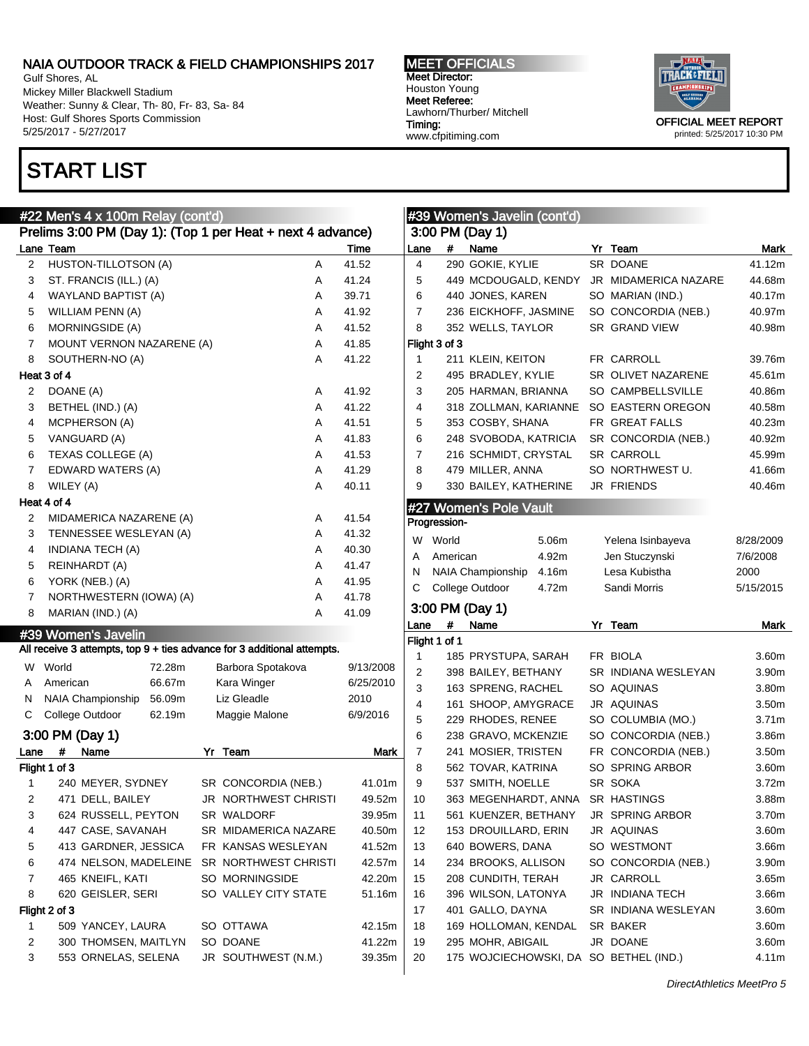Gulf Shores, AL Mickey Miller Blackwell Stadium Weather: Sunny & Clear, Th- 80, Fr- 83, Sa- 84 Host: Gulf Shores Sports Commission 5/25/2017 - 5/27/2017

# START LIST

#### MEET OFFICIALS Meet Director: Houston Young Meet Referee: Lawhorn/Thurber/ Mitchell Timing: www.cfpitiming.com



printed: 5/25/2017 10:30 PM

|                         |                                                            | #22 Men's 4 x 100m Relay (cont'd)             |        |  |                                                                         |   |                   |  |  |  |  |  |
|-------------------------|------------------------------------------------------------|-----------------------------------------------|--------|--|-------------------------------------------------------------------------|---|-------------------|--|--|--|--|--|
|                         | Prelims 3:00 PM (Day 1): (Top 1 per Heat + next 4 advance) |                                               |        |  |                                                                         |   |                   |  |  |  |  |  |
|                         | Lane Team                                                  |                                               |        |  |                                                                         |   | Time              |  |  |  |  |  |
| 2                       |                                                            | HUSTON-TILLOTSON (A)                          |        |  |                                                                         | A | 41.52             |  |  |  |  |  |
| 3                       |                                                            | ST. FRANCIS (ILL.) (A)                        |        |  |                                                                         | A | 41.24             |  |  |  |  |  |
| 4                       |                                                            | <b>WAYLAND BAPTIST (A)</b>                    |        |  |                                                                         | A | 39.71             |  |  |  |  |  |
| 5                       |                                                            | WILLIAM PENN (A)                              |        |  |                                                                         | A | 41.92             |  |  |  |  |  |
| 6                       |                                                            | MORNINGSIDE (A)                               |        |  |                                                                         | A | 41.52             |  |  |  |  |  |
| $\overline{7}$          |                                                            | MOUNT VERNON NAZARENE (A)                     |        |  |                                                                         | A | 41.85             |  |  |  |  |  |
| 8                       |                                                            | SOUTHERN-NO (A)                               |        |  |                                                                         | A | 41.22             |  |  |  |  |  |
|                         | Heat 3 of 4                                                |                                               |        |  |                                                                         |   |                   |  |  |  |  |  |
| 2                       | DOANE (A)                                                  |                                               |        |  |                                                                         | A | 41.92             |  |  |  |  |  |
| 3                       |                                                            | BETHEL (IND.) (A)                             |        |  |                                                                         | A | 41.22             |  |  |  |  |  |
| 4                       |                                                            | MCPHERSON (A)                                 |        |  |                                                                         | A | 41.51             |  |  |  |  |  |
| 5                       |                                                            | VANGUARD (A)                                  |        |  |                                                                         | A | 41.83             |  |  |  |  |  |
| 6                       |                                                            | TEXAS COLLEGE (A)                             |        |  |                                                                         | A | 41.53             |  |  |  |  |  |
| $\overline{7}$          |                                                            | EDWARD WATERS (A)                             |        |  |                                                                         | A | 41.29             |  |  |  |  |  |
| 8                       | WILEY (A)                                                  |                                               |        |  |                                                                         | A | 40.11             |  |  |  |  |  |
|                         | Heat 4 of 4                                                |                                               |        |  |                                                                         |   |                   |  |  |  |  |  |
| 2                       |                                                            | MIDAMERICA NAZARENE (A)                       |        |  |                                                                         | A | 41.54             |  |  |  |  |  |
| 3                       |                                                            | TENNESSEE WESLEYAN (A)                        |        |  |                                                                         | A | 41.32             |  |  |  |  |  |
| 4                       |                                                            | INDIANA TECH (A)                              |        |  |                                                                         | A | 40.30             |  |  |  |  |  |
| 5                       |                                                            | REINHARDT (A)                                 |        |  |                                                                         | A | 41.47             |  |  |  |  |  |
| 6                       |                                                            | YORK (NEB.) (A)                               |        |  |                                                                         | A | 41.95             |  |  |  |  |  |
| 7                       |                                                            | NORTHWESTERN (IOWA) (A)                       |        |  |                                                                         | A | 41.78             |  |  |  |  |  |
| 8                       |                                                            | MARIAN (IND.) (A)                             |        |  |                                                                         | A | 41.09             |  |  |  |  |  |
|                         |                                                            |                                               |        |  |                                                                         |   |                   |  |  |  |  |  |
|                         |                                                            | #39 Women's Javelin                           |        |  | All receive 3 attempts, top 9 + ties advance for 3 additional attempts. |   |                   |  |  |  |  |  |
|                         | W World                                                    |                                               | 72.28m |  | Barbora Spotakova                                                       |   | 9/13/2008         |  |  |  |  |  |
| A                       | American                                                   |                                               | 66.67m |  | Kara Winger                                                             |   |                   |  |  |  |  |  |
|                         |                                                            |                                               |        |  | Liz Gleadle                                                             |   | 6/25/2010<br>2010 |  |  |  |  |  |
| С                       |                                                            | N NAIA Championship 56.09m<br>College Outdoor | 62.19m |  | Maggie Malone                                                           |   | 6/9/2016          |  |  |  |  |  |
|                         |                                                            |                                               |        |  |                                                                         |   |                   |  |  |  |  |  |
|                         |                                                            | 3:00 PM (Day 1)                               |        |  |                                                                         |   |                   |  |  |  |  |  |
| Lane                    | #                                                          | Name                                          |        |  | Yr Team                                                                 |   | <b>Mark</b>       |  |  |  |  |  |
|                         | Flight 1 of 3                                              |                                               |        |  |                                                                         |   |                   |  |  |  |  |  |
| 1                       |                                                            | 240 MEYER, SYDNEY                             |        |  | SR CONCORDIA (NEB.)                                                     |   | 41.01m            |  |  |  |  |  |
| $\overline{\mathbf{c}}$ |                                                            | 471 DELL, BAILEY                              |        |  | JR NORTHWEST CHRISTI                                                    |   | 49.52m            |  |  |  |  |  |
| 3                       |                                                            | 624 RUSSELL, PEYTON                           |        |  | SR WALDORF                                                              |   | 39.95m            |  |  |  |  |  |
| 4                       |                                                            | 447 CASE, SAVANAH                             |        |  | SR MIDAMERICA NAZARE                                                    |   | 40.50m            |  |  |  |  |  |
| 5                       |                                                            | 413 GARDNER, JESSICA                          |        |  | FR KANSAS WESLEYAN                                                      |   | 41.52m            |  |  |  |  |  |
| 6                       |                                                            | 474 NELSON, MADELEINE                         |        |  | SR NORTHWEST CHRISTI                                                    |   | 42.57m            |  |  |  |  |  |
| 7                       |                                                            | 465 KNEIFL, KATI                              |        |  | SO MORNINGSIDE                                                          |   | 42.20m            |  |  |  |  |  |
| 8                       |                                                            | 620 GEISLER, SERI                             |        |  | SO VALLEY CITY STATE                                                    |   | 51.16m            |  |  |  |  |  |
|                         | Flight 2 of 3                                              |                                               |        |  |                                                                         |   |                   |  |  |  |  |  |
| 1                       |                                                            | 509 YANCEY, LAURA                             |        |  | SO OTTAWA                                                               |   | 42.15m            |  |  |  |  |  |
| 2                       |                                                            | 300 THOMSEN, MAITLYN                          |        |  | SO DOANE                                                                |   | 41.22m            |  |  |  |  |  |
| 3                       |                                                            | 553 ORNELAS, SELENA                           |        |  | JR SOUTHWEST (N.M.)                                                     |   | 39.35m            |  |  |  |  |  |
|                         |                                                            |                                               |        |  |                                                                         |   |                   |  |  |  |  |  |

|      |               | #39 Women's Javelin (cont'd) |       |    |                        |                   |
|------|---------------|------------------------------|-------|----|------------------------|-------------------|
|      |               | 3:00 PM (Day 1)              |       |    |                        |                   |
| Lane | #             | Name                         |       |    | Yr Team                | <b>Mark</b>       |
| 4    |               | 290 GOKIE, KYLIE             |       |    | <b>SR DOANE</b>        | 41.12m            |
| 5    |               | 449 MCDOUGALD, KENDY         |       |    | JR MIDAMERICA NAZARE   | 44.68m            |
| 6    |               | 440 JONES, KAREN             |       |    | SO MARIAN (IND.)       | 40.17m            |
| 7    |               | 236 EICKHOFF, JASMINE        |       |    | SO CONCORDIA (NEB.)    | 40.97m            |
| 8    |               | 352 WELLS, TAYLOR            |       |    | SR GRAND VIEW          | 40.98m            |
|      | Flight 3 of 3 |                              |       |    |                        |                   |
| 1    |               | 211 KLEIN, KEITON            |       |    | FR CARROLL             | 39.76m            |
| 2    |               | 495 BRADLEY, KYLIE           |       |    | SR OLIVET NAZARENE     | 45.61m            |
| 3    |               | 205 HARMAN, BRIANNA          |       |    | SO CAMPBELLSVILLE      | 40.86m            |
| 4    |               | 318 ZOLLMAN, KARIANNE        |       |    | SO EASTERN OREGON      | 40.58m            |
| 5    |               | 353 COSBY, SHANA             |       |    | FR GREAT FALLS         | 40.23m            |
| 6    |               | 248 SVOBODA, KATRICIA        |       |    | SR CONCORDIA (NEB.)    | 40.92m            |
| 7    |               | 216 SCHMIDT, CRYSTAL         |       |    | SR CARROLL             | 45.99m            |
| 8    |               | 479 MILLER, ANNA             |       |    | SO NORTHWEST U.        | 41.66m            |
| 9    |               | 330 BAILEY, KATHERINE        |       |    | JR FRIENDS             | 40.46m            |
|      |               | #27 Women's Pole Vault       |       |    |                        |                   |
|      | Progression-  |                              |       |    |                        |                   |
| W    | World         |                              | 5.06m |    | Yelena Isinbayeva      | 8/28/2009         |
| A    | American      |                              | 4.92m |    | Jen Stuczynski         | 7/6/2008          |
| N    |               | NAIA Championship            | 4.16m |    | Lesa Kubistha          | 2000              |
| С    |               | College Outdoor              | 4.72m |    | Sandi Morris           | 5/15/2015         |
|      |               | 3:00 PM (Day 1)              |       |    |                        |                   |
| Lane | #             | Name                         |       | Yr | Team                   | Mark              |
|      | Flight 1 of 1 |                              |       |    |                        |                   |
| 1    |               | 185 PRYSTUPA, SARAH          |       |    | FR BIOLA               | 3.60m             |
| 2    |               | 398 BAILEY, BETHANY          |       |    | SR INDIANA WESLEYAN    | 3.90m             |
| 3    |               | 163 SPRENG, RACHEL           |       |    | SO AQUINAS             | 3.80m             |
| 4    |               | 161 SHOOP, AMYGRACE          |       |    | JR AQUINAS             | 3.50m             |
| 5    |               | 229 RHODES, RENEE            |       |    | SO COLUMBIA (MO.)      | 3.71 <sub>m</sub> |
| 6    |               | 238 GRAVO, MCKENZIE          |       |    | SO CONCORDIA (NEB.)    | 3.86m             |
| 7    |               | 241 MOSIER, TRISTEN          |       |    | FR CONCORDIA (NEB.)    | 3.50m             |
| 8    |               | 562 TOVAR, KATRINA           |       |    | SO SPRING ARBOR        | 3.60m             |
| 9    |               | 537 SMITH, NOELLE            |       |    | SR SOKA                | 3.72m             |
| 10   |               | 363 MEGENHARDT, ANNA         |       |    | SR HASTINGS            | 3.88m             |
| 11   |               | 561 KUENZER, BETHANY         |       |    | <b>JR SPRING ARBOR</b> | 3.70m             |
| 12   |               | 153 DROUILLARD, ERIN         |       |    | JR AQUINAS             | 3.60m             |
| 13   |               | 640 BOWERS, DANA             |       |    | SO WESTMONT            | 3.66m             |
| 14   |               | 234 BROOKS, ALLISON          |       |    | SO CONCORDIA (NEB.)    | 3.90m             |
| 15   |               | 208 CUNDITH, TERAH           |       |    | JR CARROLL             | 3.65m             |
| 16   |               | 396 WILSON, LATONYA          |       |    | JR INDIANA TECH        | 3.66m             |
| 17   |               | 401 GALLO, DAYNA             |       |    | SR INDIANA WESLEYAN    | 3.60m             |

18 169 HOLLOMAN, KENDAL SR BAKER 3.60m 19 295 MOHR, ABIGAIL JR DOANE 3.60m 20 175 WOJCIECHOWSKI, DA SO BETHEL (IND.) 4.11m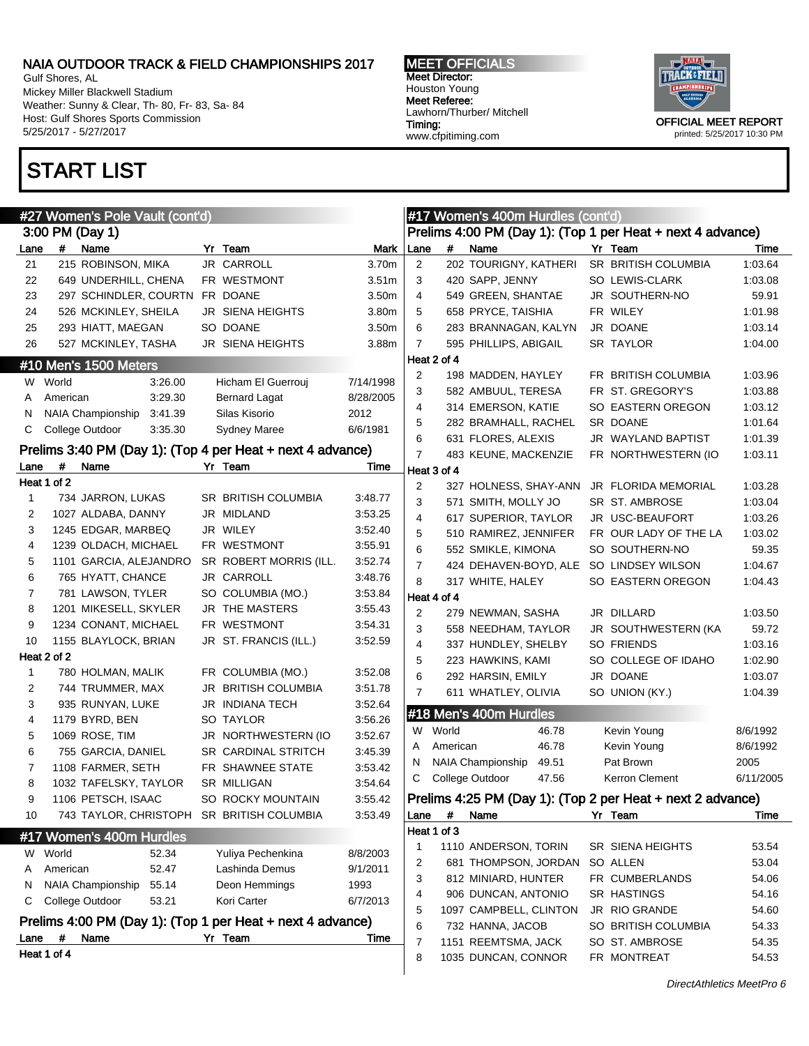Gulf Shores, AL Mickey Miller Blackwell Stadium Weather: Sunny & Clear, Th- 80, Fr- 83, Sa- 84 Host: Gulf Shores Sports Commission 5/25/2017 - 5/27/2017

# START LIST

#### MEET OFFICIALS Meet Director: Houston Young Meet Referee: Lawhorn/Thurber/ Mitchell Timing: www.cfpitiming.com



|                |             | #27 Women's Pole Vault (cont'd)           |                                                            |                    |                |             | #17 Women's 400m Hurdles (cont'd)       |                                                            |           |
|----------------|-------------|-------------------------------------------|------------------------------------------------------------|--------------------|----------------|-------------|-----------------------------------------|------------------------------------------------------------|-----------|
|                |             | 3:00 PM (Day 1)                           |                                                            |                    |                |             |                                         | Prelims 4:00 PM (Day 1): (Top 1 per Heat + next 4 advance) |           |
| Lane           | #           | Name                                      | Yr Team                                                    | Mark               | Lane           | $\#$        | Name                                    | Yr Team                                                    | Time      |
| 21             |             | 215 ROBINSON, MIKA                        | JR CARROLL                                                 | 3.70m              | $\overline{2}$ |             | 202 TOURIGNY, KATHERI                   | SR BRITISH COLUMBIA                                        | 1:03.64   |
| 22             |             | 649 UNDERHILL, CHENA                      | FR WESTMONT                                                | 3.51 <sub>m</sub>  | 3              |             | 420 SAPP, JENNY                         | SO LEWIS-CLARK                                             | 1:03.08   |
| 23             |             | 297 SCHINDLER, COURTN                     | FR DOANE                                                   | 3.50 <sub>m</sub>  | 4              |             | 549 GREEN, SHANTAE                      | JR SOUTHERN-NO                                             | 59.91     |
| 24             |             | 526 MCKINLEY, SHEILA                      | JR SIENA HEIGHTS                                           | 3.80m              | 5              |             | 658 PRYCE, TAISHIA                      | FR WILEY                                                   | 1:01.98   |
| 25             |             | 293 HIATT, MAEGAN                         | SO DOANE                                                   | 3.50 <sub>m</sub>  | 6              |             | 283 BRANNAGAN, KALYN                    | JR DOANE                                                   | 1:03.14   |
| 26             |             | 527 MCKINLEY, TASHA                       | JR SIENA HEIGHTS                                           | 3.88m              | 7              |             | 595 PHILLIPS, ABIGAIL                   | SR TAYLOR                                                  | 1:04.00   |
|                |             | #10 Men's 1500 Meters                     |                                                            |                    |                | Heat 2 of 4 |                                         |                                                            |           |
|                | W World     | 3:26.00                                   | Hicham El Guerrouj                                         | 7/14/1998          | 2              |             | 198 MADDEN, HAYLEY                      | FR BRITISH COLUMBIA                                        | 1:03.96   |
| A              | American    | 3:29.30                                   | <b>Bernard Lagat</b>                                       | 8/28/2005          | 3              |             | 582 AMBUUL, TERESA                      | FR ST. GREGORY'S                                           | 1:03.88   |
| N              |             | NAIA Championship<br>3:41.39              | Silas Kisorio                                              | 2012               | 4              |             | 314 EMERSON, KATIE                      | SO EASTERN OREGON                                          | 1:03.12   |
| С              |             | College Outdoor<br>3:35.30                | <b>Sydney Maree</b>                                        | 6/6/1981           | 5              |             | 282 BRAMHALL, RACHEL                    | SR DOANE                                                   | 1:01.64   |
|                |             |                                           |                                                            |                    | 6              |             | 631 FLORES, ALEXIS                      | JR WAYLAND BAPTIST                                         | 1:01.39   |
|                |             |                                           | Prelims 3:40 PM (Day 1): (Top 4 per Heat + next 4 advance) |                    | $\overline{7}$ |             | 483 KEUNE, MACKENZIE                    | FR NORTHWESTERN (IO                                        | 1:03.11   |
| Lane           | #           | Name                                      | Yr Team                                                    | Time               |                | Heat 3 of 4 |                                         |                                                            |           |
|                | Heat 1 of 2 | 734 JARRON, LUKAS                         | SR BRITISH COLUMBIA                                        |                    | 2              |             | 327 HOLNESS, SHAY-ANN                   | JR FLORIDA MEMORIAL                                        | 1:03.28   |
| $\mathbf{1}$   |             |                                           | JR MIDLAND                                                 | 3:48.77            | 3              |             | 571 SMITH, MOLLY JO                     | SR ST. AMBROSE                                             | 1:03.04   |
| 2<br>3         |             | 1027 ALDABA, DANNY<br>1245 EDGAR, MARBEQ  | JR WILEY                                                   | 3:53.25<br>3:52.40 | 4              |             | 617 SUPERIOR, TAYLOR                    | JR USC-BEAUFORT                                            | 1:03.26   |
| 4              |             | 1239 OLDACH, MICHAEL                      | FR WESTMONT                                                | 3:55.91            | 5              |             | 510 RAMIREZ, JENNIFER                   | FR OUR LADY OF THE LA                                      | 1:03.02   |
| 5              |             | 1101 GARCIA, ALEJANDRO                    | SR ROBERT MORRIS (ILL.                                     | 3:52.74            | 6              |             | 552 SMIKLE, KIMONA                      | SO SOUTHERN-NO                                             | 59.35     |
| 6              |             | 765 HYATT, CHANCE                         | JR CARROLL                                                 | 3:48.76            | 7              |             | 424 DEHAVEN-BOYD, ALE SO LINDSEY WILSON |                                                            | 1:04.67   |
| $\overline{7}$ |             | 781 LAWSON, TYLER                         | SO COLUMBIA (MO.)                                          | 3:53.84            | 8              |             | 317 WHITE, HALEY                        | SO EASTERN OREGON                                          | 1:04.43   |
| 8              |             | 1201 MIKESELL, SKYLER                     | JR THE MASTERS                                             | 3:55.43            |                | Heat 4 of 4 |                                         |                                                            |           |
| 9              |             | 1234 CONANT, MICHAEL                      | FR WESTMONT                                                | 3:54.31            | 2              |             | 279 NEWMAN, SASHA                       | JR DILLARD                                                 | 1:03.50   |
| 10             |             | 1155 BLAYLOCK, BRIAN                      | JR ST. FRANCIS (ILL.)                                      | 3:52.59            | 3              |             | 558 NEEDHAM, TAYLOR                     | JR SOUTHWESTERN (KA                                        | 59.72     |
|                | Heat 2 of 2 |                                           |                                                            |                    | 4              |             | 337 HUNDLEY, SHELBY                     | <b>SO FRIENDS</b>                                          | 1:03.16   |
| $\mathbf{1}$   |             | 780 HOLMAN, MALIK                         | FR COLUMBIA (MO.)                                          | 3:52.08            | 5              |             | 223 HAWKINS, KAMI                       | SO COLLEGE OF IDAHO                                        | 1:02.90   |
| 2              |             | 744 TRUMMER, MAX                          | JR BRITISH COLUMBIA                                        | 3:51.78            | 6              |             | 292 HARSIN, EMILY                       | JR DOANE                                                   | 1:03.07   |
| 3              |             | 935 RUNYAN, LUKE                          | JR INDIANA TECH                                            | 3:52.64            | $\overline{7}$ |             | 611 WHATLEY, OLIVIA                     | SO UNION (KY.)                                             | 1:04.39   |
| 4              |             | 1179 BYRD, BEN                            | SO TAYLOR                                                  | 3:56.26            |                |             | #18 Men's 400m Hurdles                  |                                                            |           |
| 5              |             | 1069 ROSE, TIM                            | JR NORTHWESTERN (IO                                        | 3:52.67            |                | W World     | 46.78                                   | Kevin Young                                                | 8/6/1992  |
| 6              |             | 755 GARCIA, DANIEL                        | SR CARDINAL STRITCH                                        | 3:45.39            | A              | American    | 46.78                                   | Kevin Young                                                | 8/6/1992  |
| $\overline{7}$ |             | 1108 FARMER, SETH                         | FR SHAWNEE STATE                                           | 3:53.42            | N              |             | NAIA Championship<br>49.51              | Pat Brown                                                  | 2005      |
| 8              |             | 1032 TAFELSKY, TAYLOR                     | <b>SR MILLIGAN</b>                                         | 3:54.64            | С              |             | College Outdoor<br>47.56                | Kerron Clement                                             | 6/11/2005 |
| 9              |             | 1106 PETSCH, ISAAC                        | SO ROCKY MOUNTAIN                                          | 3:55.42            |                |             |                                         | Prelims 4:25 PM (Day 1): (Top 2 per Heat + next 2 advance) |           |
| 10             |             | 743 TAYLOR, CHRISTOPH SR BRITISH COLUMBIA |                                                            | 3:53.49            | Lane           | #           | Name                                    | Yr Team                                                    | Time      |
|                |             |                                           |                                                            |                    |                | Heat 1 of 3 |                                         |                                                            |           |
|                |             | #17 Women's 400m Hurdles                  |                                                            |                    | 1              |             | 1110 ANDERSON, TORIN                    | SR SIENA HEIGHTS                                           | 53.54     |
| W              | World       | 52.34                                     | Yuliya Pechenkina                                          | 8/8/2003           | 2              |             | 681 THOMPSON, JORDAN                    | SO ALLEN                                                   | 53.04     |
| Α              | American    | 52.47                                     | Lashinda Demus                                             | 9/1/2011           | 3              |             | 812 MINIARD, HUNTER                     | FR CUMBERLANDS                                             | 54.06     |
| N              |             | NAIA Championship<br>55.14                | Deon Hemmings                                              | 1993               | 4              |             | 906 DUNCAN, ANTONIO                     | SR HASTINGS                                                | 54.16     |
| С              |             | College Outdoor<br>53.21                  | Kori Carter                                                | 6/7/2013           | 5              |             | 1097 CAMPBELL, CLINTON                  | JR RIO GRANDE                                              | 54.60     |
|                |             |                                           | Prelims 4:00 PM (Day 1): (Top 1 per Heat + next 4 advance) |                    | 6              |             | 732 HANNA, JACOB                        | SO BRITISH COLUMBIA                                        | 54.33     |
| Lane           | $\pmb{\#}$  | Name                                      | Yr Team                                                    | <b>Time</b>        | 7              |             | 1151 REEMTSMA, JACK                     | SO ST. AMBROSE                                             | 54.35     |
|                | Heat 1 of 4 |                                           |                                                            |                    | 8              |             | 1035 DUNCAN, CONNOR                     | FR MONTREAT                                                | 54.53     |
|                |             |                                           |                                                            |                    |                |             |                                         |                                                            |           |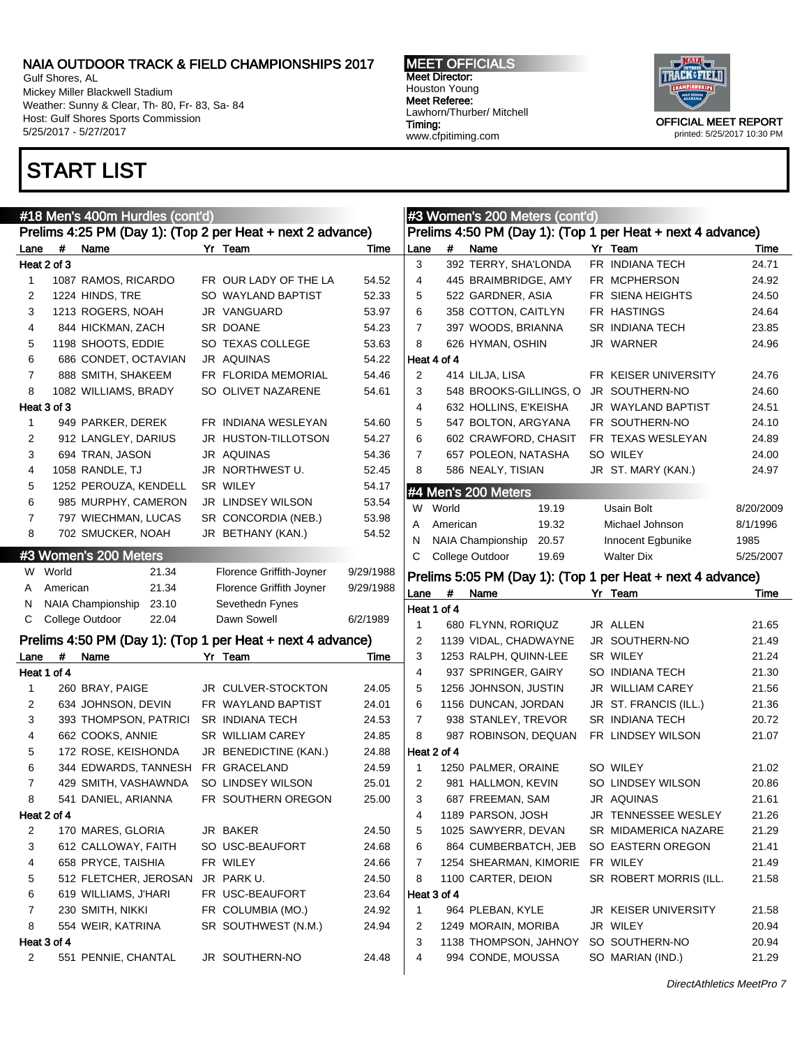Gulf Shores, AL Mickey Miller Blackwell Stadium Weather: Sunny & Clear, Th- 80, Fr- 83, Sa- 84 Host: Gulf Shores Sports Commission 5/25/2017 - 5/27/2017

# START LIST

MEET OFFICIALS Meet Director: Houston Young Meet Referee: Lawhorn/Thurber/ Mitchell Timing: www.cfpitiming.com

#3 Women's 200 Meters (cont'd)



|      |                   | #18 Men's 400m Hurdles (cont'd)   |                                                            |           |      |             | #3 Women's 200 Meters (cont'd) |                                                            |           |
|------|-------------------|-----------------------------------|------------------------------------------------------------|-----------|------|-------------|--------------------------------|------------------------------------------------------------|-----------|
|      |                   |                                   | Prelims 4:25 PM (Day 1): (Top 2 per Heat + next 2 advance) |           |      |             |                                | Prelims 4:50 PM (Day 1): (Top 1 per Heat + next 4 advance) |           |
| Lane | $\boldsymbol{\#}$ | Name                              | Yr Team                                                    | Time      | Lane | #           | Name                           | Yr Team                                                    | Time      |
|      | Heat 2 of 3       |                                   |                                                            |           | 3    |             | 392 TERRY, SHA'LONDA           | FR INDIANA TECH                                            | 24.71     |
| 1    |                   | 1087 RAMOS, RICARDO               | FR OUR LADY OF THE LA                                      | 54.52     | 4    |             | 445 BRAIMBRIDGE, AMY           | FR MCPHERSON                                               | 24.92     |
| 2    |                   | 1224 HINDS, TRE                   | SO WAYLAND BAPTIST                                         | 52.33     | 5    |             | 522 GARDNER, ASIA              | FR SIENA HEIGHTS                                           | 24.50     |
| 3    |                   | 1213 ROGERS, NOAH                 | JR VANGUARD                                                | 53.97     | 6    |             | 358 COTTON, CAITLYN            | FR HASTINGS                                                | 24.64     |
| 4    |                   | 844 HICKMAN, ZACH                 | SR DOANE                                                   | 54.23     | 7    |             | 397 WOODS, BRIANNA             | SR INDIANA TECH                                            | 23.85     |
| 5    |                   | 1198 SHOOTS, EDDIE                | SO TEXAS COLLEGE                                           | 53.63     | 8    |             | 626 HYMAN, OSHIN               | JR WARNER                                                  | 24.96     |
| 6    |                   | 686 CONDET, OCTAVIAN              | <b>JR AQUINAS</b>                                          | 54.22     |      | Heat 4 of 4 |                                |                                                            |           |
| 7    |                   | 888 SMITH, SHAKEEM                | FR FLORIDA MEMORIAL                                        | 54.46     | 2    |             | 414 LILJA, LISA                | FR KEISER UNIVERSITY                                       | 24.76     |
| 8    |                   | 1082 WILLIAMS, BRADY              | SO OLIVET NAZARENE                                         | 54.61     | 3    |             | 548 BROOKS-GILLINGS, O         | JR SOUTHERN-NO                                             | 24.60     |
|      | Heat 3 of 3       |                                   |                                                            |           | 4    |             | 632 HOLLINS, E'KEISHA          | JR WAYLAND BAPTIST                                         | 24.51     |
| 1    |                   | 949 PARKER, DEREK                 | FR INDIANA WESLEYAN                                        | 54.60     | 5    |             | 547 BOLTON, ARGYANA            | FR SOUTHERN-NO                                             | 24.10     |
| 2    |                   | 912 LANGLEY, DARIUS               | JR HUSTON-TILLOTSON                                        | 54.27     | 6    |             | 602 CRAWFORD, CHASIT           | FR TEXAS WESLEYAN                                          | 24.89     |
| 3    |                   | 694 TRAN, JASON                   | JR AQUINAS                                                 | 54.36     | 7    |             | 657 POLEON, NATASHA            | SO WILEY                                                   | 24.00     |
| 4    |                   | 1058 RANDLE, TJ                   | JR NORTHWEST U.                                            | 52.45     | 8    |             | 586 NEALY, TISIAN              | JR ST. MARY (KAN.)                                         | 24.97     |
| 5    |                   | 1252 PEROUZA, KENDELL             | SR WILEY                                                   | 54.17     |      |             | #4 Men's 200 Meters            |                                                            |           |
| 6    |                   | 985 MURPHY, CAMERON               | JR LINDSEY WILSON                                          | 53.54     | W    | World       | 19.19                          | Usain Bolt                                                 | 8/20/2009 |
| 7    |                   | 797 WIECHMAN, LUCAS               | SR CONCORDIA (NEB.)                                        | 53.98     | A    | American    | 19.32                          | Michael Johnson                                            | 8/1/1996  |
| 8    |                   | 702 SMUCKER, NOAH                 | JR BETHANY (KAN.)                                          | 54.52     | N    |             | NAIA Championship<br>20.57     | Innocent Egbunike                                          | 1985      |
|      |                   | #3 Women's 200 Meters             |                                                            |           | С    |             | College Outdoor<br>19.69       | <b>Walter Dix</b>                                          | 5/25/2007 |
|      | W World           | 21.34                             | Florence Griffith-Joyner                                   | 9/29/1988 |      |             |                                |                                                            |           |
| A    | American          | 21.34                             | Florence Griffith Joyner                                   | 9/29/1988 |      |             |                                | Prelims 5:05 PM (Day 1): (Top 1 per Heat + next 4 advance) |           |
| N    |                   | <b>NAIA Championship</b><br>23.10 | Sevethedn Fynes                                            |           | Lane | #           | Name                           | Yr Team                                                    | Time      |
| C    |                   | College Outdoor<br>22.04          | Dawn Sowell                                                | 6/2/1989  |      | Heat 1 of 4 |                                |                                                            |           |
|      |                   |                                   |                                                            |           | 1    |             | 680 FLYNN, RORIQUZ             | JR ALLEN                                                   | 21.65     |
|      |                   |                                   | Prelims 4:50 PM (Day 1): (Top 1 per Heat + next 4 advance) |           | 2    |             | 1139 VIDAL, CHADWAYNE          | JR SOUTHERN-NO                                             | 21.49     |
| Lane | #                 | Name                              | Yr Team                                                    | Time      | 3    |             | 1253 RALPH, QUINN-LEE          | SR WILEY                                                   | 21.24     |
|      | Heat 1 of 4       |                                   |                                                            |           | 4    |             | 937 SPRINGER, GAIRY            | SO INDIANA TECH                                            | 21.30     |
| 1    |                   | 260 BRAY, PAIGE                   | JR CULVER-STOCKTON                                         | 24.05     | 5    |             | 1256 JOHNSON, JUSTIN           | JR WILLIAM CAREY                                           | 21.56     |
| 2    |                   | 634 JOHNSON, DEVIN                | FR WAYLAND BAPTIST                                         | 24.01     | 6    |             | 1156 DUNCAN, JORDAN            | JR ST. FRANCIS (ILL.)                                      | 21.36     |
| 3    |                   | 393 THOMPSON, PATRICI             | SR INDIANA TECH                                            | 24.53     | 7    |             | 938 STANLEY, TREVOR            | SR INDIANA TECH                                            | 20.72     |
| 4    |                   | 662 COOKS, ANNIE                  | <b>SR WILLIAM CAREY</b>                                    | 24.85     | 8    |             | 987 ROBINSON, DEQUAN           | FR LINDSEY WILSON                                          | 21.07     |
| 5    |                   | 172 ROSE, KEISHONDA               | JR BENEDICTINE (KAN.)                                      | 24.88     |      | Heat 2 of 4 |                                |                                                            |           |
| 6    |                   | 344 EDWARDS, TANNESH              | FR GRACELAND                                               | 24.59     | 1    |             | 1250 PALMER, ORAINE            | SO WILEY                                                   | 21.02     |
| 7    |                   | 429 SMITH, VASHAWNDA              | SO LINDSEY WILSON                                          | 25.01     | 2    |             | 981 HALLMON, KEVIN             | SO LINDSEY WILSON                                          | 20.86     |
| 8    |                   | 541 DANIEL, ARIANNA               | FR SOUTHERN OREGON                                         | 25.00     | 3    |             | 687 FREEMAN, SAM               | JR AQUINAS                                                 | 21.61     |
|      | Heat 2 of 4       |                                   |                                                            |           | 4    |             | 1189 PARSON, JOSH              | JR TENNESSEE WESLEY                                        | 21.26     |
| 2    |                   | 170 MARES, GLORIA                 | JR BAKER                                                   | 24.50     | 5    |             | 1025 SAWYERR, DEVAN            | SR MIDAMERICA NAZARE                                       | 21.29     |
| 3    |                   | 612 CALLOWAY, FAITH               | SO USC-BEAUFORT                                            | 24.68     | 6    |             | 864 CUMBERBATCH, JEB           | SO EASTERN OREGON                                          | 21.41     |
| 4    |                   | 658 PRYCE, TAISHIA                | FR WILEY                                                   | 24.66     | 7    |             | 1254 SHEARMAN, KIMORIE         | FR WILEY                                                   | 21.49     |
| 5    |                   | 512 FLETCHER, JEROSAN             | JR PARK U.                                                 | 24.50     | 8    |             | 1100 CARTER, DEION             | SR ROBERT MORRIS (ILL.                                     | 21.58     |
| 6    |                   | 619 WILLIAMS, J'HARI              | FR USC-BEAUFORT                                            | 23.64     |      | Heat 3 of 4 |                                |                                                            |           |
| 7    |                   | 230 SMITH, NIKKI                  | FR COLUMBIA (MO.)                                          | 24.92     | 1    |             | 964 PLEBAN, KYLE               | <b>JR KEISER UNIVERSITY</b>                                | 21.58     |
| 8    |                   | 554 WEIR, KATRINA                 | SR SOUTHWEST (N.M.)                                        | 24.94     | 2    |             | 1249 MORAIN, MORIBA            | JR WILEY                                                   | 20.94     |
|      | Heat 3 of 4       |                                   |                                                            |           | 3    |             | 1138 THOMPSON, JAHNOY          | SO SOUTHERN-NO                                             | 20.94     |
| 2    |                   | 551 PENNIE, CHANTAL               | JR SOUTHERN-NO                                             | 24.48     | 4    |             | 994 CONDE, MOUSSA              | SO MARIAN (IND.)                                           | 21.29     |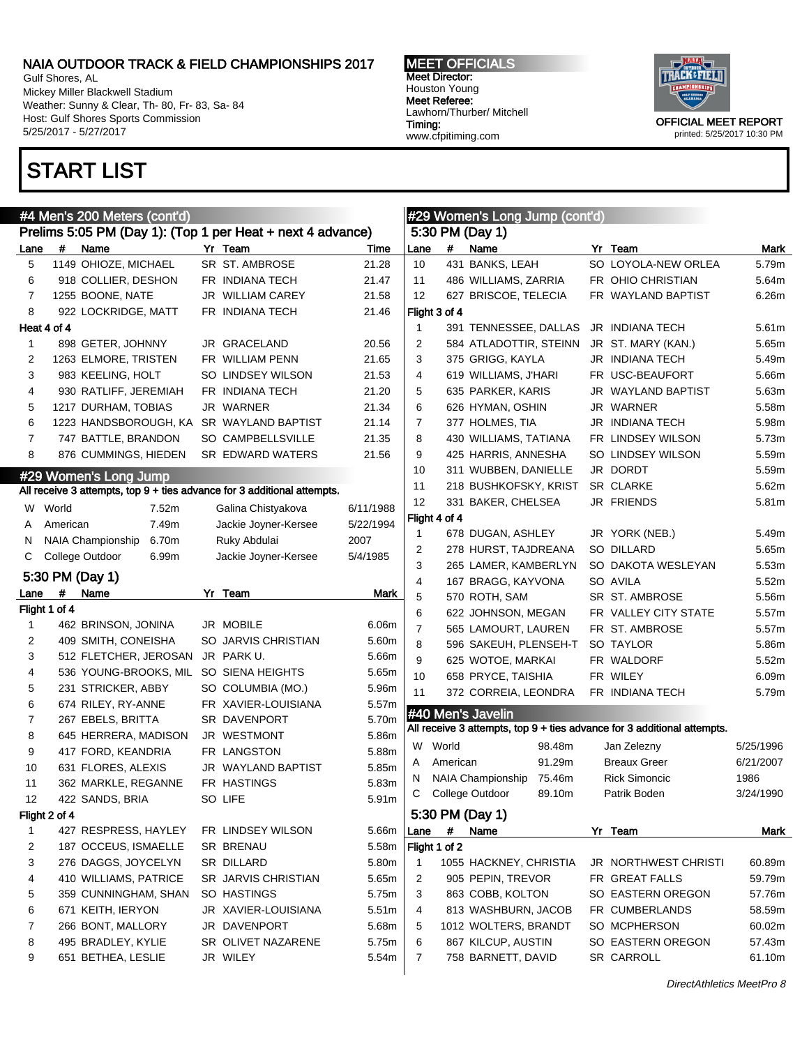Gulf Shores, AL Mickey Miller Blackwell Stadium Weather: Sunny & Clear, Th- 80, Fr- 83, Sa- 84 Host: Gulf Shores Sports Commission 5/25/2017 - 5/27/2017

# START LIST

MEET OFFICIALS Meet Director: Houston Young Meet Referee: Lawhorn/Thurber/ Mitchell Timing: www.cfpitiming.com



|                |               | #4 Men's 200 Meters (cont'd) |                                                                         |           |                |               | #29 Women's Long Jump (cont'd) |                                                                         |           |
|----------------|---------------|------------------------------|-------------------------------------------------------------------------|-----------|----------------|---------------|--------------------------------|-------------------------------------------------------------------------|-----------|
|                |               |                              | Prelims 5:05 PM (Day 1): (Top 1 per Heat + next 4 advance)              |           |                |               | 5:30 PM (Day 1)                |                                                                         |           |
| Lane           | #             | Name                         | Yr Team                                                                 | Time      | Lane           | #             | Name                           | Yr Team                                                                 | Mark      |
| 5              |               | 1149 OHIOZE, MICHAEL         | SR ST. AMBROSE                                                          | 21.28     | 10             |               | 431 BANKS, LEAH                | SO LOYOLA-NEW ORLEA                                                     | 5.79m     |
| 6              |               | 918 COLLIER, DESHON          | FR INDIANA TECH                                                         | 21.47     | 11             |               | 486 WILLIAMS, ZARRIA           | FR OHIO CHRISTIAN                                                       | 5.64m     |
| 7              |               | 1255 BOONE, NATE             | JR WILLIAM CAREY                                                        | 21.58     | 12             |               | 627 BRISCOE, TELECIA           | FR WAYLAND BAPTIST                                                      | 6.26m     |
| 8              |               | 922 LOCKRIDGE, MATT          | FR INDIANA TECH                                                         | 21.46     |                | Flight 3 of 4 |                                |                                                                         |           |
|                | Heat 4 of 4   |                              |                                                                         |           | $\mathbf 1$    |               | 391 TENNESSEE, DALLAS          | JR INDIANA TECH                                                         | 5.61m     |
| 1              |               | 898 GETER, JOHNNY            | JR GRACELAND                                                            | 20.56     | 2              |               | 584 ATLADOTTIR, STEINN         | JR ST. MARY (KAN.)                                                      | 5.65m     |
| 2              |               | 1263 ELMORE, TRISTEN         | FR WILLIAM PENN                                                         | 21.65     | 3              |               | 375 GRIGG, KAYLA               | JR INDIANA TECH                                                         | 5.49m     |
| 3              |               | 983 KEELING, HOLT            | SO LINDSEY WILSON                                                       | 21.53     | 4              |               | 619 WILLIAMS, J'HARI           | FR USC-BEAUFORT                                                         | 5.66m     |
| 4              |               | 930 RATLIFF, JEREMIAH        | FR INDIANA TECH                                                         | 21.20     | 5              |               | 635 PARKER, KARIS              | JR WAYLAND BAPTIST                                                      | 5.63m     |
| 5              |               | 1217 DURHAM, TOBIAS          | JR WARNER                                                               | 21.34     | 6              |               | 626 HYMAN, OSHIN               | JR WARNER                                                               | 5.58m     |
| 6              |               | 1223 HANDSBOROUGH, KA        | SR WAYLAND BAPTIST                                                      | 21.14     | 7              |               | 377 HOLMES, TIA                | JR INDIANA TECH                                                         | 5.98m     |
| 7              |               | 747 BATTLE, BRANDON          | SO CAMPBELLSVILLE                                                       | 21.35     | 8              |               | 430 WILLIAMS, TATIANA          | FR LINDSEY WILSON                                                       | 5.73m     |
| 8              |               | 876 CUMMINGS, HIEDEN         | SR EDWARD WATERS                                                        | 21.56     | 9              |               | 425 HARRIS, ANNESHA            | SO LINDSEY WILSON                                                       | 5.59m     |
|                |               | #29 Women's Long Jump        |                                                                         |           | 10             |               | 311 WUBBEN, DANIELLE           | JR DORDT                                                                | 5.59m     |
|                |               |                              | All receive 3 attempts, top 9 + ties advance for 3 additional attempts. |           | 11             |               | 218 BUSHKOFSKY, KRIST          | <b>SR CLARKE</b>                                                        | 5.62m     |
| W              | World         | 7.52m                        | Galina Chistyakova                                                      | 6/11/1988 | 12             |               | 331 BAKER, CHELSEA             | <b>JR FRIENDS</b>                                                       | 5.81m     |
| A              | American      | 7.49m                        | Jackie Joyner-Kersee                                                    | 5/22/1994 |                | Flight 4 of 4 |                                |                                                                         |           |
| N              |               | NAIA Championship<br>6.70m   | Ruky Abdulai                                                            | 2007      | $\mathbf 1$    |               | 678 DUGAN, ASHLEY              | JR YORK (NEB.)                                                          | 5.49m     |
| С              |               | College Outdoor<br>6.99m     | Jackie Joyner-Kersee                                                    | 5/4/1985  | 2              |               | 278 HURST, TAJDREANA           | SO DILLARD                                                              | 5.65m     |
|                |               |                              |                                                                         |           | 3              |               | 265 LAMER, KAMBERLYN           | SO DAKOTA WESLEYAN                                                      | 5.53m     |
|                |               | 5:30 PM (Day 1)              |                                                                         |           | $\overline{4}$ |               | 167 BRAGG, KAYVONA             | SO AVILA                                                                | 5.52m     |
| Lane           | #             | Name                         | Yr Team                                                                 | Mark      | 5              |               | 570 ROTH, SAM                  | SR ST. AMBROSE                                                          | 5.56m     |
|                | Flight 1 of 4 |                              |                                                                         |           | 6              |               | 622 JOHNSON, MEGAN             | FR VALLEY CITY STATE                                                    | 5.57m     |
| $\mathbf{1}$   |               | 462 BRINSON, JONINA          | JR MOBILE                                                               | 6.06m     | $\overline{7}$ |               | 565 LAMOURT, LAUREN            | FR ST. AMBROSE                                                          | 5.57m     |
| 2              |               | 409 SMITH, CONEISHA          | SO JARVIS CHRISTIAN                                                     | 5.60m     | 8              |               | 596 SAKEUH, PLENSEH-T          | SO TAYLOR                                                               | 5.86m     |
| 3              |               | 512 FLETCHER, JEROSAN        | JR PARK U.                                                              | 5.66m     | 9              |               | 625 WOTOE, MARKAI              | FR WALDORF                                                              | 5.52m     |
| 4              |               | 536 YOUNG-BROOKS, MIL        | SO SIENA HEIGHTS                                                        | 5.65m     | 10             |               | 658 PRYCE, TAISHIA             | FR WILEY                                                                | 6.09m     |
| 5              |               | 231 STRICKER, ABBY           | SO COLUMBIA (MO.)                                                       | 5.96m     | 11             |               | 372 CORREIA, LEONDRA           | FR INDIANA TECH                                                         | 5.79m     |
| 6              |               | 674 RILEY, RY-ANNE           | FR XAVIER-LOUISIANA                                                     | 5.57m     |                |               | #40 Men's Javelin              |                                                                         |           |
| $\overline{7}$ |               | 267 EBELS, BRITTA            | SR DAVENPORT                                                            | 5.70m     |                |               |                                | All receive 3 attempts, top 9 + ties advance for 3 additional attempts. |           |
| 8              |               | 645 HERRERA, MADISON         | JR WESTMONT                                                             | 5.86m     | W              | World         | 98.48m                         | Jan Zelezny                                                             | 5/25/1996 |
| 9              |               | 417 FORD, KEANDRIA           | FR LANGSTON                                                             | 5.88m     | Α              | American      | 91.29m                         | <b>Breaux Greer</b>                                                     | 6/21/2007 |
| 10             |               | 631 FLORES, ALEXIS           | JR WAYLAND BAPTIST                                                      | 5.85m     | N              |               | NAIA Championship<br>75.46m    | <b>Rick Simoncic</b>                                                    | 1986      |
| 11             |               | 362 MARKLE, REGANNE          | FR HASTINGS                                                             | 5.83m     | C              |               | College Outdoor<br>89.10m      | Patrik Boden                                                            | 3/24/1990 |
| 12             |               | 422 SANDS, BRIA              | SO LIFE                                                                 | 5.91m     |                |               |                                |                                                                         |           |
|                | Flight 2 of 4 |                              |                                                                         |           |                |               | 5:30 PM (Day 1)                |                                                                         |           |
| 1              |               | 427 RESPRESS, HAYLEY         | FR LINDSEY WILSON                                                       | 5.66m     | Lane           | #             | Name                           | Yr Team                                                                 | Mark      |
| 2              |               | 187 OCCEUS, ISMAELLE         | SR BRENAU                                                               | 5.58m     |                | Flight 1 of 2 |                                |                                                                         |           |
| 3              |               | 276 DAGGS, JOYCELYN          | SR DILLARD                                                              | 5.80m     | 1              |               | 1055 HACKNEY, CHRISTIA         | JR NORTHWEST CHRISTI                                                    | 60.89m    |
| 4              |               | 410 WILLIAMS, PATRICE        | SR JARVIS CHRISTIAN                                                     | 5.65m     | 2              |               | 905 PEPIN, TREVOR              | FR GREAT FALLS                                                          | 59.79m    |
| 5              |               | 359 CUNNINGHAM, SHAN         | SO HASTINGS                                                             | 5.75m     | 3              |               | 863 COBB, KOLTON               | SO EASTERN OREGON                                                       | 57.76m    |
| 6              |               | 671 KEITH, IERYON            | JR XAVIER-LOUISIANA                                                     | 5.51m     | 4              |               | 813 WASHBURN, JACOB            | FR CUMBERLANDS                                                          | 58.59m    |
| 7              |               | 266 BONT, MALLORY            | JR DAVENPORT                                                            | 5.68m     | 5              |               | 1012 WOLTERS, BRANDT           | SO MCPHERSON                                                            | 60.02m    |
| 8              |               | 495 BRADLEY, KYLIE           | SR OLIVET NAZARENE                                                      | 5.75m     | 6              |               | 867 KILCUP, AUSTIN             | SO EASTERN OREGON                                                       | 57.43m    |
| 9              |               | 651 BETHEA, LESLIE           | JR WILEY                                                                | 5.54m     | 7              |               | 758 BARNETT, DAVID             | <b>SR CARROLL</b>                                                       | 61.10m    |
|                |               |                              |                                                                         |           |                |               |                                |                                                                         |           |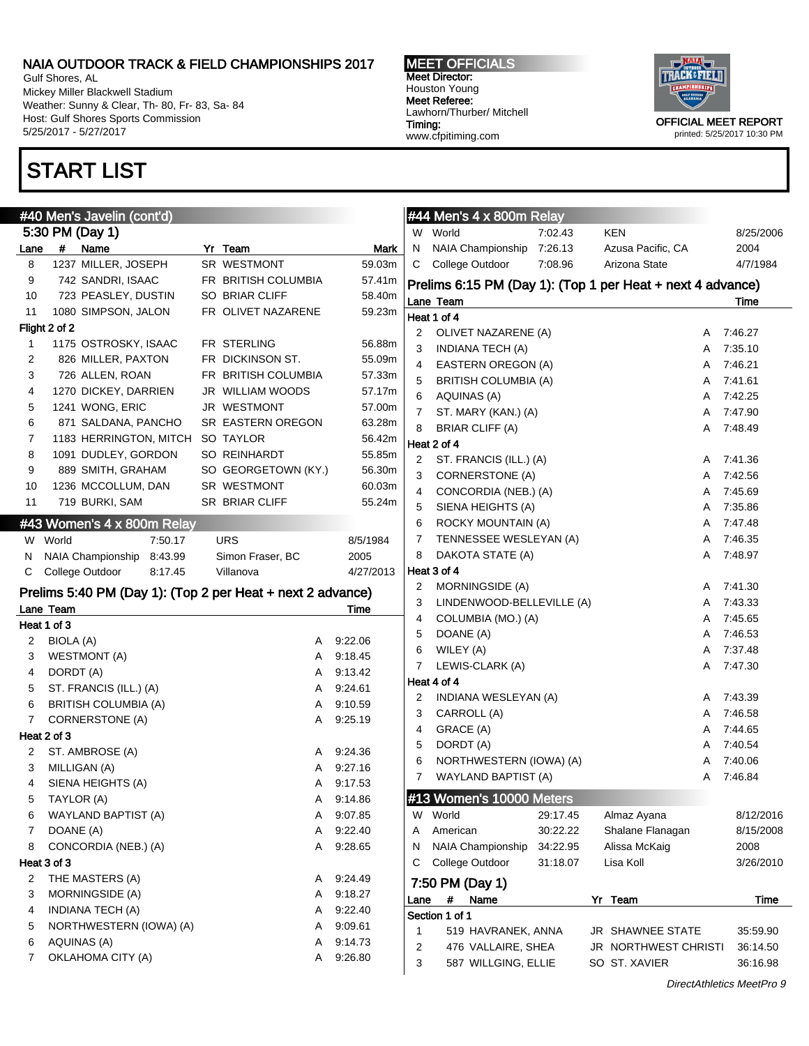Gulf Shores, AL Mickey Miller Blackwell Stadium Weather: Sunny & Clear, Th- 80, Fr- 83, Sa- 84 Host: Gulf Shores Sports Commission 5/25/2017 - 5/27/2017

# START LIST

MEET OFFICIALS Meet Director: Houston Young Meet Referee: Lawhorn/Thurber/ Mitchell Timing: www.cfpitiming.com



printed: 5/25/2017 10:30 PM

|      |               | #40 Men's Javelin (cont'd)                                 |                         |           |                | $#44$ Men's 4 x 800m Relay            |          |                                                            |   |                    |
|------|---------------|------------------------------------------------------------|-------------------------|-----------|----------------|---------------------------------------|----------|------------------------------------------------------------|---|--------------------|
|      |               | 5:30 PM (Day 1)                                            |                         |           |                | W World                               | 7:02.43  | <b>KEN</b>                                                 |   | 8/25/200           |
| Lane |               | # Name                                                     | Yr Team                 | Mark      | N              | NAIA Championship 7:26.13             |          | Azusa Pacific, CA                                          |   | 2004               |
| 8    |               | 1237 MILLER, JOSEPH                                        | SR WESTMONT             | 59.03m    | C              | College Outdoor                       | 7:08.96  | Arizona State                                              |   | 4/7/1984           |
| 9    |               | 742 SANDRI, ISAAC                                          | FR BRITISH COLUMBIA     | 57.41m    |                |                                       |          | Prelims 6:15 PM (Day 1): (Top 1 per Heat + next 4 advance) |   |                    |
| 10   |               | 723 PEASLEY, DUSTIN                                        | SO BRIAR CLIFF          | 58.40m    |                | Lane Team                             |          |                                                            |   | Time               |
| 11   |               | 1080 SIMPSON, JALON                                        | FR OLIVET NAZARENE      | 59.23m    |                | Heat 1 of 4                           |          |                                                            |   |                    |
|      | Flight 2 of 2 |                                                            |                         |           | 2              | OLIVET NAZARENE (A)                   |          |                                                            | A | 7:46.27            |
| 1    |               | 1175 OSTROSKY, ISAAC                                       | FR STERLING             | 56.88m    | 3              | <b>INDIANA TECH (A)</b>               |          |                                                            | A | 7:35.10            |
| 2    |               | 826 MILLER, PAXTON                                         | FR DICKINSON ST.        | 55.09m    | 4              | EASTERN OREGON (A)                    |          |                                                            | A | 7:46.21            |
| 3    |               | 726 ALLEN, ROAN                                            | FR BRITISH COLUMBIA     | 57.33m    | 5              | <b>BRITISH COLUMBIA (A)</b>           |          |                                                            | A | 7:41.61            |
| 4    |               | 1270 DICKEY, DARRIEN                                       | <b>JR WILLIAM WOODS</b> | 57.17m    | 6              | AQUINAS (A)                           |          |                                                            | A | 7:42.25            |
| 5    |               | 1241 WONG, ERIC                                            | JR WESTMONT             | 57.00m    | $\overline{7}$ | ST. MARY (KAN.) (A)                   |          |                                                            | A | 7:47.90            |
| 6    |               | 871 SALDANA, PANCHO                                        | SR EASTERN OREGON       | 63.28m    | 8              |                                       |          |                                                            |   | 7:48.49            |
| 7    |               | 1183 HERRINGTON, MITCH SO TAYLOR                           |                         | 56.42m    |                | <b>BRIAR CLIFF (A)</b><br>Heat 2 of 4 |          |                                                            | A |                    |
| 8    |               | 1091 DUDLEY, GORDON                                        | SO REINHARDT            | 55.85m    |                |                                       |          |                                                            |   |                    |
| 9    |               | 889 SMITH, GRAHAM                                          | SO GEORGETOWN (KY.)     | 56.30m    | 2              | ST. FRANCIS (ILL.) (A)                |          |                                                            | A | 7:41.36<br>7:42.56 |
| 10   |               | 1236 MCCOLLUM, DAN                                         | SR WESTMONT             | 60.03m    | 3              | CORNERSTONE (A)                       |          |                                                            | A |                    |
| 11   |               | 719 BURKI, SAM                                             | SR BRIAR CLIFF          | 55.24m    | 4              | CONCORDIA (NEB.) (A)                  |          |                                                            | A | 7:45.69            |
|      |               |                                                            |                         |           | 5              | SIENA HEIGHTS (A)                     |          |                                                            | Α | 7:35.86            |
|      |               | #43 Women's 4 x 800m Relay                                 |                         |           | 6              | <b>ROCKY MOUNTAIN (A)</b>             |          |                                                            | A | 7:47.48            |
| W    | World         | 7:50.17                                                    | <b>URS</b>              | 8/5/1984  | 7              | TENNESSEE WESLEYAN (A)                |          |                                                            | A | 7:46.35            |
| N    |               | NAIA Championship 8:43.99                                  | Simon Fraser, BC        | 2005      | 8              | DAKOTA STATE (A)                      |          |                                                            | A | 7:48.97            |
| С    |               | College Outdoor<br>8:17.45                                 | Villanova               | 4/27/2013 |                | Heat 3 of 4                           |          |                                                            |   |                    |
|      |               | Prelims 5:40 PM (Day 1): (Top 2 per Heat + next 2 advance) |                         |           | 2              | MORNINGSIDE (A)                       |          |                                                            | A | 7:41.30            |
|      | Lane Team     |                                                            |                         | Time      | 3              | LINDENWOOD-BELLEVILLE (A)             |          |                                                            | A | 7:43.33            |
|      | Heat 1 of 3   |                                                            |                         |           | 4              | COLUMBIA (MO.) (A)                    |          |                                                            | A | 7:45.65            |
| 2    | BIOLA (A)     |                                                            | A                       | 9:22.06   | 5              | DOANE (A)                             |          |                                                            | Α | 7:46.53            |
| 3    |               | WESTMONT (A)                                               | A                       | 9.18.45   | 6              | WILEY (A)                             |          |                                                            | Α | 7:37.48            |
| 4    | DORDT (A)     |                                                            | Α                       | 9.13.42   | 7              | LEWIS-CLARK (A)                       |          |                                                            | A | 7:47.30            |
| 5    |               | ST. FRANCIS (ILL.) (A)                                     | Α                       | 9:24.61   |                | Heat 4 of 4                           |          |                                                            |   |                    |
| 6    |               | <b>BRITISH COLUMBIA (A)</b>                                | A                       | 9.10.59   | 2              | INDIANA WESLEYAN (A)                  |          |                                                            | A | 7:43.39            |
| 7    |               | CORNERSTONE (A)                                            | Α                       | 9:25.19   | 3              | CARROLL (A)                           |          |                                                            | Α | 7:46.58            |
|      | Heat 2 of 3   |                                                            |                         |           | 4              | GRACE (A)                             |          |                                                            | Α | 7:44.65            |
| 2    |               | ST. AMBROSE (A)                                            | Α                       | 9:24.36   | 5              | DORDT (A)                             |          |                                                            | Α | 7:40.54            |
| 3    |               |                                                            | A                       | 9:27.16   | 6              | NORTHWESTERN (IOWA) (A)               |          |                                                            | A | 7:40.06            |
|      |               | MILLIGAN (A)                                               |                         |           | 7              | WAYLAND BAPTIST (A)                   |          |                                                            | A | 7:46.84            |
| 4    |               | SIENA HEIGHTS (A)                                          | A                       | 9:17.53   |                |                                       |          |                                                            |   |                    |
| 5    |               | TAYLOR (A)                                                 | A                       | 9:14.86   |                | #13 Women's 10000 Meters              |          |                                                            |   |                    |
| 6    |               | WAYLAND BAPTIST (A)                                        | A                       | 9:07.85   | W              | World                                 | 29:17.45 | Almaz Ayana                                                |   | 8/12/201           |
| 7    | DOANE (A)     |                                                            | A                       | 9:22.40   | Α              | American                              | 30:22.22 | Shalane Flanagan                                           |   | 8/15/200           |
| 8    |               | CONCORDIA (NEB.) (A)                                       | A                       | 9:28.65   | N              | NAIA Championship                     | 34:22.95 | Alissa McKaig                                              |   | 2008               |
|      | Heat 3 of 3   |                                                            |                         |           | С              | College Outdoor                       | 31:18.07 | Lisa Koll                                                  |   | 3/26/201           |
| 2    |               | THE MASTERS (A)                                            | A                       | 9:24.49   |                | 7:50 PM (Day 1)                       |          |                                                            |   |                    |
| 3    |               | MORNINGSIDE (A)                                            | Α                       | 9:18.27   | Lane           | #<br>Name                             |          | Yr Team                                                    |   | Time               |
| 4    |               | <b>INDIANA TECH (A)</b>                                    | Α                       | 9:22.40   |                | Section 1 of 1                        |          |                                                            |   |                    |
| 5    |               | NORTHWESTERN (IOWA) (A)                                    | Α                       | 9:09.61   | 1              | 519 HAVRANEK, ANNA                    |          | JR SHAWNEE STATE                                           |   | 35:59.90           |
| 6    |               | AQUINAS (A)                                                | Α                       | 9:14.73   | $\overline{c}$ | 476 VALLAIRE, SHEA                    |          | JR NORTHWEST CHRISTI                                       |   | 36:14.50           |
| 7    |               | OKLAHOMA CITY (A)                                          | A                       | 9:26.80   | 3              | 587 WILLGING, ELLIE                   |          | SO ST. XAVIER                                              |   | 36:16.98           |
|      |               |                                                            |                         |           |                |                                       |          |                                                            |   |                    |

|      | #44 Men's 4 x 800m Relay                                   |          |    |                      |   |           |
|------|------------------------------------------------------------|----------|----|----------------------|---|-----------|
|      | W World                                                    | 7:02.43  |    | KEN                  |   | 8/25/2006 |
| N    | NAIA Championship 7:26.13                                  |          |    | Azusa Pacific, CA    |   | 2004      |
| С    | College Outdoor                                            | 7:08.96  |    | Arizona State        |   | 4/7/1984  |
|      | Prelims 6:15 PM (Day 1): (Top 1 per Heat + next 4 advance) |          |    |                      |   |           |
|      | Lane Team                                                  |          |    |                      |   | Time      |
|      | Heat 1 of 4                                                |          |    |                      |   |           |
| 2    | OLIVET NAZARENE (A)                                        |          |    |                      | A | 7:46.27   |
| 3    | INDIANA TECH (A)                                           |          |    |                      | A | 7:35.10   |
| 4    | EASTERN OREGON (A)                                         |          |    |                      | A | 7:46.21   |
| 5    | <b>BRITISH COLUMBIA (A)</b>                                |          |    |                      | A | 7:41.61   |
| 6    | AQUINAS (A)                                                |          |    |                      | A | 7:42.25   |
| 7    | ST. MARY (KAN.) (A)                                        |          |    |                      | A | 7:47.90   |
| 8    | <b>BRIAR CLIFF (A)</b>                                     |          |    |                      | A | 7:48.49   |
|      | Heat 2 of 4                                                |          |    |                      |   |           |
| 2    | ST. FRANCIS (ILL.) (A)                                     |          |    |                      | A | 7:41.36   |
| 3    | CORNERSTONE (A)                                            |          |    |                      | A | 7:42.56   |
| 4    | CONCORDIA (NEB.) (A)                                       |          |    |                      | A | 7:45.69   |
| 5    | SIENA HEIGHTS (A)                                          |          |    |                      | A | 7:35.86   |
| 6    | ROCKY MOUNTAIN (A)                                         |          |    |                      | A | 7:47.48   |
| 7    | TENNESSEE WESLEYAN (A)                                     |          |    |                      | A | 7:46.35   |
| 8    | DAKOTA STATE (A)                                           |          |    |                      | A | 7:48.97   |
|      | Heat 3 of 4                                                |          |    |                      |   |           |
| 2    | MORNINGSIDE (A)                                            |          |    |                      | A | 7:41.30   |
| 3    | LINDENWOOD-BELLEVILLE (A)                                  |          |    |                      | A | 7:43.33   |
| 4    | COLUMBIA (MO.) (A)                                         |          |    |                      | A | 7:45.65   |
| 5    | DOANE (A)                                                  |          |    |                      | A | 7:46.53   |
| 6    | WILEY (A)                                                  |          |    |                      | A | 7:37.48   |
| 7    | LEWIS-CLARK (A)                                            |          |    |                      | A | 7:47.30   |
|      | Heat 4 of 4                                                |          |    |                      |   |           |
| 2    | INDIANA WESLEYAN (A)                                       |          |    |                      | A | 7:43.39   |
| 3    | CARROLL (A)                                                |          |    |                      | A | 7:46.58   |
| 4    | GRACE (A)                                                  |          |    |                      | A | 7:44.65   |
| 5    | DORDT (A)                                                  |          |    |                      | A | 7:40.54   |
| 6    | NORTHWESTERN (IOWA) (A)                                    |          |    |                      | A | 7:40.06   |
| 7    | WAYLAND BAPTIST (A)                                        |          |    |                      | A | 7:46.84   |
|      |                                                            |          |    |                      |   |           |
|      |                                                            |          |    |                      |   |           |
| W    | World                                                      | 29:17.45 |    | Almaz Ayana          |   | 8/12/2016 |
| Α    | American                                                   | 30:22.22 |    | Shalane Flanagan     |   | 8/15/2008 |
| Ν    | <b>NAIA Championship</b>                                   | 34:22.95 |    | Alissa McKaig        |   | 2008      |
| С    | College Outdoor                                            | 31:18.07 |    | Lisa Koll            |   | 3/26/2010 |
|      | 7:50 PM (Day 1)                                            |          |    |                      |   |           |
| Lane | #<br>Name                                                  |          | Υr | Team                 |   | Time      |
|      | Section 1 of 1                                             |          |    |                      |   |           |
| 1    | 519 HAVRANEK, ANNA                                         |          | JR | <b>SHAWNEE STATE</b> |   | 35:59.90  |
| 2    | 476 VALLAIRE, SHEA                                         |          | JR | NORTHWEST CHRISTI    |   | 36:14.50  |

DirectAthletics MeetPro 9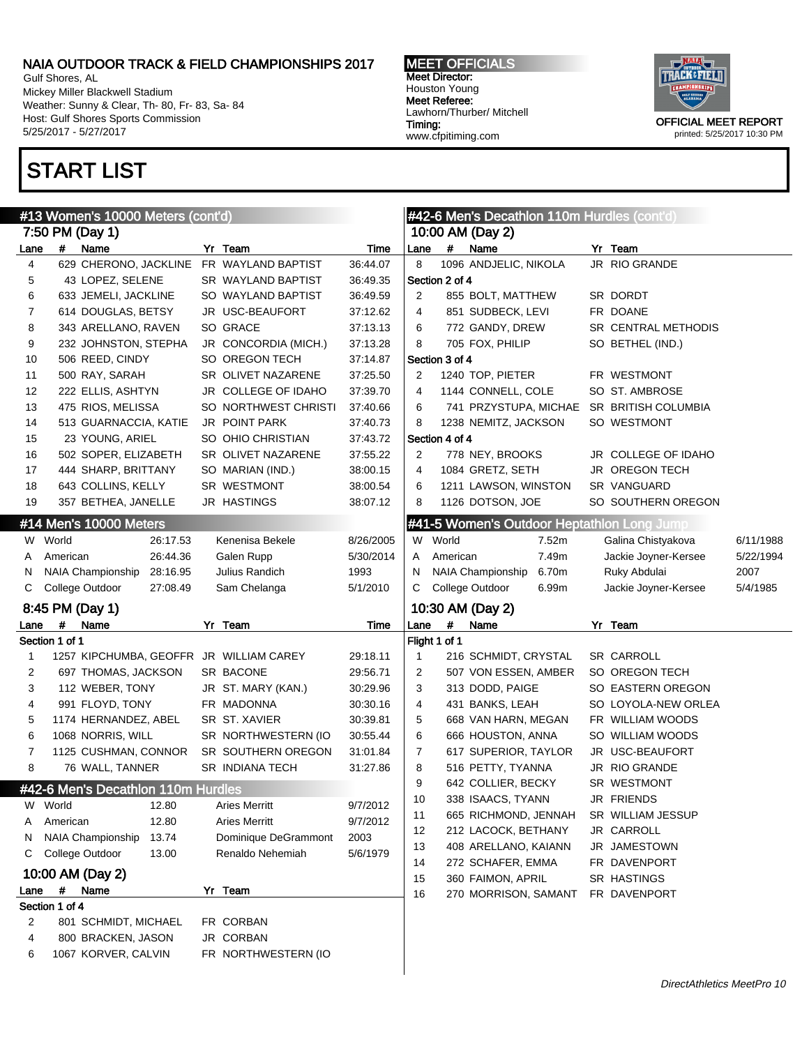Gulf Shores, AL Mickey Miller Blackwell Stadium Weather: Sunny & Clear, Th- 80, Fr- 83, Sa- 84 Host: Gulf Shores Sports Commission 5/25/2017 - 5/27/2017

6 1067 KORVER, CALVIN FR NORTHWESTERN (IO

2 801 SCHMIDT, MICHAEL FR CORBAN 4 800 BRACKEN, JASON JR CORBAN

Section 1 of 4

Section 1 of 1

# START LIST

MEET OFFICIALS Meet Director: Houston Young Meet Referee: Lawhorn/Thurber/ Mitchell Timing: www.cfpitiming.com



|              |                           | #13 Women's 10000 Meters (cont'd)  |                                          |           |                |                | #42-6 Men's Decathlon 110m Hurdles (cont'd) |                      |           |
|--------------|---------------------------|------------------------------------|------------------------------------------|-----------|----------------|----------------|---------------------------------------------|----------------------|-----------|
|              |                           | 7:50 PM (Day 1)                    |                                          |           |                |                | 10:00 AM (Day 2)                            |                      |           |
| .ane         | #                         | Name                               | Yr Team                                  | Time      | Lane           | #              | Name                                        | Yr Team              |           |
| 4            |                           |                                    | 629 CHERONO, JACKLINE FR WAYLAND BAPTIST | 36:44.07  | 8              |                | 1096 ANDJELIC, NIKOLA                       | JR RIO GRANDE        |           |
| 5            |                           | 43 LOPEZ, SELENE                   | SR WAYLAND BAPTIST                       | 36:49.35  |                | Section 2 of 4 |                                             |                      |           |
| 6            |                           | 633 JEMELI, JACKLINE               | SO WAYLAND BAPTIST                       | 36:49.59  | 2              |                | 855 BOLT, MATTHEW                           | SR DORDT             |           |
| 7            |                           | 614 DOUGLAS, BETSY                 | JR USC-BEAUFORT                          | 37:12.62  | 4              |                | 851 SUDBECK, LEVI                           | FR DOANE             |           |
| 8            |                           | 343 ARELLANO, RAVEN                | SO GRACE                                 | 37:13.13  | 6              |                | 772 GANDY, DREW                             | SR CENTRAL METHODIS  |           |
| 9            |                           | 232 JOHNSTON, STEPHA               | JR CONCORDIA (MICH.)                     | 37:13.28  | 8              |                | 705 FOX, PHILIP                             | SO BETHEL (IND.)     |           |
| 10           |                           | 506 REED, CINDY                    | SO OREGON TECH                           | 37:14.87  |                | Section 3 of 4 |                                             |                      |           |
| 11           |                           | 500 RAY, SARAH                     | SR OLIVET NAZARENE                       | 37:25.50  | 2              |                | 1240 TOP, PIETER                            | FR WESTMONT          |           |
| 12           |                           | 222 ELLIS, ASHTYN                  | JR COLLEGE OF IDAHO                      | 37:39.70  | 4              |                | 1144 CONNELL, COLE                          | SO ST. AMBROSE       |           |
| 13           |                           | 475 RIOS, MELISSA                  | SO NORTHWEST CHRISTI                     | 37:40.66  | 6              |                | 741 PRZYSTUPA, MICHAE SR BRITISH COLUMBIA   |                      |           |
| 14           |                           | 513 GUARNACCIA, KATIE              | <b>JR POINT PARK</b>                     | 37:40.73  | 8              |                | 1238 NEMITZ, JACKSON                        | SO WESTMONT          |           |
| 15           |                           | 23 YOUNG, ARIEL                    | SO OHIO CHRISTIAN                        | 37:43.72  |                | Section 4 of 4 |                                             |                      |           |
| 16           |                           | 502 SOPER, ELIZABETH               | SR OLIVET NAZARENE                       | 37:55.22  | 2              |                | 778 NEY, BROOKS                             | JR COLLEGE OF IDAHO  |           |
| 17           |                           | 444 SHARP, BRITTANY                | SO MARIAN (IND.)                         | 38:00.15  | 4              |                | 1084 GRETZ, SETH                            | JR OREGON TECH       |           |
| 18           |                           | 643 COLLINS, KELLY                 | SR WESTMONT                              | 38:00.54  | 6              |                | 1211 LAWSON, WINSTON                        | SR VANGUARD          |           |
| 19           |                           | 357 BETHEA, JANELLE                | JR HASTINGS                              | 38:07.12  | 8              |                | 1126 DOTSON, JOE                            | SO SOUTHERN OREGON   |           |
|              |                           | #14 Men's 10000 Meters             |                                          |           |                |                | #41-5 Women's Outdoor Heptathlon Long Jump  |                      |           |
|              | W World                   | 26:17.53                           | Kenenisa Bekele                          | 8/26/2005 | W              | World          | 7.52m                                       | Galina Chistyakova   | 6/11/1988 |
| A            | American                  | 26:44.36                           | Galen Rupp                               | 5/30/2014 | A              | American       | 7.49m                                       | Jackie Joyner-Kersee | 5/22/1994 |
| N            |                           | NAIA Championship<br>28:16.95      | Julius Randich                           | 1993      | N              |                | NAIA Championship<br>6.70m                  | Ruky Abdulai         | 2007      |
| С            |                           | College Outdoor<br>27:08.49        | Sam Chelanga                             | 5/1/2010  | С              |                | College Outdoor<br>6.99m                    | Jackie Joyner-Kersee | 5/4/1985  |
|              |                           | 8:45 PM (Day 1)                    |                                          |           |                |                | 10:30 AM (Day 2)                            |                      |           |
| .ane         | $\#$                      | Name                               | Yr Team                                  | Time      | Lane           | $\pmb{\#}$     | Name                                        | Yr Team              |           |
|              | Section 1 of 1            |                                    |                                          |           |                | Flight 1 of 1  |                                             |                      |           |
| $\mathbf{1}$ |                           |                                    | 1257 KIPCHUMBA, GEOFFR JR WILLIAM CAREY  | 29:18.11  | 1              |                | 216 SCHMIDT, CRYSTAL                        | <b>SR CARROLL</b>    |           |
| 2            |                           | 697 THOMAS, JACKSON                | SR BACONE                                | 29:56.71  | 2              |                | 507 VON ESSEN, AMBER                        | SO OREGON TECH       |           |
| 3            |                           | 112 WEBER, TONY                    | JR ST. MARY (KAN.)                       | 30:29.96  | 3              |                | 313 DODD, PAIGE                             | SO EASTERN OREGON    |           |
| 4            |                           | 991 FLOYD, TONY                    | FR MADONNA                               | 30:30.16  | 4              |                | 431 BANKS, LEAH                             | SO LOYOLA-NEW ORLEA  |           |
| 5            |                           | 1174 HERNANDEZ, ABEL               | SR ST. XAVIER                            | 30:39.81  | 5              |                | 668 VAN HARN, MEGAN                         | FR WILLIAM WOODS     |           |
| 6            |                           | 1068 NORRIS, WILL                  | SR NORTHWESTERN (IO                      | 30:55.44  | 6              |                | 666 HOUSTON, ANNA                           | SO WILLIAM WOODS     |           |
| 7            |                           | 1125 CUSHMAN, CONNOR               | SR SOUTHERN OREGON                       | 31:01.84  | $\overline{7}$ |                | 617 SUPERIOR, TAYLOR                        | JR USC-BEAUFORT      |           |
| 8            |                           | 76 WALL, TANNER                    | SR INDIANA TECH                          | 31:27.86  | 8              |                | 516 PETTY, TYANNA                           | JR RIO GRANDE        |           |
|              |                           | #42-6 Men's Decathlon 110m Hurdles |                                          |           | 9              |                | 642 COLLIER, BECKY                          | SR WESTMONT          |           |
| W            | World                     | 12.80                              | <b>Aries Merritt</b>                     | 9/7/2012  | 10             |                | 338 ISAACS, TYANN                           | JR FRIENDS           |           |
| A            | American                  | 12.80                              | <b>Aries Merritt</b>                     | 9/7/2012  | 11             |                | 665 RICHMOND, JENNAH                        | SR WILLIAM JESSUP    |           |
| N            |                           | <b>NAIA Championship</b><br>13.74  | Dominique DeGrammont                     | 2003      | 12             |                | 212 LACOCK, BETHANY                         | JR CARROLL           |           |
| C            |                           | College Outdoor<br>13.00           | Renaldo Nehemiah                         | 5/6/1979  | 13             |                | 408 ARELLANO, KAIANN                        | JR JAMESTOWN         |           |
|              |                           |                                    |                                          |           | 14             |                | 272 SCHAFER, EMMA                           | FR DAVENPORT         |           |
|              |                           | 10:00 AM (Day 2)                   |                                          |           | 15             |                | 360 FAIMON, APRIL                           | SR HASTINGS          |           |
| .ane         | #                         | Name                               | Yr Team                                  |           | 16             |                | 270 MORRISON, SAMANT                        | FR DAVENPORT         |           |
|              | $3$ action 1 of $\Lambda$ |                                    |                                          |           |                |                |                                             |                      |           |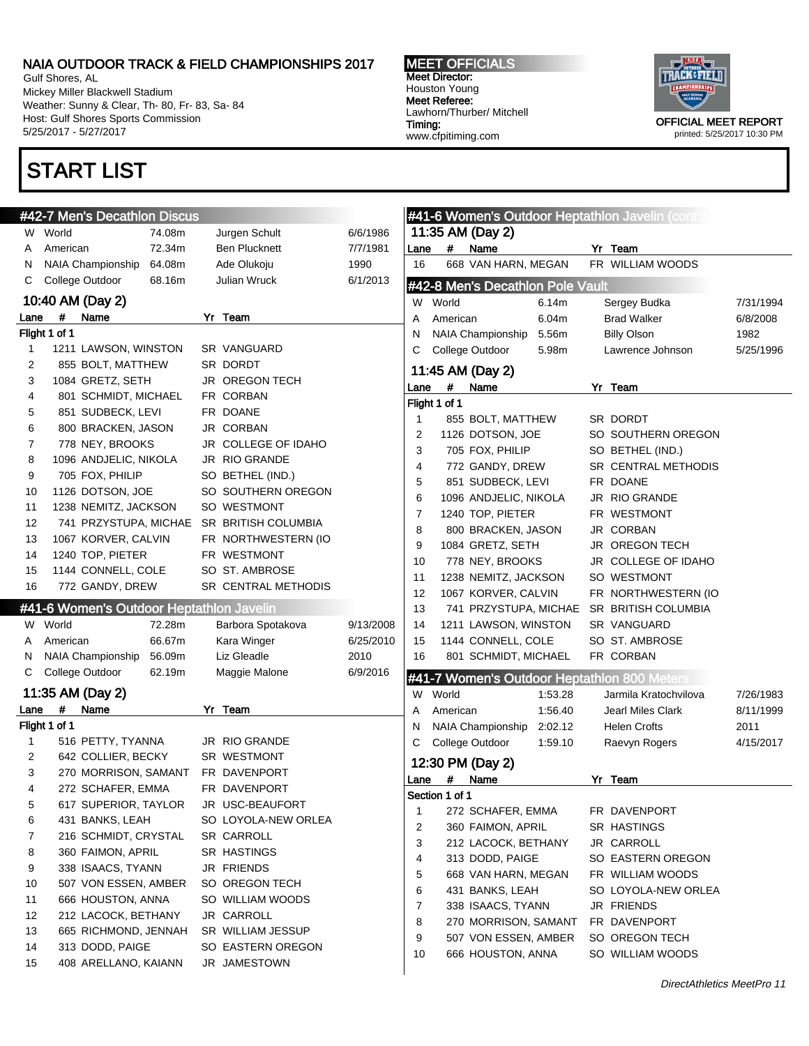Gulf Shores, AL Mickey Miller Blackwell Stadium Weather: Sunny & Clear, Th- 80, Fr- 83, Sa- 84 Host: Gulf Shores Sports Commission 5/25/2017 - 5/27/2017

### START LIST

#42-7 Men's Decathlon Discus

MEET OFFICIALS Meet Director: Houston Young Meet Referee: Lawhorn/Thurber/ Mitchell Timing: www.cfpitiming.com



|      | #42-7 Men's Decathlon Discus             |        |                                           |           |              |                |                                  |         | #41-6 Women's Outdoor Heptathlon Javelin (contic |           |
|------|------------------------------------------|--------|-------------------------------------------|-----------|--------------|----------------|----------------------------------|---------|--------------------------------------------------|-----------|
|      | W World                                  | 74.08m | Jurgen Schult                             | 6/6/1986  |              |                | 11:35 AM (Day 2)                 |         |                                                  |           |
| A    | American                                 | 72.34m | <b>Ben Plucknett</b>                      | 7/7/1981  | Lane         | #              | Name                             |         | Yr Team                                          |           |
| N    | NAIA Championship                        | 64.08m | Ade Olukoju                               | 1990      | 16           |                | 668 VAN HARN, MEGAN              |         | FR WILLIAM WOODS                                 |           |
| C    | College Outdoor                          | 68.16m | Julian Wruck                              | 6/1/2013  |              |                | #42-8 Men's Decathlon Pole Vault |         |                                                  |           |
|      | 10:40 AM (Day 2)                         |        |                                           |           |              | W World        |                                  | 6.14m   | Sergey Budka                                     | 7/31/1994 |
| Lane | #<br>Name                                |        | Yr Team                                   |           | Α            | American       |                                  | 6.04m   | <b>Brad Walker</b>                               | 6/8/2008  |
|      | Flight 1 of 1                            |        |                                           |           | N            |                | NAIA Championship                | 5.56m   | <b>Billy Olson</b>                               | 1982      |
| 1    | 1211 LAWSON, WINSTON                     |        | SR VANGUARD                               |           | С            |                | College Outdoor                  | 5.98m   | Lawrence Johnson                                 | 5/25/1996 |
| 2    | 855 BOLT, MATTHEW                        |        | SR DORDT                                  |           |              |                |                                  |         |                                                  |           |
| 3    | 1084 GRETZ, SETH                         |        | <b>JR OREGON TECH</b>                     |           |              |                | 11:45 AM (Day 2)                 |         |                                                  |           |
| 4    | 801 SCHMIDT, MICHAEL                     |        | FR CORBAN                                 |           | Lane         | #              | Name                             |         | Yr Team                                          |           |
| 5    | 851 SUDBECK, LEVI                        |        | FR DOANE                                  |           |              | Flight 1 of 1  |                                  |         |                                                  |           |
| 6    | 800 BRACKEN, JASON                       |        | JR CORBAN                                 |           | 1            |                | 855 BOLT, MATTHEW                |         | SR DORDT                                         |           |
| 7    | 778 NEY, BROOKS                          |        | JR COLLEGE OF IDAHO                       |           | 2            |                | 1126 DOTSON, JOE                 |         | SO SOUTHERN OREGON                               |           |
| 8    | 1096 ANDJELIC, NIKOLA                    |        | JR RIO GRANDE                             |           | 3            |                | 705 FOX, PHILIP                  |         | SO BETHEL (IND.)                                 |           |
| 9    | 705 FOX, PHILIP                          |        | SO BETHEL (IND.)                          |           | 4            |                | 772 GANDY, DREW                  |         | SR CENTRAL METHODIS                              |           |
| 10   | 1126 DOTSON, JOE                         |        | SO SOUTHERN OREGON                        |           | 5            |                | 851 SUDBECK, LEVI                |         | FR DOANE                                         |           |
| 11   | 1238 NEMITZ, JACKSON                     |        | SO WESTMONT                               |           | 6            |                | 1096 ANDJELIC, NIKOLA            |         | JR RIO GRANDE                                    |           |
| 12   |                                          |        | 741 PRZYSTUPA, MICHAE SR BRITISH COLUMBIA |           | 7            |                | 1240 TOP, PIETER                 |         | FR WESTMONT                                      |           |
| 13   | 1067 KORVER, CALVIN                      |        | FR NORTHWESTERN (IO                       |           | 8            |                | 800 BRACKEN, JASON               |         | JR CORBAN                                        |           |
| 14   | 1240 TOP, PIETER                         |        | FR WESTMONT                               |           | 9            |                | 1084 GRETZ, SETH                 |         | JR OREGON TECH                                   |           |
| 15   | 1144 CONNELL, COLE                       |        | SO ST. AMBROSE                            |           | 10           |                | 778 NEY, BROOKS                  |         | JR COLLEGE OF IDAHO                              |           |
|      |                                          |        | SR CENTRAL METHODIS                       |           | 11           |                | 1238 NEMITZ, JACKSON             |         | SO WESTMONT                                      |           |
| 16   | 772 GANDY, DREW                          |        |                                           |           | 12           |                | 1067 KORVER, CALVIN              |         | FR NORTHWESTERN (IO                              |           |
|      | #41-6 Women's Outdoor Heptathlon Javelin |        |                                           |           | 13           |                | 741 PRZYSTUPA, MICHAE            |         | SR BRITISH COLUMBIA                              |           |
| W    | World                                    | 72.28m | Barbora Spotakova                         | 9/13/2008 | 14           |                | 1211 LAWSON, WINSTON             |         | SR VANGUARD                                      |           |
| A    | American                                 | 66.67m | Kara Winger                               | 6/25/2010 | 15           |                | 1144 CONNELL, COLE               |         | SO ST. AMBROSE                                   |           |
| N    | NAIA Championship                        | 56.09m | Liz Gleadle                               | 2010      | 16           |                | 801 SCHMIDT, MICHAEL             |         | FR CORBAN                                        |           |
| С    | College Outdoor                          | 62.19m | Maggie Malone                             | 6/9/2016  |              |                |                                  |         | #41-7 Women's Outdoor Heptathlon 800 Meters      |           |
|      | 11:35 AM (Day 2)                         |        |                                           |           | W            | World          |                                  | 1:53.28 | Jarmila Kratochvilova                            | 7/26/1983 |
| Lane | #<br>Name                                |        | Yr Team                                   |           |              | American       |                                  | 1:56.40 | Jearl Miles Clark                                | 8/11/1999 |
|      | Flight 1 of 1                            |        |                                           |           | N            |                | NAIA Championship                | 2:02.12 | <b>Helen Crofts</b>                              | 2011      |
| 1    | 516 PETTY, TYANNA                        |        | JR RIO GRANDE                             |           | С            |                | College Outdoor                  | 1:59.10 | Raevyn Rogers                                    | 4/15/2017 |
| 2    | 642 COLLIER, BECKY                       |        | SR WESTMONT                               |           |              |                |                                  |         |                                                  |           |
| 3    | 270 MORRISON, SAMANT                     |        | FR DAVENPORT                              |           |              |                | 12:30 PM (Day 2)                 |         |                                                  |           |
| 4    | 272 SCHAFER, EMMA                        |        | FR DAVENPORT                              |           | Lane         | #              | Name                             |         | Yr Team                                          |           |
| 5    | 617 SUPERIOR, TAYLOR                     |        | JR USC-BEAUFORT                           |           |              | Section 1 of 1 |                                  |         |                                                  |           |
| 6    | 431 BANKS, LEAH                          |        | SO LOYOLA-NEW ORLEA                       |           | $\mathbf{1}$ |                | 272 SCHAFER, EMMA                |         | FR DAVENPORT                                     |           |
| 7    | 216 SCHMIDT, CRYSTAL                     |        | SR CARROLL                                |           | 2            |                | 360 FAIMON, APRIL                |         | SR HASTINGS                                      |           |
| 8    | 360 FAIMON, APRIL                        |        | SR HASTINGS                               |           | 3            |                | 212 LACOCK, BETHANY              |         | JR CARROLL                                       |           |
| 9    | 338 ISAACS, TYANN                        |        | JR FRIENDS                                |           | 4            |                | 313 DODD, PAIGE                  |         | SO EASTERN OREGON                                |           |
| 10   | 507 VON ESSEN, AMBER                     |        | SO OREGON TECH                            |           | 5            |                | 668 VAN HARN, MEGAN              |         | FR WILLIAM WOODS                                 |           |
| 11   | 666 HOUSTON, ANNA                        |        | SO WILLIAM WOODS                          |           | 6            |                | 431 BANKS, LEAH                  |         | SO LOYOLA-NEW ORLEA                              |           |
| 12   | 212 LACOCK, BETHANY                      |        | JR CARROLL                                |           | 7            |                | 338 ISAACS, TYANN                |         | JR FRIENDS                                       |           |
| 13   | 665 RICHMOND, JENNAH                     |        | SR WILLIAM JESSUP                         |           | 8            |                | 270 MORRISON, SAMANT             |         | FR DAVENPORT                                     |           |
| 14   | 313 DODD, PAIGE                          |        | SO EASTERN OREGON                         |           | 9            |                | 507 VON ESSEN, AMBER             |         | SO OREGON TECH                                   |           |
| 15   | 408 ARELLANO, KAIANN                     |        |                                           |           | 10           |                | 666 HOUSTON, ANNA                |         | SO WILLIAM WOODS                                 |           |
|      |                                          |        | JR JAMESTOWN                              |           |              |                |                                  |         |                                                  |           |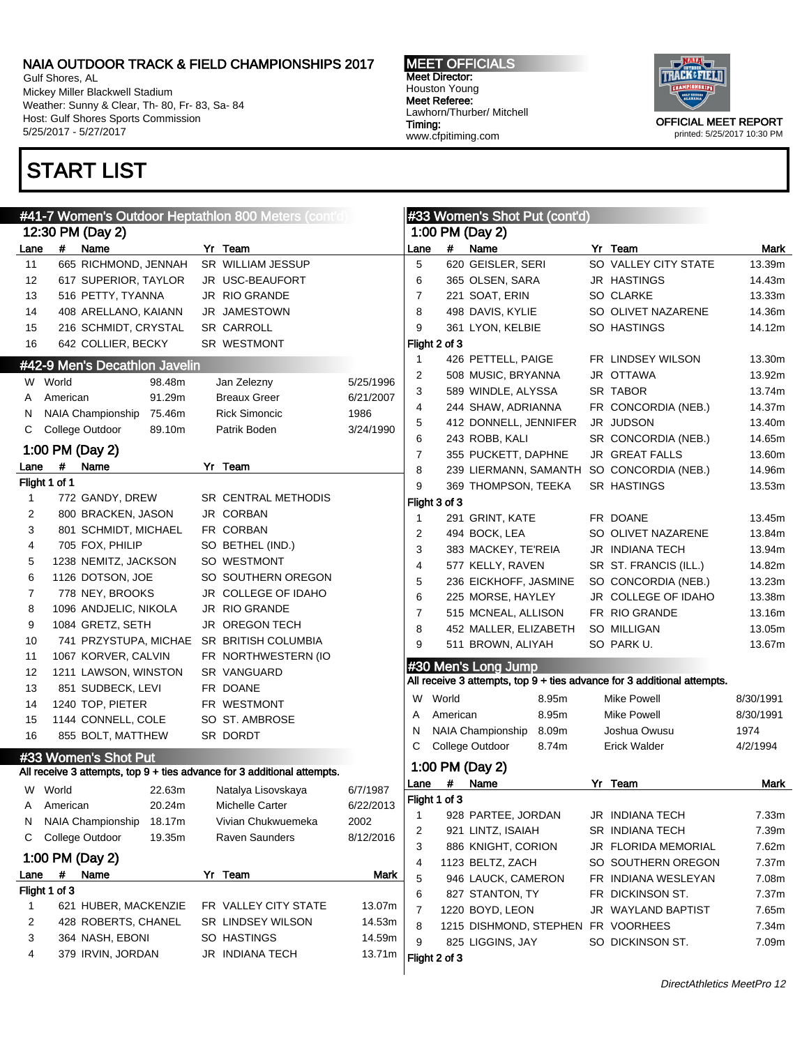Gulf Shores, AL Mickey Miller Blackwell Stadium Weather: Sunny & Clear, Th- 80, Fr- 83, Sa- 84 Host: Gulf Shores Sports Commission 5/25/2017 - 5/27/2017

## START LIST

MEET OFFICIALS Meet Director: Houston Young Meet Referee: Lawhorn/Thurber/ Mitchell Timing: www.cfpitiming.com



printed: 5/25/2017 10:30 PM

| #41-7 Women's Outdoor Heptathlon 800 Meters (cont'd) |               |                                       |        |  |                                                                         |           |              | #33 Women's Shot Put (cont'd) |                                    |       |  |                                                                         |                |
|------------------------------------------------------|---------------|---------------------------------------|--------|--|-------------------------------------------------------------------------|-----------|--------------|-------------------------------|------------------------------------|-------|--|-------------------------------------------------------------------------|----------------|
|                                                      |               | 12:30 PM (Day 2)                      |        |  |                                                                         |           |              |                               | 1:00 PM (Day 2)                    |       |  |                                                                         |                |
| Lane                                                 |               | # Name                                |        |  | Yr Team                                                                 |           | Lane         | $\#$                          | Name                               |       |  | Yr Team                                                                 | Mark           |
| 11                                                   |               | 665 RICHMOND, JENNAH                  |        |  | SR WILLIAM JESSUP                                                       |           | 5            |                               | 620 GEISLER, SERI                  |       |  | SO VALLEY CITY STATE                                                    | 13.39m         |
| 12                                                   |               | 617 SUPERIOR, TAYLOR                  |        |  | JR USC-BEAUFORT                                                         |           | 6            |                               | 365 OLSEN, SARA                    |       |  | JR HASTINGS                                                             | 14.43m         |
| 13                                                   |               | 516 PETTY, TYANNA                     |        |  | <b>JR RIO GRANDE</b>                                                    |           | 7            |                               | 221 SOAT, ERIN                     |       |  | SO CLARKE                                                               | 13.33m         |
| 14                                                   |               | 408 ARELLANO, KAIANN                  |        |  | <b>JR JAMESTOWN</b>                                                     |           | 8            |                               | 498 DAVIS, KYLIE                   |       |  | SO OLIVET NAZARENE                                                      | 14.36m         |
| 15                                                   |               | 216 SCHMIDT, CRYSTAL                  |        |  | SR CARROLL                                                              |           | 9            |                               | 361 LYON, KELBIE                   |       |  | SO HASTINGS                                                             | 14.12m         |
| 16                                                   |               | 642 COLLIER, BECKY                    |        |  | SR WESTMONT                                                             |           |              | Flight 2 of 3                 |                                    |       |  |                                                                         |                |
|                                                      |               | #42-9 Men's Decathlon Javelin         |        |  |                                                                         |           | -1           |                               | 426 PETTELL, PAIGE                 |       |  | FR LINDSEY WILSON                                                       | 13.30m         |
|                                                      | W World       |                                       | 98.48m |  | Jan Zelezny                                                             | 5/25/1996 | 2            |                               | 508 MUSIC, BRYANNA                 |       |  | JR OTTAWA                                                               | 13.92m         |
| A                                                    | American      |                                       | 91.29m |  | <b>Breaux Greer</b>                                                     | 6/21/2007 | 3            |                               | 589 WINDLE, ALYSSA                 |       |  | SR TABOR                                                                | 13.74m         |
| N                                                    |               | NAIA Championship                     | 75.46m |  | <b>Rick Simoncic</b>                                                    | 1986      | 4            |                               | 244 SHAW, ADRIANNA                 |       |  | FR CONCORDIA (NEB.)                                                     | 14.37m         |
| С                                                    |               | College Outdoor                       | 89.10m |  | Patrik Boden                                                            | 3/24/1990 | 5            |                               | 412 DONNELL, JENNIFER              |       |  | JR JUDSON                                                               | 13.40m         |
|                                                      |               |                                       |        |  |                                                                         |           | 6            |                               | 243 ROBB, KALI                     |       |  | SR CONCORDIA (NEB.)                                                     | 14.65m         |
|                                                      |               | 1:00 PM (Day 2)                       |        |  |                                                                         |           | 7            |                               | 355 PUCKETT, DAPHNE                |       |  | JR GREAT FALLS                                                          | 13.60m         |
| Lane                                                 | #             | Name                                  |        |  | Yr Team                                                                 |           | 8            |                               |                                    |       |  | 239 LIERMANN, SAMANTH SO CONCORDIA (NEB.)                               | 14.96m         |
|                                                      | Flight 1 of 1 |                                       |        |  | SR CENTRAL METHODIS                                                     |           | 9            |                               | 369 THOMPSON, TEEKA                |       |  | SR HASTINGS                                                             | 13.53m         |
| $\mathbf 1$                                          |               | 772 GANDY, DREW<br>800 BRACKEN, JASON |        |  | <b>JR CORBAN</b>                                                        |           |              | Flight 3 of 3                 |                                    |       |  |                                                                         |                |
| 2                                                    |               |                                       |        |  | FR CORBAN                                                               |           | $\mathbf{1}$ |                               | 291 GRINT, KATE                    |       |  | FR DOANE                                                                | 13.45m         |
| 3                                                    |               | 801 SCHMIDT, MICHAEL                  |        |  | SO BETHEL (IND.)                                                        |           | 2            |                               | 494 BOCK, LEA                      |       |  | SO OLIVET NAZARENE                                                      | 13.84m         |
| 4                                                    |               | 705 FOX, PHILIP                       |        |  |                                                                         |           | 3            |                               | 383 MACKEY, TE'REIA                |       |  | JR INDIANA TECH                                                         | 13.94m         |
| 5                                                    |               | 1238 NEMITZ, JACKSON                  |        |  | SO WESTMONT                                                             |           | 4            |                               | 577 KELLY, RAVEN                   |       |  | SR ST. FRANCIS (ILL.)                                                   | 14.82m         |
| 6                                                    |               | 1126 DOTSON, JOE                      |        |  | SO SOUTHERN OREGON                                                      |           | 5            |                               | 236 EICKHOFF, JASMINE              |       |  | SO CONCORDIA (NEB.)                                                     | 13.23m         |
| 7                                                    |               | 778 NEY, BROOKS                       |        |  | JR COLLEGE OF IDAHO                                                     |           | 6            |                               | 225 MORSE, HAYLEY                  |       |  | JR COLLEGE OF IDAHO                                                     | 13.38m         |
| 8                                                    |               | 1096 ANDJELIC, NIKOLA                 |        |  | JR RIO GRANDE                                                           |           | 7            |                               | 515 MCNEAL, ALLISON                |       |  | FR RIO GRANDE                                                           | 13.16m         |
| 9                                                    |               | 1084 GRETZ, SETH                      |        |  | <b>JR OREGON TECH</b>                                                   |           | 8            |                               | 452 MALLER, ELIZABETH              |       |  | SO MILLIGAN                                                             | 13.05m         |
| 10                                                   |               | 741 PRZYSTUPA, MICHAE                 |        |  | SR BRITISH COLUMBIA                                                     |           | 9            |                               | 511 BROWN, ALIYAH                  |       |  | SO PARK U.                                                              | 13.67m         |
| 11                                                   |               | 1067 KORVER, CALVIN                   |        |  | FR NORTHWESTERN (IO                                                     |           |              |                               | #30 Men's Long Jump                |       |  |                                                                         |                |
| 12                                                   |               | 1211 LAWSON, WINSTON                  |        |  | SR VANGUARD                                                             |           |              |                               |                                    |       |  | All receive 3 attempts, top 9 + ties advance for 3 additional attempts. |                |
| 13                                                   |               | 851 SUDBECK, LEVI                     |        |  | FR DOANE                                                                |           | W            | World                         |                                    | 8.95m |  | <b>Mike Powell</b>                                                      | 8/30/1991      |
| 14                                                   |               | 1240 TOP, PIETER                      |        |  | FR WESTMONT                                                             |           | Α            | American                      |                                    | 8.95m |  | Mike Powell                                                             | 8/30/1991      |
| 15                                                   |               | 1144 CONNELL, COLE                    |        |  | SO ST. AMBROSE                                                          |           | N            |                               | NAIA Championship                  | 8.09m |  | Joshua Owusu                                                            | 1974           |
| 16                                                   |               | 855 BOLT, MATTHEW                     |        |  | SR DORDT                                                                |           | С            |                               | College Outdoor                    | 8.74m |  | <b>Erick Walder</b>                                                     | 4/2/1994       |
|                                                      |               | #33 Women's Shot Put                  |        |  |                                                                         |           |              |                               | 1:00 PM (Day 2)                    |       |  |                                                                         |                |
|                                                      |               |                                       |        |  | All receive 3 attempts, top 9 + ties advance for 3 additional attempts. |           |              | Lane #                        | Name                               |       |  | Yr Team                                                                 | Mark           |
|                                                      | W World       |                                       | 22.63m |  | Natalya Lisovskaya                                                      | 6/7/1987  |              | Flight 1 of 3                 |                                    |       |  |                                                                         |                |
| Α                                                    | American      |                                       | 20.24m |  | Michelle Carter                                                         | 6/22/2013 | 1            |                               | 928 PARTEE, JORDAN                 |       |  | JR INDIANA TECH                                                         | 7.33m          |
| N                                                    |               | NAIA Championship                     | 18.17m |  | Vivian Chukwuemeka                                                      | 2002      |              |                               | 921 LINTZ, ISAIAH                  |       |  | SR INDIANA TECH                                                         | 7.39m          |
| C                                                    |               | College Outdoor                       | 19.35m |  | Raven Saunders                                                          | 8/12/2016 | 2<br>3       |                               | 886 KNIGHT, CORION                 |       |  | JR FLORIDA MEMORIAL                                                     | 7.62m          |
|                                                      |               | 1:00 PM (Day 2)                       |        |  |                                                                         |           | 4            |                               | 1123 BELTZ, ZACH                   |       |  | SO SOUTHERN OREGON                                                      | 7.37m          |
| Lane                                                 | #             | Name                                  |        |  | Yr Team                                                                 | Mark      | 5            |                               | 946 LAUCK, CAMERON                 |       |  | FR INDIANA WESLEYAN                                                     | 7.08m          |
|                                                      | Flight 1 of 3 |                                       |        |  |                                                                         |           |              |                               | 827 STANTON, TY                    |       |  |                                                                         |                |
| 1                                                    |               | 621 HUBER, MACKENZIE                  |        |  | FR VALLEY CITY STATE                                                    | 13.07m    | 6<br>7       |                               | 1220 BOYD, LEON                    |       |  | FR DICKINSON ST.<br>JR WAYLAND BAPTIST                                  | 7.37m<br>7.65m |
| 2                                                    |               | 428 ROBERTS, CHANEL                   |        |  | SR LINDSEY WILSON                                                       | 14.53m    | 8            |                               | 1215 DISHMOND, STEPHEN FR VOORHEES |       |  |                                                                         | 7.34m          |
| 3                                                    |               | 364 NASH, EBONI                       |        |  | SO HASTINGS                                                             | 14.59m    | 9            |                               |                                    |       |  |                                                                         |                |
| 4                                                    |               | 379 IRVIN, JORDAN                     |        |  | JR INDIANA TECH                                                         | 13.71m    |              | Flight 2 of 3                 | 825 LIGGINS, JAY                   |       |  | SO DICKINSON ST.                                                        | 7.09m          |
|                                                      |               |                                       |        |  |                                                                         |           |              |                               |                                    |       |  |                                                                         |                |

DirectAthletics MeetPro 12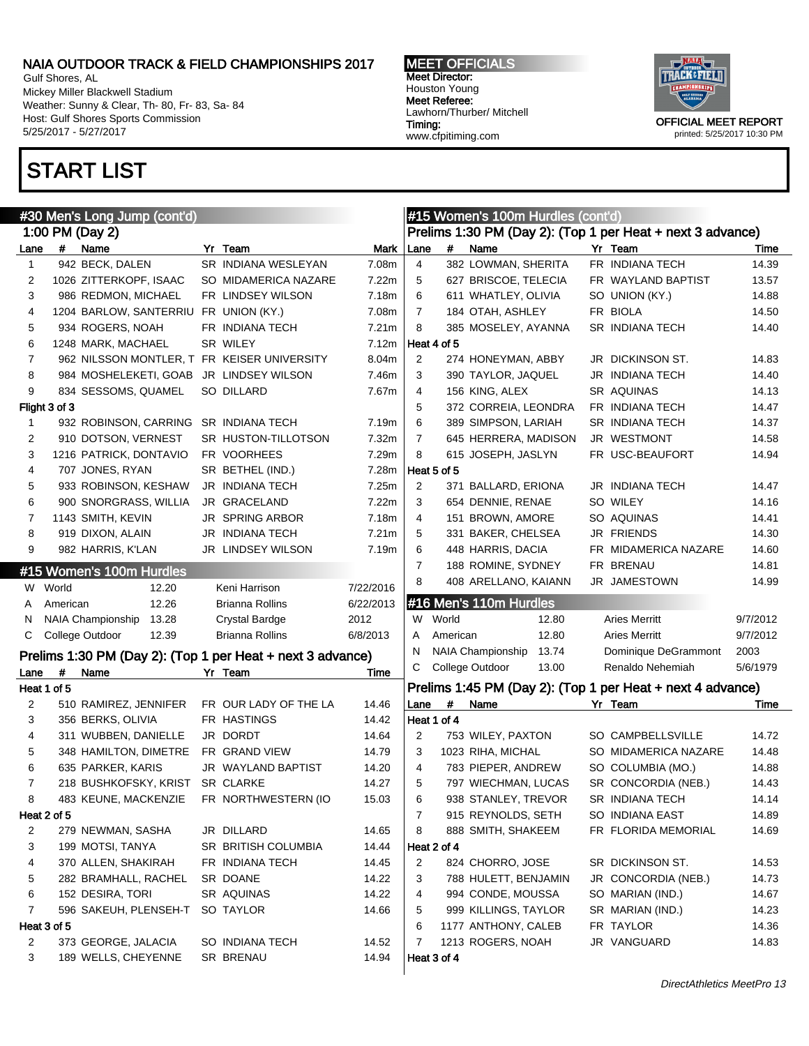Lane # Name Yr Team Mark 942 BECK, DALEN SR INDIANA WESLEYAN 7.08m 1026 ZITTERKOPF, ISAAC SO MIDAMERICA NAZARE 7.22m 986 REDMON, MICHAEL FR LINDSEY WILSON 7.18m 1204 BARLOW, SANTERRIU FR UNION (KY.) 7.08m 934 ROGERS, NOAH FR INDIANA TECH 7.21m 1248 MARK, MACHAEL SR WILEY 7.12m 962 NILSSON MONTLER, T FR KEISER UNIVERSITY 8.04m 984 MOSHELEKETI, GOAB JR LINDSEY WILSON 7.46m 9 834 SESSOMS, QUAMEL SO DILLARD 7.67m

1 932 ROBINSON, CARRING SR INDIANA TECH 7.19m 910 DOTSON, VERNEST SR HUSTON-TILLOTSON 7.32m 1216 PATRICK, DONTAVIO FR VOORHEES 7.29m 707 JONES, RYAN SR BETHEL (IND.) 7.28m 933 ROBINSON, KESHAW JR INDIANA TECH 7.25m 900 SNORGRASS, WILLIA JR GRACELAND 7.22m 7 1143 SMITH, KEVIN JR SPRING ARBOR 7.18m 919 DIXON, ALAIN JR INDIANA TECH 7.21m 982 HARRIS, K'LAN JR LINDSEY WILSON 7.19m

W World 12.20 Keni Harrison 7/22/2016 A American 12.26 Brianna Rollins 6/22/2013 N NAIA Championship 13.28 Crystal Bardge 2012 C College Outdoor 12.39 Brianna Rollins 6/8/2013 Prelims 1:30 PM (Day 2): (Top 1 per Heat + next 3 advance) Lane # Name **Yr Team** 7 Time

Gulf Shores, AL Mickey Miller Blackwell Stadium Weather: Sunny & Clear, Th- 80, Fr- 83, Sa- 84 Host: Gulf Shores Sports Commission 5/25/2017 - 5/27/2017

### START LIST

1:00 PM (Day 2)

Flight 3 of 3

Heat 1 of 5

#30 Men's Long Jump (cont'd)

#15 Women's 100m Hurdles

MEET OFFICIALS Meet Director: Houston Young Meet Referee: Lawhorn/Thurber/ Mitchell Timing: www.cfpitiming.com

Heat 4 of 5

Heat 5 of 5

#16 Men's 110m Hurdles

#15 Women's 100m Hurdles (cont'd)

Prelims 1:30 PM (Day 2): (Top 1 per Heat + next 3 advance) Lane # Name **Yr Team** 7 Time 4 382 LOWMAN, SHERITA FR INDIANA TECH 14.39 5 627 BRISCOE, TELECIA FR WAYLAND BAPTIST 13.57 6 611 WHATLEY, OLIVIA SO UNION (KY.) 14.88 7 184 OTAH, ASHLEY FR BIOLA 14.50 8 385 MOSELEY, AYANNA SR INDIANA TECH 14.40

2 274 HONEYMAN, ABBY JR DICKINSON ST. 14.83 3 390 TAYLOR, JAQUEL JR INDIANA TECH 14.40 4 156 KING, ALEX SR AQUINAS 14.13 5 372 CORREIA, LEONDRA FR INDIANA TECH 14.47 6 389 SIMPSON, LARIAH SR INDIANA TECH 14.37 7 645 HERRERA, MADISON JR WESTMONT 14.58 8 615 JOSEPH, JASLYN FR USC-BEAUFORT 14.94

2 371 BALLARD, ERIONA JR INDIANA TECH 14.47 654 DENNIE, RENAE SO WILEY 14.16 151 BROWN, AMORE SO AQUINAS 14.41 331 BAKER, CHELSEA JR FRIENDS 14.30 448 HARRIS, DACIA FR MIDAMERICA NAZARE 14.60 7 188 ROMINE, SYDNEY FR BRENAU 14.81 408 ARELLANO, KAIANN JR JAMESTOWN 14.99



### Prelims 1:45 PM (Day 2): (Top 1 per Heat + next 4 advance)

W World 12.80 Aries Merritt 9/7/2012 A American 12.80 Aries Merritt 9/7/2012 N NAIA Championship 13.74 Dominique DeGrammont 2003 C College Outdoor 13.00 Renaldo Nehemiah 5/6/1979

| 2           | 510 RAMIREZ, JENNIFER | FR OUR LADY OF THE LA      | 14.46 | Lane        | # | Name                 | Yr Team                | Time  |
|-------------|-----------------------|----------------------------|-------|-------------|---|----------------------|------------------------|-------|
| 3           | 356 BERKS, OLIVIA     | FR HASTINGS                | 14.42 | Heat 1 of 4 |   |                      |                        |       |
| 4           | 311 WUBBEN, DANIELLE  | JR DORDT                   | 14.64 | 2           |   | 753 WILEY, PAXTON    | SO CAMPBELLSVILLE      | 14.72 |
| 5           | 348 HAMILTON, DIMETRE | FR GRAND VIEW              | 14.79 | 3           |   | 1023 RIHA, MICHAL    | SO MIDAMERICA NAZARE   | 14.48 |
| 6           | 635 PARKER, KARIS     | <b>JR WAYLAND BAPTIST</b>  | 14.20 | 4           |   | 783 PIEPER, ANDREW   | SO COLUMBIA (MO.)      | 14.88 |
|             | 218 BUSHKOFSKY, KRIST | <b>SR CLARKE</b>           | 14.27 | 5           |   | 797 WIECHMAN, LUCAS  | SR CONCORDIA (NEB.)    | 14.43 |
| 8           | 483 KEUNE, MACKENZIE  | FR NORTHWESTERN (IO        | 15.03 | 6           |   | 938 STANLEY, TREVOR  | <b>SR INDIANA TECH</b> | 14.14 |
| Heat 2 of 5 |                       |                            |       |             |   | 915 REYNOLDS, SETH   | SO INDIANA EAST        | 14.89 |
| 2           | 279 NEWMAN, SASHA     | JR DILLARD                 | 14.65 | 8           |   | 888 SMITH, SHAKEEM   | FR FLORIDA MEMORIAL    | 14.69 |
| 3           | 199 MOTSI, TANYA      | <b>SR BRITISH COLUMBIA</b> | 14.44 | Heat 2 of 4 |   |                      |                        |       |
| 4           | 370 ALLEN, SHAKIRAH   | FR INDIANA TECH            | 14.45 | 2           |   | 824 CHORRO, JOSE     | SR DICKINSON ST.       | 14.53 |
| 5           | 282 BRAMHALL, RACHEL  | SR DOANE                   | 14.22 | 3           |   | 788 HULETT, BENJAMIN | JR CONCORDIA (NEB.)    | 14.73 |
| 6           | 152 DESIRA, TORI      | <b>SR AQUINAS</b>          | 14.22 | 4           |   | 994 CONDE, MOUSSA    | SO MARIAN (IND.)       | 14.67 |
|             | 596 SAKEUH, PLENSEH-T | SO TAYLOR                  | 14.66 | 5           |   | 999 KILLINGS, TAYLOR | SR MARIAN (IND.)       | 14.23 |
| Heat 3 of 5 |                       |                            |       | 6           |   | 1177 ANTHONY, CALEB  | FR TAYLOR              | 14.36 |
| 2           | 373 GEORGE, JALACIA   | SO INDIANA TECH            | 14.52 |             |   | 1213 ROGERS, NOAH    | JR VANGUARD            | 14.83 |
| 3           | 189 WELLS, CHEYENNE   | <b>SR BRENAU</b>           | 14.94 | Heat 3 of 4 |   |                      |                        |       |
|             |                       |                            |       |             |   |                      |                        |       |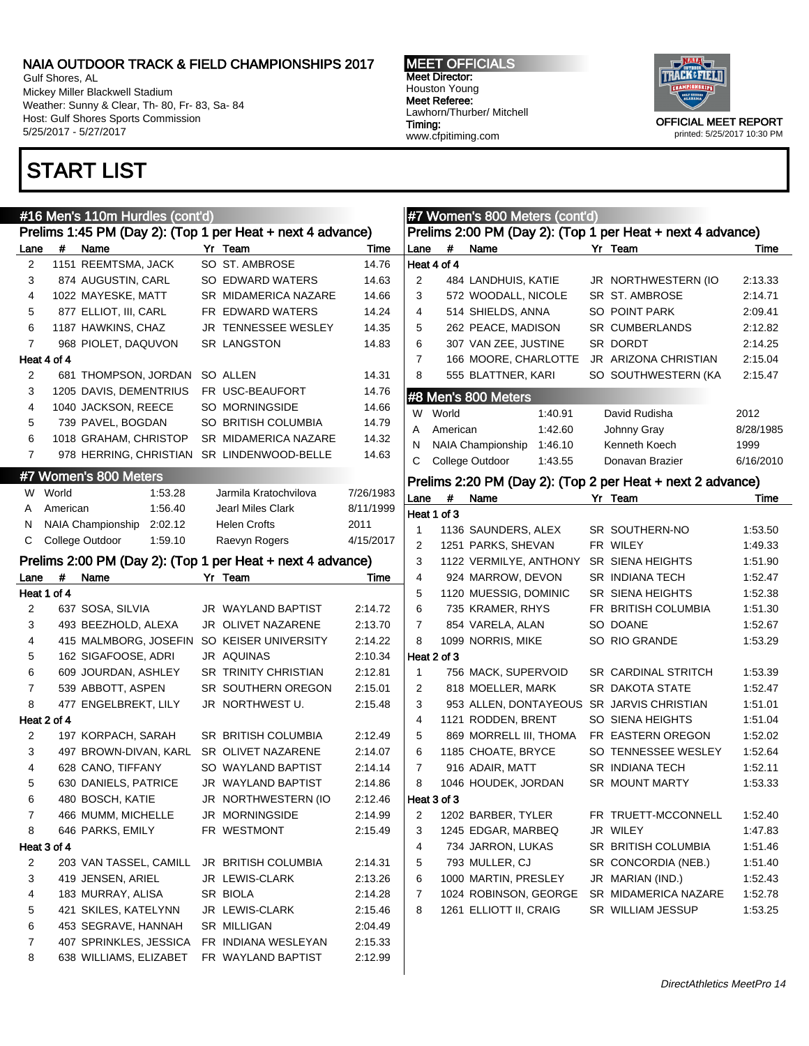Gulf Shores, AL Mickey Miller Blackwell Stadium Weather: Sunny & Clear, Th- 80, Fr- 83, Sa- 84 Host: Gulf Shores Sports Commission 5/25/2017 - 5/27/2017

#16 Men's 110m Hurdles (cont'd)

 183 MURRAY, ALISA SR BIOLA 2:14.28 421 SKILES, KATELYNN JR LEWIS-CLARK 2:15.46 453 SEGRAVE, HANNAH SR MILLIGAN 2:04.49 407 SPRINKLES, JESSICA FR INDIANA WESLEYAN 2:15.33 638 WILLIAMS, ELIZABET FR WAYLAND BAPTIST 2:12.99

### START LIST

MEET OFFICIALS Meet Director: Houston Young Meet Referee: Lawhorn/Thurber/ Mitchell Timing: www.cfpitiming.com

**#7 Women's 800 Meters (cont'd)** 



| #<br>Name<br>Yr Team<br>Yr Team<br>Time<br>Lane<br>#<br>Name<br>Lane<br>1151 REEMTSMA, JACK<br>SO ST. AMBROSE<br>Heat 4 of 4<br>14.76<br>2<br>874 AUGUSTIN, CARL<br>SO EDWARD WATERS<br>14.63<br>2<br>484 LANDHUIS, KATIE<br>JR NORTHWESTERN (IO<br>3<br>1022 MAYESKE, MATT<br>3<br>4<br>SR MIDAMERICA NAZARE<br>14.66<br>572 WOODALL, NICOLE<br>SR ST. AMBROSE<br>5<br>877 ELLIOT, III, CARL<br>4<br>514 SHIELDS, ANNA<br>SO POINT PARK<br>FR EDWARD WATERS<br>14.24<br>6<br>5<br>1187 HAWKINS, CHAZ<br>JR TENNESSEE WESLEY<br>262 PEACE, MADISON<br>SR CUMBERLANDS<br>14.35<br>$\overline{7}$<br><b>SR LANGSTON</b><br>6<br>968 PIOLET, DAQUVON<br>14.83<br>307 VAN ZEE, JUSTINE<br>SR DORDT<br>$\overline{7}$<br>Heat 4 of 4<br>166 MOORE, CHARLOTTE<br>JR ARIZONA CHRISTIAN<br>8<br>555 BLATTNER, KARI<br>SO SOUTHWESTERN (KA<br>2<br>681 THOMPSON, JORDAN SO ALLEN<br>14.31 | Time<br>2:13.33<br>2:14.71<br>2:09.41<br>2:12.82<br>2:14.25<br>2:15.04<br>2:15.47<br>2012 |
|----------------------------------------------------------------------------------------------------------------------------------------------------------------------------------------------------------------------------------------------------------------------------------------------------------------------------------------------------------------------------------------------------------------------------------------------------------------------------------------------------------------------------------------------------------------------------------------------------------------------------------------------------------------------------------------------------------------------------------------------------------------------------------------------------------------------------------------------------------------------------------|-------------------------------------------------------------------------------------------|
|                                                                                                                                                                                                                                                                                                                                                                                                                                                                                                                                                                                                                                                                                                                                                                                                                                                                                  |                                                                                           |
|                                                                                                                                                                                                                                                                                                                                                                                                                                                                                                                                                                                                                                                                                                                                                                                                                                                                                  |                                                                                           |
|                                                                                                                                                                                                                                                                                                                                                                                                                                                                                                                                                                                                                                                                                                                                                                                                                                                                                  |                                                                                           |
|                                                                                                                                                                                                                                                                                                                                                                                                                                                                                                                                                                                                                                                                                                                                                                                                                                                                                  |                                                                                           |
|                                                                                                                                                                                                                                                                                                                                                                                                                                                                                                                                                                                                                                                                                                                                                                                                                                                                                  |                                                                                           |
|                                                                                                                                                                                                                                                                                                                                                                                                                                                                                                                                                                                                                                                                                                                                                                                                                                                                                  |                                                                                           |
|                                                                                                                                                                                                                                                                                                                                                                                                                                                                                                                                                                                                                                                                                                                                                                                                                                                                                  |                                                                                           |
|                                                                                                                                                                                                                                                                                                                                                                                                                                                                                                                                                                                                                                                                                                                                                                                                                                                                                  |                                                                                           |
|                                                                                                                                                                                                                                                                                                                                                                                                                                                                                                                                                                                                                                                                                                                                                                                                                                                                                  |                                                                                           |
| 1205 DAVIS, DEMENTRIUS<br>FR USC-BEAUFORT<br>3<br>14.76<br>#8 Men's 800 Meters                                                                                                                                                                                                                                                                                                                                                                                                                                                                                                                                                                                                                                                                                                                                                                                                   |                                                                                           |
| SO MORNINGSIDE<br>14.66<br>4<br>1040 JACKSON, REECE<br>W World<br>1:40.91<br>David Rudisha                                                                                                                                                                                                                                                                                                                                                                                                                                                                                                                                                                                                                                                                                                                                                                                       |                                                                                           |
| 5<br>SO BRITISH COLUMBIA<br>14.79<br>739 PAVEL, BOGDAN                                                                                                                                                                                                                                                                                                                                                                                                                                                                                                                                                                                                                                                                                                                                                                                                                           |                                                                                           |
| American<br>1:42.60<br>Johnny Gray<br>A<br>6<br>1018 GRAHAM, CHRISTOP<br>SR MIDAMERICA NAZARE<br>14.32                                                                                                                                                                                                                                                                                                                                                                                                                                                                                                                                                                                                                                                                                                                                                                           | 8/28/1985                                                                                 |
| <b>NAIA Championship</b><br>N<br>1:46.10<br>Kenneth Koech<br>$\overline{7}$<br>978 HERRING, CHRISTIAN SR LINDENWOOD-BELLE<br>14.63                                                                                                                                                                                                                                                                                                                                                                                                                                                                                                                                                                                                                                                                                                                                               | 1999                                                                                      |
| C<br>College Outdoor<br>1:43.55<br>Donavan Brazier                                                                                                                                                                                                                                                                                                                                                                                                                                                                                                                                                                                                                                                                                                                                                                                                                               | 6/16/2010                                                                                 |
| #7 Women's 800 Meters<br>Prelims 2:20 PM (Day 2): (Top 2 per Heat + next 2 advance)                                                                                                                                                                                                                                                                                                                                                                                                                                                                                                                                                                                                                                                                                                                                                                                              |                                                                                           |
| W World<br>1:53.28<br>Jarmila Kratochvilova<br>7/26/1983<br>#<br>Lane<br>Yr Team<br>Name                                                                                                                                                                                                                                                                                                                                                                                                                                                                                                                                                                                                                                                                                                                                                                                         | Time                                                                                      |
| 1:56.40<br>8/11/1999<br>American<br><b>Jearl Miles Clark</b><br>A<br>Heat 1 of 3                                                                                                                                                                                                                                                                                                                                                                                                                                                                                                                                                                                                                                                                                                                                                                                                 |                                                                                           |
| NAIA Championship<br>2:02.12<br><b>Helen Crofts</b><br>2011<br>N<br>$\overline{1}$<br>1136 SAUNDERS, ALEX<br>SR SOUTHERN-NO                                                                                                                                                                                                                                                                                                                                                                                                                                                                                                                                                                                                                                                                                                                                                      | 1:53.50                                                                                   |
| С<br>College Outdoor<br>1:59.10<br>Raevyn Rogers<br>4/15/2017<br>$\overline{2}$<br>1251 PARKS, SHEVAN<br>FR WILEY                                                                                                                                                                                                                                                                                                                                                                                                                                                                                                                                                                                                                                                                                                                                                                | 1:49.33                                                                                   |
| Prelims 2:00 PM (Day 2): (Top 1 per Heat + next 4 advance)<br>3<br>1122 VERMILYE, ANTHONY<br>SR SIENA HEIGHTS                                                                                                                                                                                                                                                                                                                                                                                                                                                                                                                                                                                                                                                                                                                                                                    | 1:51.90                                                                                   |
| 4<br>#<br>Yr Team<br>924 MARROW, DEVON<br>SR INDIANA TECH<br>Name<br>Time<br>Lane                                                                                                                                                                                                                                                                                                                                                                                                                                                                                                                                                                                                                                                                                                                                                                                                | 1:52.47                                                                                   |
| Heat 1 of 4<br>5<br>1120 MUESSIG, DOMINIC<br><b>SR SIENA HEIGHTS</b>                                                                                                                                                                                                                                                                                                                                                                                                                                                                                                                                                                                                                                                                                                                                                                                                             | 1:52.38                                                                                   |
| 6<br>$\overline{2}$<br>637 SOSA, SILVIA<br>JR WAYLAND BAPTIST<br>2:14.72<br>735 KRAMER, RHYS<br>FR BRITISH COLUMBIA                                                                                                                                                                                                                                                                                                                                                                                                                                                                                                                                                                                                                                                                                                                                                              | 1:51.30                                                                                   |
| $\overline{7}$<br>3<br>2:13.70<br>493 BEEZHOLD, ALEXA<br>JR OLIVET NAZARENE<br>854 VARELA, ALAN<br>SO DOANE                                                                                                                                                                                                                                                                                                                                                                                                                                                                                                                                                                                                                                                                                                                                                                      | 1:52.67                                                                                   |
| 8<br>4<br>2:14.22<br>1099 NORRIS, MIKE<br>SO RIO GRANDE<br>415 MALMBORG, JOSEFIN<br>SO KEISER UNIVERSITY                                                                                                                                                                                                                                                                                                                                                                                                                                                                                                                                                                                                                                                                                                                                                                         | 1:53.29                                                                                   |
| 5<br>162 SIGAFOOSE, ADRI<br>JR AQUINAS<br>2:10.34<br>Heat 2 of 3                                                                                                                                                                                                                                                                                                                                                                                                                                                                                                                                                                                                                                                                                                                                                                                                                 |                                                                                           |
| 6<br>609 JOURDAN, ASHLEY<br>SR TRINITY CHRISTIAN<br>$\mathbf{1}$<br>756 MACK, SUPERVOID<br>2:12.81<br><b>SR CARDINAL STRITCH</b>                                                                                                                                                                                                                                                                                                                                                                                                                                                                                                                                                                                                                                                                                                                                                 | 1:53.39                                                                                   |
| 7<br>$\overline{2}$<br>SR DAKOTA STATE<br>539 ABBOTT, ASPEN<br>SR SOUTHERN OREGON<br>2:15.01<br>818 MOELLER, MARK                                                                                                                                                                                                                                                                                                                                                                                                                                                                                                                                                                                                                                                                                                                                                                | 1:52.47                                                                                   |
| 8<br>477 ENGELBREKT, LILY<br>JR NORTHWEST U.<br>3<br>953 ALLEN, DONTAYEOUS SR JARVIS CHRISTIAN<br>2:15.48                                                                                                                                                                                                                                                                                                                                                                                                                                                                                                                                                                                                                                                                                                                                                                        | 1:51.01                                                                                   |
| Heat 2 of 4<br>$\overline{4}$<br>1121 RODDEN, BRENT<br>SO SIENA HEIGHTS                                                                                                                                                                                                                                                                                                                                                                                                                                                                                                                                                                                                                                                                                                                                                                                                          | 1:51.04                                                                                   |
| 5<br>2<br>197 KORPACH, SARAH<br>SR BRITISH COLUMBIA<br>2:12.49<br>869 MORRELL III, THOMA<br>FR EASTERN OREGON                                                                                                                                                                                                                                                                                                                                                                                                                                                                                                                                                                                                                                                                                                                                                                    | 1:52.02                                                                                   |
| 3<br>6<br>1185 CHOATE, BRYCE<br>497 BROWN-DIVAN, KARL<br>SR OLIVET NAZARENE<br>2:14.07<br>SO TENNESSEE WESLEY                                                                                                                                                                                                                                                                                                                                                                                                                                                                                                                                                                                                                                                                                                                                                                    | 1:52.64                                                                                   |
| $\overline{7}$<br>4<br>628 CANO, TIFFANY<br>SO WAYLAND BAPTIST<br>2:14.14<br>916 ADAIR, MATT<br>SR INDIANA TECH                                                                                                                                                                                                                                                                                                                                                                                                                                                                                                                                                                                                                                                                                                                                                                  | 1:52.11                                                                                   |
| 630 DANIELS, PATRICE<br>JR WAYLAND BAPTIST<br>8<br>1046 HOUDEK, JORDAN<br>SR MOUNT MARTY<br>5<br>2:14.86                                                                                                                                                                                                                                                                                                                                                                                                                                                                                                                                                                                                                                                                                                                                                                         | 1:53.33                                                                                   |
| 6<br>480 BOSCH, KATIE<br>JR NORTHWESTERN (IO<br>2:12.46<br>Heat 3 of 3                                                                                                                                                                                                                                                                                                                                                                                                                                                                                                                                                                                                                                                                                                                                                                                                           |                                                                                           |
| $\overline{7}$<br>JR MORNINGSIDE<br>$\overline{2}$<br>1202 BARBER, TYLER<br>FR TRUETT-MCCONNELL<br>466 MUMM, MICHELLE<br>2:14.99                                                                                                                                                                                                                                                                                                                                                                                                                                                                                                                                                                                                                                                                                                                                                 | 1:52.40                                                                                   |
| 8<br>3<br>JR WILEY<br>646 PARKS, EMILY<br>FR WESTMONT<br>1245 EDGAR, MARBEQ<br>2:15.49                                                                                                                                                                                                                                                                                                                                                                                                                                                                                                                                                                                                                                                                                                                                                                                           | 1:47.83                                                                                   |
| SR BRITISH COLUMBIA<br>Heat 3 of 4<br>4<br>734 JARRON, LUKAS                                                                                                                                                                                                                                                                                                                                                                                                                                                                                                                                                                                                                                                                                                                                                                                                                     | 1:51.46                                                                                   |
| 5<br>793 MULLER, CJ<br>2<br>203 VAN TASSEL, CAMILL<br><b>JR BRITISH COLUMBIA</b><br>2:14.31<br>SR CONCORDIA (NEB.)                                                                                                                                                                                                                                                                                                                                                                                                                                                                                                                                                                                                                                                                                                                                                               | 1:51.40                                                                                   |
| 3<br>6<br>JR MARIAN (IND.)<br>419 JENSEN, ARIEL<br>JR LEWIS-CLARK<br>2:13.26<br>1000 MARTIN, PRESLEY                                                                                                                                                                                                                                                                                                                                                                                                                                                                                                                                                                                                                                                                                                                                                                             | 1:52.43                                                                                   |

7 1024 ROBINSON, GEORGE SR MIDAMERICA NAZARE 1:52.78 8 1261 ELLIOTT II, CRAIG SR WILLIAM JESSUP 1:53.25

DirectAthletics MeetPro 14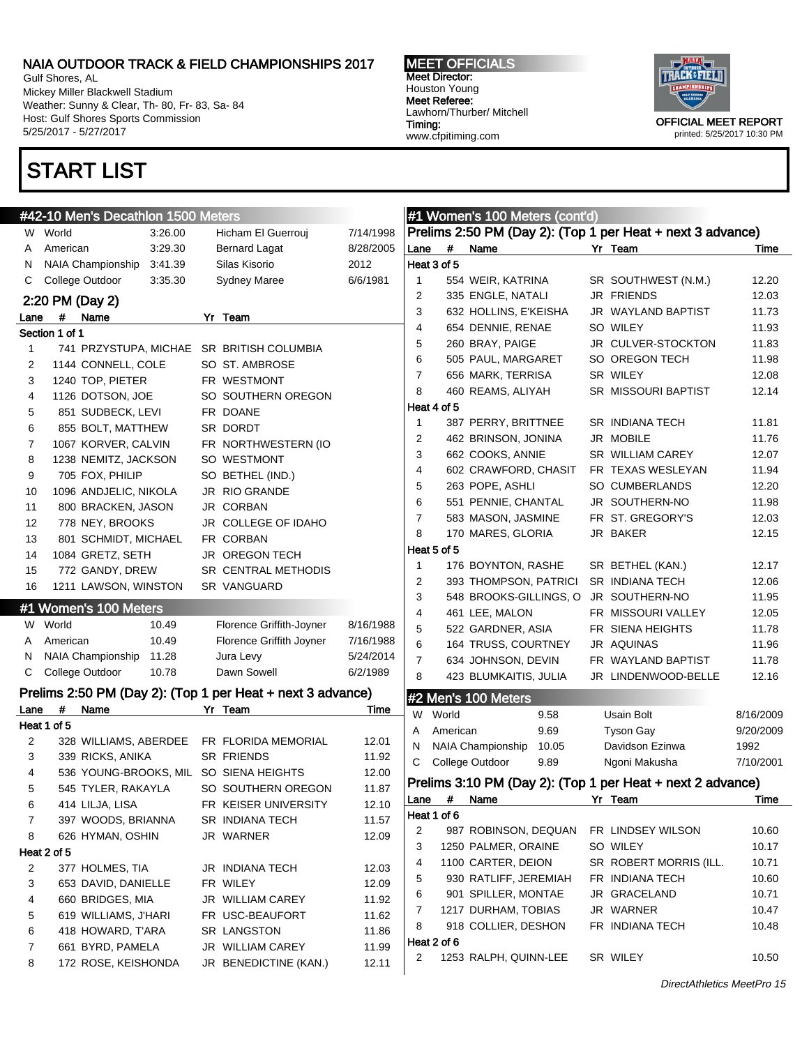Gulf Shores, AL Mickey Miller Blackwell Stadium Weather: Sunny & Clear, Th- 80, Fr- 83, Sa- 84 Host: Gulf Shores Sports Commission 5/25/2017 - 5/27/2017

# START LIST

MEET OFFICIALS Meet Director: Houston Young Meet Referee: Lawhorn/Thurber/ Mitchell Timing: www.cfpitiming.com



|        | #42-10 Men's Decathlon 1500 Meters                         |                                           |                |                  | #1 Women's 100 Meters (cont'd)        |       |                                                            |           |
|--------|------------------------------------------------------------|-------------------------------------------|----------------|------------------|---------------------------------------|-------|------------------------------------------------------------|-----------|
|        | W World<br>3:26.00                                         | Hicham El Guerrouj                        | 7/14/1998      |                  |                                       |       | Prelims 2:50 PM (Day 2): (Top 1 per Heat + next 3 advance) |           |
| A      | 3:29.30<br>American                                        | <b>Bernard Lagat</b>                      | 8/28/2005      | Lane             | #<br>Name                             |       | Yr Team                                                    | Time      |
| N      | 3:41.39<br>NAIA Championship                               | Silas Kisorio                             | 2012           | Heat 3 of 5      |                                       |       |                                                            |           |
| С      | College Outdoor<br>3:35.30                                 | <b>Sydney Maree</b>                       | 6/6/1981       | 1                | 554 WEIR, KATRINA                     |       | SR SOUTHWEST (N.M.)                                        | 12.20     |
|        | 2:20 PM (Day 2)                                            |                                           |                | 2                | 335 ENGLE, NATALI                     |       | JR FRIENDS                                                 | 12.03     |
| Lane   | #<br>Name                                                  | Yr Team                                   |                | 3                | 632 HOLLINS, E'KEISHA                 |       | JR WAYLAND BAPTIST                                         | 11.73     |
|        | Section 1 of 1                                             |                                           |                | 4                | 654 DENNIE, RENAE                     |       | SO WILEY                                                   | 11.93     |
| 1      | 741 PRZYSTUPA, MICHAE                                      | SR BRITISH COLUMBIA                       |                | 5                | 260 BRAY, PAIGE                       |       | JR CULVER-STOCKTON                                         | 11.83     |
| 2      | 1144 CONNELL, COLE                                         | SO ST. AMBROSE                            |                | 6                | 505 PAUL, MARGARET                    |       | SO OREGON TECH                                             | 11.98     |
| 3      | 1240 TOP, PIETER                                           | FR WESTMONT                               |                | $\overline{7}$   | 656 MARK, TERRISA                     |       | SR WILEY                                                   | 12.08     |
| 4      | 1126 DOTSON, JOE                                           | SO SOUTHERN OREGON                        |                | 8                | 460 REAMS, ALIYAH                     |       | SR MISSOURI BAPTIST                                        | 12.14     |
| 5      | 851 SUDBECK, LEVI                                          | FR DOANE                                  |                | Heat 4 of 5      |                                       |       |                                                            |           |
| 6      | 855 BOLT, MATTHEW                                          | SR DORDT                                  |                | 1                | 387 PERRY, BRITTNEE                   |       | SR INDIANA TECH                                            | 11.81     |
| 7      | 1067 KORVER, CALVIN                                        | FR NORTHWESTERN (IO                       |                | 2                | 462 BRINSON, JONINA                   |       | JR MOBILE                                                  | 11.76     |
| 8      | 1238 NEMITZ, JACKSON                                       | SO WESTMONT                               |                | 3                | 662 COOKS, ANNIE                      |       | SR WILLIAM CAREY                                           | 12.07     |
| 9      | 705 FOX, PHILIP                                            | SO BETHEL (IND.)                          |                | 4                | 602 CRAWFORD, CHASIT                  |       | FR TEXAS WESLEYAN                                          | 11.94     |
| 10     | 1096 ANDJELIC, NIKOLA                                      | JR RIO GRANDE                             |                | 5                | 263 POPE, ASHLI                       |       | SO CUMBERLANDS                                             | 12.20     |
| 11     | 800 BRACKEN, JASON                                         | JR CORBAN                                 |                | 6                | 551 PENNIE, CHANTAL                   |       | JR SOUTHERN-NO                                             | 11.98     |
| 12     | 778 NEY, BROOKS                                            | JR COLLEGE OF IDAHO                       |                | $\overline{7}$   | 583 MASON, JASMINE                    |       | FR ST. GREGORY'S                                           | 12.03     |
| 13     | 801 SCHMIDT, MICHAEL                                       | FR CORBAN                                 |                | 8                | 170 MARES, GLORIA                     |       | JR BAKER                                                   | 12.15     |
| 14     | 1084 GRETZ, SETH                                           | JR OREGON TECH                            |                | Heat 5 of 5      |                                       |       |                                                            |           |
| 15     | 772 GANDY, DREW                                            | SR CENTRAL METHODIS                       |                | 1                | 176 BOYNTON, RASHE                    |       | SR BETHEL (KAN.)                                           | 12.17     |
| 16     | 1211 LAWSON, WINSTON                                       | SR VANGUARD                               |                | 2                | 393 THOMPSON, PATRICI                 |       | SR INDIANA TECH                                            | 12.06     |
|        |                                                            |                                           |                |                  |                                       |       |                                                            |           |
|        |                                                            |                                           |                | 3                | 548 BROOKS-GILLINGS, O JR SOUTHERN-NO |       |                                                            | 11.95     |
|        | #1 Women's 100 Meters                                      |                                           |                | 4                | 461 LEE, MALON                        |       | FR MISSOURI VALLEY                                         | 12.05     |
|        | W World<br>10.49                                           | Florence Griffith-Joyner                  | 8/16/1988      | 5                | 522 GARDNER, ASIA                     |       | FR SIENA HEIGHTS                                           | 11.78     |
| Α      | 10.49<br>American                                          | Florence Griffith Joyner                  | 7/16/1988      | 6                | 164 TRUSS, COURTNEY                   |       | JR AQUINAS                                                 | 11.96     |
| N      | <b>NAIA Championship</b><br>11.28                          | Jura Levy                                 | 5/24/2014      | $\overline{7}$   | 634 JOHNSON, DEVIN                    |       | FR WAYLAND BAPTIST                                         | 11.78     |
| С      | College Outdoor<br>10.78                                   | Dawn Sowell                               | 6/2/1989       | 8                | 423 BLUMKAITIS, JULIA                 |       | JR LINDENWOOD-BELLE                                        | 12.16     |
|        | Prelims 2:50 PM (Day 2): (Top 1 per Heat + next 3 advance) |                                           |                |                  | #2 Men's 100 Meters                   |       |                                                            |           |
| Lane   | #<br>Name                                                  | Yr Team                                   | Time           | W                | World                                 | 9.58  | Usain Bolt                                                 | 8/16/2009 |
|        | Heat 1 of 5                                                |                                           |                | A                | American                              | 9.69  | <b>Tyson Gay</b>                                           | 9/20/2009 |
| 2      | 328 WILLIAMS, ABERDEE                                      | FR FLORIDA MEMORIAL                       | 12.01          | N                | NAIA Championship                     | 10.05 | Davidson Ezinwa                                            | 1992      |
| 3      | 339 RICKS, ANIKA                                           | <b>SR FRIENDS</b>                         | 11.92          | С                | College Outdoor                       | 9.89  | Ngoni Makusha                                              | 7/10/2001 |
| 4      | 536 YOUNG-BROOKS, MIL                                      | SO SIENA HEIGHTS                          | 12.00          |                  |                                       |       |                                                            |           |
| 5      | 545 TYLER, RAKAYLA                                         | SO SOUTHERN OREGON                        | 11.87          |                  |                                       |       | Prelims 3:10 PM (Day 2): (Top 1 per Heat + next 2 advance) |           |
| 6      | 414 LILJA, LISA                                            | FR KEISER UNIVERSITY                      | 12.10          |                  | Lane # Name                           |       | Yr Team                                                    | Time      |
| 7      | 397 WOODS, BRIANNA                                         | SR INDIANA TECH                           | 11.57          | Heat 1 of 6      |                                       |       |                                                            |           |
| 8      | 626 HYMAN, OSHIN                                           | JR WARNER                                 | 12.09          | $\overline{c}$   | 987 ROBINSON, DEQUAN                  |       | FR LINDSEY WILSON                                          | 10.60     |
|        | Heat 2 of 5                                                |                                           |                | 3                | 1250 PALMER, ORAINE                   |       | SO WILEY                                                   | 10.17     |
| 2      | 377 HOLMES, TIA                                            | <b>JR INDIANA TECH</b>                    | 12.03          | 4                | 1100 CARTER, DEION                    |       | SR ROBERT MORRIS (ILL.                                     | 10.71     |
| 3      | 653 DAVID, DANIELLE                                        | FR WILEY                                  | 12.09          | 5                | 930 RATLIFF, JEREMIAH                 |       | FR INDIANA TECH                                            | 10.60     |
| 4      | 660 BRIDGES, MIA                                           | JR WILLIAM CAREY                          | 11.92          | 6                | 901 SPILLER, MONTAE                   |       | JR GRACELAND                                               | 10.71     |
| 5      | 619 WILLIAMS, J'HARI                                       | FR USC-BEAUFORT                           | 11.62          | 7                | 1217 DURHAM, TOBIAS                   |       | JR WARNER                                                  | 10.47     |
| 6      | 418 HOWARD, T'ARA                                          | SR LANGSTON                               | 11.86          | 8                | 918 COLLIER, DESHON                   |       | FR INDIANA TECH                                            | 10.48     |
| 7<br>8 | 661 BYRD, PAMELA<br>172 ROSE, KEISHONDA                    | JR WILLIAM CAREY<br>JR BENEDICTINE (KAN.) | 11.99<br>12.11 | Heat 2 of 6<br>2 | 1253 RALPH, QUINN-LEE                 |       | SR WILEY                                                   | 10.50     |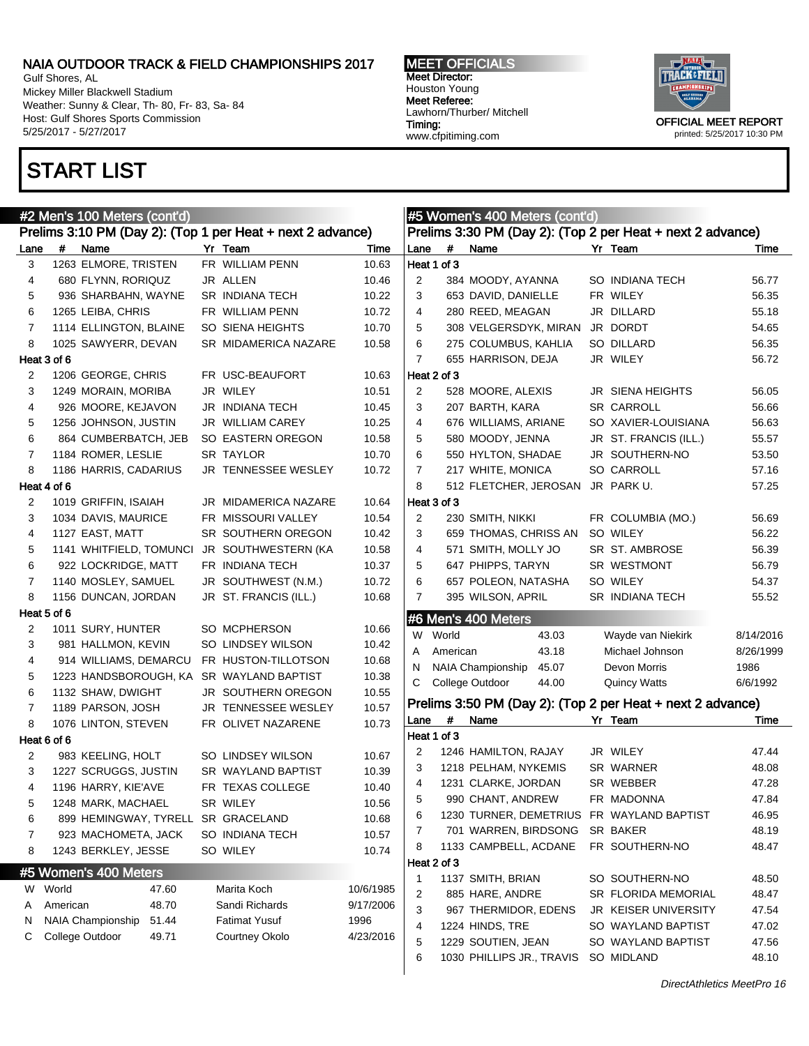Prelims 3:10 PM (Day 2): (Top 1 per Heat + next 2 advance) Lane # Name Time Yr Team Time 3 1263 ELMORE, TRISTEN FR WILLIAM PENN 10.63 4 680 FLYNN, RORIQUZ JR ALLEN 10.46 5 936 SHARBAHN, WAYNE SR INDIANA TECH 10.22 6 1265 LEIBA, CHRIS FR WILLIAM PENN 10.72 7 1114 ELLINGTON, BLAINE SO SIENA HEIGHTS 10.70 8 1025 SAWYERR, DEVAN SR MIDAMERICA NAZARE 10.58

2 1206 GEORGE, CHRIS FR USC-BEAUFORT 10.63 3 1249 MORAIN, MORIBA JR WILEY 10.51 4 926 MOORE, KEJAVON JR INDIANA TECH 10.45 5 1256 JOHNSON, JUSTIN JR WILLIAM CAREY 10.25 6 864 CUMBERBATCH, JEB SO EASTERN OREGON 10.58 7 1184 ROMER, LESLIE SR TAYLOR 10.70 8 1186 HARRIS, CADARIUS JR TENNESSEE WESLEY 10.72

2 1019 GRIFFIN, ISAIAH JR MIDAMERICA NAZARE 10.64 3 1034 DAVIS, MAURICE FR MISSOURI VALLEY 10.54 4 1127 EAST, MATT SR SOUTHERN OREGON 10.42 5 1141 WHITFIELD, TOMUNCI JR SOUTHWESTERN (KA 10.58 6 922 LOCKRIDGE, MATT FR INDIANA TECH 10.37 7 1140 MOSLEY, SAMUEL JR SOUTHWEST (N.M.) 10.72 8 1156 DUNCAN, JORDAN JR ST. FRANCIS (ILL.) 10.68

2 1011 SURY, HUNTER SO MCPHERSON 10.66 3 981 HALLMON, KEVIN SO LINDSEY WILSON 10.42 4 914 WILLIAMS, DEMARCU FR HUSTON-TILLOTSON 10.68 5 1223 HANDSBOROUGH, KA SR WAYLAND BAPTIST 10.38 6 1132 SHAW, DWIGHT JR SOUTHERN OREGON 10.55 7 1189 PARSON, JOSH JR TENNESSEE WESLEY 10.57 8 1076 LINTON, STEVEN FR OLIVET NAZARENE 10.73

2 983 KEELING, HOLT SO LINDSEY WILSON 10.67 3 1227 SCRUGGS, JUSTIN SR WAYLAND BAPTIST 10.39 4 1196 HARRY, KIE'AVE FR TEXAS COLLEGE 10.40 5 1248 MARK, MACHAEL SR WILEY 10.56 6 899 HEMINGWAY, TYRELL SR GRACELAND 10.68 7 923 MACHOMETA, JACK SO INDIANA TECH 10.57 8 1243 BERKLEY, JESSE SO WILEY 10.74

W World 47.60 Marita Koch 10/6/1985 A American 48.70 Sandi Richards 9/17/2006 N NAIA Championship 51.44 Fatimat Yusuf 1996 C College Outdoor 49.71 Courtney Okolo 4/23/2016

Gulf Shores, AL Mickey Miller Blackwell Stadium Weather: Sunny & Clear, Th- 80, Fr- 83, Sa- 84 Host: Gulf Shores Sports Commission 5/25/2017 - 5/27/2017

### START LIST

Heat 3 of 6

Heat 4 of 6

Heat 5 of 6

Heat 6 of 6

#5 Women's 400 Meters

#2 Men's 100 Meters (cont'd)

MEET OFFICIALS Meet Director: Houston Young Meet Referee: Lawhorn/Thurber/ Mitchell Timing: www.cfpitiming.com

Heat 1 of 3

Heat 2 of 3

Heat 3 of 3

#6 Men's 400 Meters

#5 Women's 400 Meters (cont'd)

Prelims 3:30 PM (Day 2): (Top 2 per Heat + next 2 advance) Lane # Name **Yr Team** 7 Time

 384 MOODY, AYANNA SO INDIANA TECH 56.77 653 DAVID, DANIELLE FR WILEY 56.35 4 280 REED, MEAGAN JR DILLARD 55.18 308 VELGERSDYK, MIRAN JR DORDT 54.65 275 COLUMBUS, KAHLIA SO DILLARD 56.35 655 HARRISON, DEJA JR WILEY 56.72

2 528 MOORE, ALEXIS JR SIENA HEIGHTS 56.05 3 207 BARTH, KARA SR CARROLL 56.66 4 676 WILLIAMS, ARIANE SO XAVIER-LOUISIANA 56.63 5 580 MOODY, JENNA JR ST. FRANCIS (ILL.) 55.57 6 550 HYLTON, SHADAE JR SOUTHERN-NO 53.50 7 217 WHITE, MONICA SO CARROLL 57.16 8 512 FLETCHER, JEROSAN JR PARK U. 57.25

 230 SMITH, NIKKI FR COLUMBIA (MO.) 56.69 659 THOMAS, CHRISS AN SO WILEY 56.22 4 571 SMITH, MOLLY JO SR ST. AMBROSE 56.39 647 PHIPPS, TARYN SR WESTMONT 56.79 657 POLEON, NATASHA SO WILEY 54.37 395 WILSON, APRIL SR INDIANA TECH 55.52



### C College Outdoor 44.00 Quincy Watts 6/6/1992 Prelims 3:50 PM (Day 2): (Top 2 per Heat + next 2 advance)

W World 43.03 Wayde van Niekirk 8/14/2016 A American 43.18 Michael Johnson 8/26/1999 N NAIA Championship 45.07 Devon Morris 1986

| Lane        | # | Name                      | Yr | Team                        | Time  |
|-------------|---|---------------------------|----|-----------------------------|-------|
| Heat 1 of 3 |   |                           |    |                             |       |
| 2           |   | 1246 HAMILTON, RAJAY      |    | JR WILEY                    | 47.44 |
| 3           |   | 1218 PELHAM, NYKEMIS      |    | SR WARNER                   | 48.08 |
| 4           |   | 1231 CLARKE, JORDAN       |    | SR WEBBER                   | 47.28 |
| 5           |   | 990 CHANT, ANDREW         |    | FR MADONNA                  | 47.84 |
| 6           |   | 1230 TURNER, DEMETRIUS    |    | FR WAYLAND BAPTIST          | 46.95 |
| 7           |   | 701 WARREN, BIRDSONG      |    | SR BAKER                    | 48.19 |
| 8           |   | 1133 CAMPBELL, ACDANE     |    | FR SOUTHERN-NO              | 48.47 |
| Heat 2 of 3 |   |                           |    |                             |       |
| 1           |   | 1137 SMITH, BRIAN         |    | SO SOUTHERN-NO              | 48.50 |
| 2           |   | 885 HARE, ANDRE           |    | SR FLORIDA MEMORIAL         | 48.47 |
| 3           |   | 967 THERMIDOR, EDENS      |    | <b>JR KEISER UNIVERSITY</b> | 47.54 |
| 4           |   | 1224 HINDS, TRE           |    | SO WAYLAND BAPTIST          | 47.02 |
| 5           |   | 1229 SOUTIEN, JEAN        |    | SO WAYLAND BAPTIST          | 47.56 |
| 6           |   | 1030 PHILLIPS JR., TRAVIS |    | SO MIDLAND                  | 48.10 |

OFFICIAL MEET REPORT printed: 5/25/2017 10:30 PM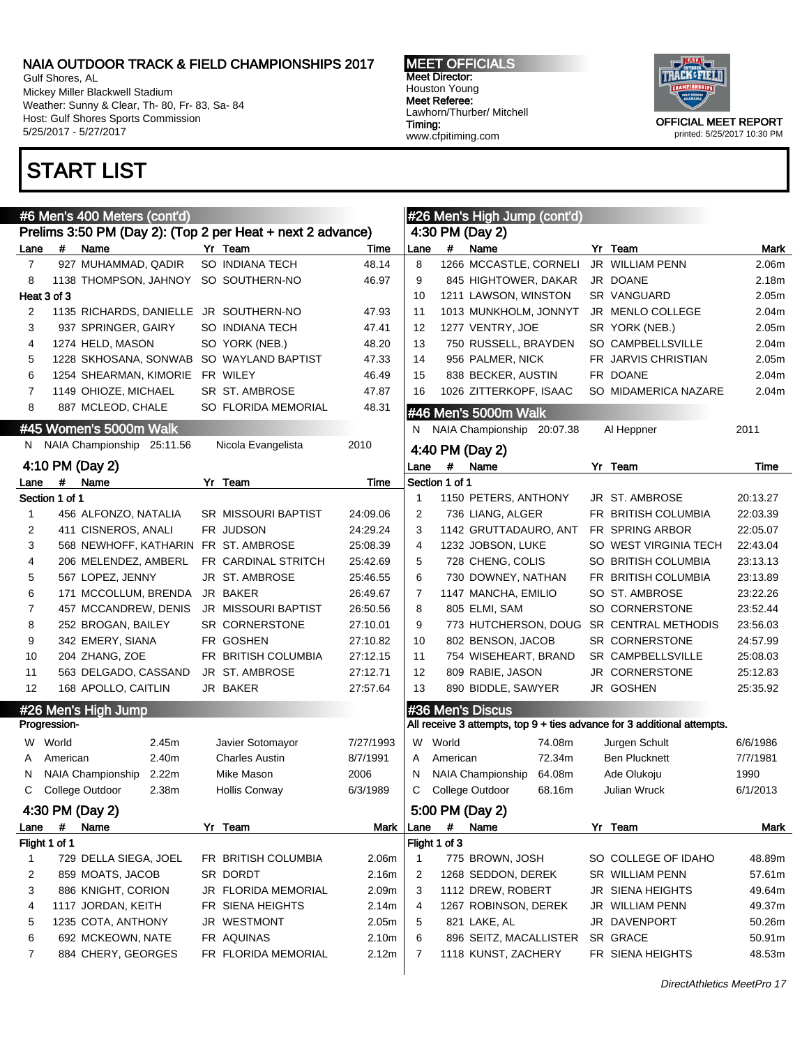Gulf Shores, AL Mickey Miller Blackwell Stadium Weather: Sunny & Clear, Th- 80, Fr- 83, Sa- 84 Host: Gulf Shores Sports Commission 5/25/2017 - 5/27/2017

## START LIST

MEET OFFICIALS Meet Director: Houston Young Meet Referee: Lawhorn/Thurber/ Mitchell Timing: www.cfpitiming.com



|              |                | #6 Men's 400 Meters (cont'd) |                                                            | #26 Men's High Jump (cont'd) |                 |                |                            |        |  |                                                                         |                  |  |  |
|--------------|----------------|------------------------------|------------------------------------------------------------|------------------------------|-----------------|----------------|----------------------------|--------|--|-------------------------------------------------------------------------|------------------|--|--|
|              |                |                              | Prelims 3:50 PM (Day 2): (Top 2 per Heat + next 2 advance) |                              | 4:30 PM (Day 2) |                |                            |        |  |                                                                         |                  |  |  |
| Lane         | #              | Name                         | Yr Team                                                    | Time                         | Lane            | #              | Name                       |        |  | Yr Team                                                                 | Mark             |  |  |
| 7            |                | 927 MUHAMMAD, QADIR          | SO INDIANA TECH                                            | 48.14                        | 8               |                | 1266 MCCASTLE, CORNELI     |        |  | JR WILLIAM PENN                                                         | 2.06m            |  |  |
| 8            |                | 1138 THOMPSON, JAHNOY        | SO SOUTHERN-NO                                             | 46.97                        | 9               |                | 845 HIGHTOWER, DAKAR       |        |  | JR DOANE                                                                | 2.18m            |  |  |
|              | Heat 3 of 3    |                              |                                                            |                              | 10              |                | 1211 LAWSON, WINSTON       |        |  | SR VANGUARD                                                             | 2.05m            |  |  |
| 2            |                | 1135 RICHARDS, DANIELLE      | JR SOUTHERN-NO                                             | 47.93                        | 11              |                | 1013 MUNKHOLM, JONNYT      |        |  | JR MENLO COLLEGE                                                        | 2.04m            |  |  |
| 3            |                | 937 SPRINGER, GAIRY          | SO INDIANA TECH                                            | 47.41                        | 12              |                | 1277 VENTRY, JOE           |        |  | SR YORK (NEB.)                                                          | 2.05m            |  |  |
| 4            |                | 1274 HELD, MASON             | SO YORK (NEB.)                                             | 48.20                        | 13              |                | 750 RUSSELL, BRAYDEN       |        |  | SO CAMPBELLSVILLE                                                       | 2.04m            |  |  |
| 5            |                | 1228 SKHOSANA, SONWAB        | SO WAYLAND BAPTIST                                         | 47.33                        | 14              |                | 956 PALMER, NICK           |        |  | FR JARVIS CHRISTIAN                                                     | 2.05m            |  |  |
| 6            |                | 1254 SHEARMAN, KIMORIE       | FR WILEY                                                   | 46.49                        | 15              |                | 838 BECKER, AUSTIN         |        |  | FR DOANE                                                                | 2.04m            |  |  |
| 7            |                | 1149 OHIOZE, MICHAEL         | SR ST. AMBROSE                                             | 47.87                        | 16              |                | 1026 ZITTERKOPF, ISAAC     |        |  | SO MIDAMERICA NAZARE                                                    | 2.04m            |  |  |
| 8            |                | 887 MCLEOD, CHALE            | SO FLORIDA MEMORIAL                                        | 48.31                        |                 |                | #46 Men's 5000m Walk       |        |  |                                                                         |                  |  |  |
|              |                | #45 Women's 5000m Walk       |                                                            |                              | N.              |                | NAIA Championship 20:07.38 |        |  | Al Heppner                                                              | 2011             |  |  |
| N.           |                | NAIA Championship 25:11.56   | Nicola Evangelista                                         | 2010                         |                 |                |                            |        |  |                                                                         |                  |  |  |
|              |                | 4:10 PM (Day 2)              |                                                            |                              | Lane            | #              | 4:40 PM (Day 2)<br>Name    |        |  | Yr Team                                                                 | Time             |  |  |
| Lane         | #              | Name                         | Yr Team                                                    | Time                         |                 | Section 1 of 1 |                            |        |  |                                                                         |                  |  |  |
|              | Section 1 of 1 |                              |                                                            |                              | 1               |                | 1150 PETERS, ANTHONY       |        |  | JR ST. AMBROSE                                                          | 20:13.27         |  |  |
| $\mathbf{1}$ |                | 456 ALFONZO, NATALIA         | SR MISSOURI BAPTIST                                        | 24:09.06                     | 2               |                | 736 LIANG, ALGER           |        |  | FR BRITISH COLUMBIA                                                     | 22:03.39         |  |  |
| 2            |                | 411 CISNEROS, ANALI          | FR JUDSON                                                  | 24:29.24                     | 3               |                | 1142 GRUTTADAURO, ANT      |        |  | FR SPRING ARBOR                                                         | 22:05.07         |  |  |
| 3            |                | 568 NEWHOFF, KATHARIN        | FR ST. AMBROSE                                             | 25:08.39                     | 4               |                | 1232 JOBSON, LUKE          |        |  | SO WEST VIRGINIA TECH                                                   | 22:43.04         |  |  |
| 4            |                | 206 MELENDEZ, AMBERL         | FR CARDINAL STRITCH                                        | 25:42.69                     | 5               |                | 728 CHENG, COLIS           |        |  | SO BRITISH COLUMBIA                                                     | 23:13.13         |  |  |
| 5            |                | 567 LOPEZ, JENNY             | JR ST. AMBROSE                                             | 25:46.55                     | 6               |                | 730 DOWNEY, NATHAN         |        |  | FR BRITISH COLUMBIA                                                     | 23:13.89         |  |  |
| 6            |                | 171 MCCOLLUM, BRENDA         | <b>JR BAKER</b>                                            | 26:49.67                     | 7               |                | 1147 MANCHA, EMILIO        |        |  | SO ST. AMBROSE                                                          | 23:22.26         |  |  |
| 7            |                | 457 MCCANDREW, DENIS         | JR MISSOURI BAPTIST                                        | 26:50.56                     | 8               |                | 805 ELMI, SAM              |        |  | SO CORNERSTONE                                                          | 23:52.44         |  |  |
| 8            |                | 252 BROGAN, BAILEY           | <b>SR CORNERSTONE</b>                                      | 27:10.01                     | 9               |                | 773 HUTCHERSON, DOUG       |        |  | SR CENTRAL METHODIS                                                     | 23:56.03         |  |  |
| 9            |                | 342 EMERY, SIANA             | FR GOSHEN                                                  | 27:10.82                     | 10              |                | 802 BENSON, JACOB          |        |  | SR CORNERSTONE                                                          | 24:57.99         |  |  |
| 10           |                | 204 ZHANG, ZOE               | FR BRITISH COLUMBIA                                        | 27:12.15                     | 11              |                | 754 WISEHEART, BRAND       |        |  | SR CAMPBELLSVILLE                                                       | 25:08.03         |  |  |
| 11           |                | 563 DELGADO, CASSAND         | JR ST. AMBROSE                                             | 27:12.71                     | 12              |                | 809 RABIE, JASON           |        |  | JR CORNERSTONE                                                          | 25:12.83         |  |  |
| 12           |                | 168 APOLLO, CAITLIN          | JR BAKER                                                   | 27:57.64                     | 13              |                | 890 BIDDLE, SAWYER         |        |  | JR GOSHEN                                                               | 25:35.92         |  |  |
|              |                |                              |                                                            |                              |                 |                |                            |        |  |                                                                         |                  |  |  |
|              | Progression-   | #26 Men's High Jump          |                                                            |                              |                 |                | #36 Men's Discus           |        |  | All receive 3 attempts, top 9 + ties advance for 3 additional attempts. |                  |  |  |
| W            | World          | 2.45m                        |                                                            | 7/27/1993                    | W               | World          |                            | 74.08m |  |                                                                         | 6/6/1986         |  |  |
| A            | American       | 2.40m                        | Javier Sotomayor<br><b>Charles Austin</b>                  | 8/7/1991                     | A               | American       |                            | 72.34m |  | Jurgen Schult<br><b>Ben Plucknett</b>                                   |                  |  |  |
|              |                | NAIA Championship<br>2.22m   |                                                            | 2006                         | N               |                | NAIA Championship          | 64.08m |  |                                                                         | 7/7/1981         |  |  |
| N<br>С       |                | 2.38m                        | Mike Mason                                                 | 6/3/1989                     | C               |                | College Outdoor            | 68.16m |  | Ade Olukoju                                                             | 1990<br>6/1/2013 |  |  |
|              |                | College Outdoor              | <b>Hollis Conway</b>                                       |                              |                 |                |                            |        |  | Julian Wruck                                                            |                  |  |  |
|              |                | 4:30 PM (Day 2)              |                                                            |                              |                 |                | 5:00 PM (Day 2)            |        |  |                                                                         |                  |  |  |
| Lane         | #              | Name                         | Yr Team                                                    | Mark   Lane                  |                 | #              | Name                       |        |  | Yr Team                                                                 | Mark             |  |  |
|              | Flight 1 of 1  |                              |                                                            |                              |                 | Flight 1 of 3  |                            |        |  |                                                                         |                  |  |  |
| 1            |                | 729 DELLA SIEGA, JOEL        | FR BRITISH COLUMBIA                                        | 2.06m                        | 1               |                | 775 BROWN, JOSH            |        |  | SO COLLEGE OF IDAHO                                                     | 48.89m           |  |  |
| 2            |                | 859 MOATS, JACOB             | SR DORDT                                                   | 2.16m                        | 2               |                | 1268 SEDDON, DEREK         |        |  | SR WILLIAM PENN                                                         | 57.61m           |  |  |
| 3            |                | 886 KNIGHT, CORION           | JR FLORIDA MEMORIAL                                        | 2.09m                        | 3               |                | 1112 DREW, ROBERT          |        |  | JR SIENA HEIGHTS                                                        | 49.64m           |  |  |
| 4            |                | 1117 JORDAN, KEITH           | FR SIENA HEIGHTS                                           | 2.14m                        | 4               |                | 1267 ROBINSON, DEREK       |        |  | JR WILLIAM PENN                                                         | 49.37m           |  |  |
| 5            |                | 1235 COTA, ANTHONY           | JR WESTMONT                                                | 2.05m                        | 5               |                | 821 LAKE, AL               |        |  | JR DAVENPORT                                                            | 50.26m           |  |  |
| 6            |                | 692 MCKEOWN, NATE            | FR AQUINAS                                                 | 2.10m                        | 6               |                | 896 SEITZ, MACALLISTER     |        |  | SR GRACE                                                                | 50.91m           |  |  |
| 7            |                | 884 CHERY, GEORGES           | FR FLORIDA MEMORIAL                                        | 2.12m                        | 7               |                | 1118 KUNST, ZACHERY        |        |  | FR SIENA HEIGHTS                                                        | 48.53m           |  |  |
|              |                |                              |                                                            |                              |                 |                |                            |        |  |                                                                         |                  |  |  |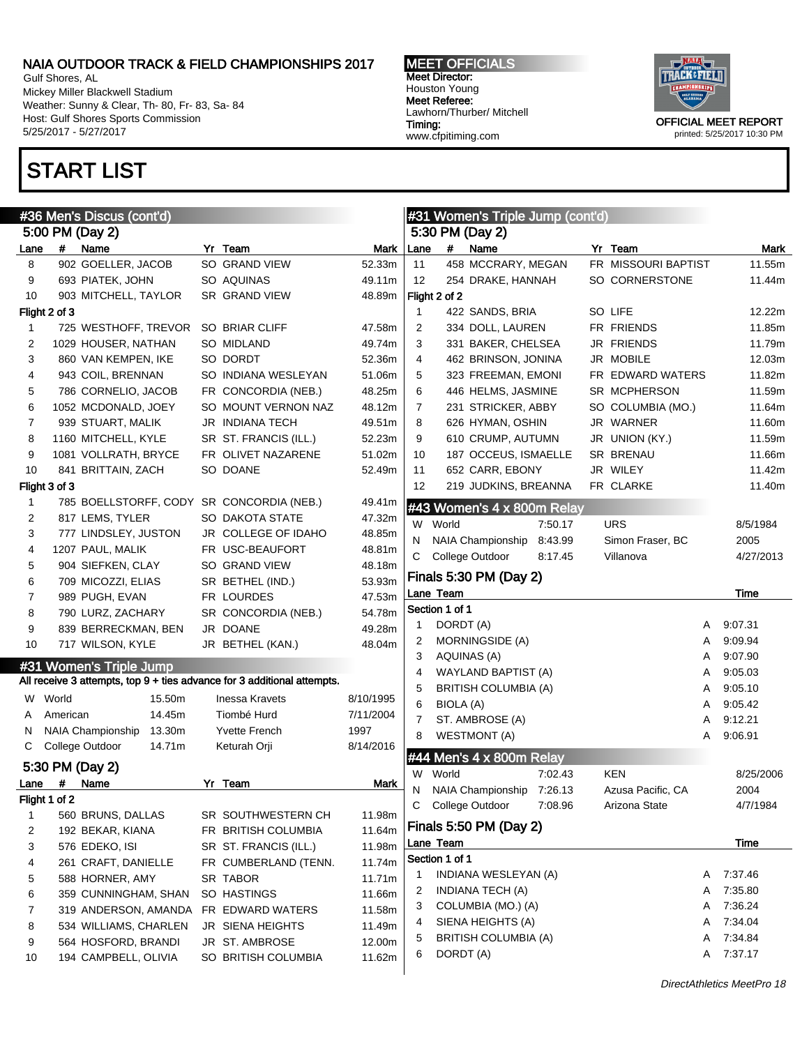Gulf Shores, AL Mickey Miller Blackwell Stadium Weather: Sunny & Clear, Th- 80, Fr- 83, Sa- 84 Host: Gulf Shores Sports Commission 5/25/2017 - 5/27/2017

## START LIST

MEET OFFICIALS Meet Director: Houston Young Meet Referee: Lawhorn/Thurber/ Mitchell Timing: www.cfpitiming.com



|      |               | #36 Men's Discus (cont'd)                 |                                                                         |           |                |                | #31 Women's Triple Jump (cont'd) |         |                     |   |           |
|------|---------------|-------------------------------------------|-------------------------------------------------------------------------|-----------|----------------|----------------|----------------------------------|---------|---------------------|---|-----------|
|      |               | 5:00 PM (Day 2)                           |                                                                         |           |                |                | 5:30 PM (Day 2)                  |         |                     |   |           |
| Lane | #             | Name                                      | Yr Team                                                                 | Mark      | Lane           | #              | Name                             |         | Yr Team             |   | Mark      |
| 8    |               | 902 GOELLER, JACOB                        | SO GRAND VIEW                                                           | 52.33m    | 11             |                | 458 MCCRARY, MEGAN               |         | FR MISSOURI BAPTIST |   | 11.55m    |
| 9    |               | 693 PIATEK, JOHN                          | SO AQUINAS                                                              | 49.11m    | 12             |                | 254 DRAKE, HANNAH                |         | SO CORNERSTONE      |   | 11.44m    |
| 10   |               | 903 MITCHELL, TAYLOR                      | SR GRAND VIEW                                                           | 48.89m    |                | Flight 2 of 2  |                                  |         |                     |   |           |
|      | Flight 2 of 3 |                                           |                                                                         |           | $\mathbf{1}$   |                | 422 SANDS, BRIA                  |         | SO LIFE             |   | 12.22m    |
| 1    |               | 725 WESTHOFF, TREVOR                      | SO BRIAR CLIFF                                                          | 47.58m    | $\overline{2}$ |                | 334 DOLL, LAUREN                 |         | FR FRIENDS          |   | 11.85m    |
| 2    |               | 1029 HOUSER, NATHAN                       | SO MIDLAND                                                              | 49.74m    | 3              |                | 331 BAKER, CHELSEA               |         | JR FRIENDS          |   | 11.79m    |
| 3    |               | 860 VAN KEMPEN, IKE                       | SO DORDT                                                                | 52.36m    | 4              |                | 462 BRINSON, JONINA              |         | JR MOBILE           |   | 12.03m    |
| 4    |               | 943 COIL, BRENNAN                         | SO INDIANA WESLEYAN                                                     | 51.06m    | 5              |                | 323 FREEMAN, EMONI               |         | FR EDWARD WATERS    |   | 11.82m    |
| 5    |               | 786 CORNELIO, JACOB                       | FR CONCORDIA (NEB.)                                                     | 48.25m    | 6              |                | 446 HELMS, JASMINE               |         | SR MCPHERSON        |   | 11.59m    |
| 6    |               | 1052 MCDONALD, JOEY                       | SO MOUNT VERNON NAZ                                                     | 48.12m    | 7              |                | 231 STRICKER, ABBY               |         | SO COLUMBIA (MO.)   |   | 11.64m    |
| 7    |               | 939 STUART, MALIK                         | <b>JR INDIANA TECH</b>                                                  | 49.51m    | 8              |                | 626 HYMAN, OSHIN                 |         | JR WARNER           |   | 11.60m    |
| 8    |               | 1160 MITCHELL, KYLE                       | SR ST. FRANCIS (ILL.)                                                   | 52.23m    | 9              |                | 610 CRUMP, AUTUMN                |         | JR UNION (KY.)      |   | 11.59m    |
| 9    |               | 1081 VOLLRATH, BRYCE                      | FR OLIVET NAZARENE                                                      | 51.02m    | 10             |                | 187 OCCEUS, ISMAELLE             |         | SR BRENAU           |   | 11.66m    |
| 10   |               | 841 BRITTAIN, ZACH                        | SO DOANE                                                                | 52.49m    | 11             |                | 652 CARR, EBONY                  |         | JR WILEY            |   | 11.42m    |
|      | Flight 3 of 3 |                                           |                                                                         |           | 12             |                | 219 JUDKINS, BREANNA             |         | FR CLARKE           |   | 11.40m    |
| 1    |               | 785 BOELLSTORFF, CODY SR CONCORDIA (NEB.) |                                                                         | 49.41m    |                |                |                                  |         |                     |   |           |
| 2    |               | 817 LEMS, TYLER                           | SO DAKOTA STATE                                                         | 47.32m    |                |                | #43 Women's 4 x 800m Relay       |         |                     |   |           |
| 3    |               | 777 LINDSLEY, JUSTON                      | JR COLLEGE OF IDAHO                                                     | 48.85m    | W              | World          |                                  | 7:50.17 | <b>URS</b>          |   | 8/5/1984  |
|      |               | 1207 PAUL, MALIK                          | FR USC-BEAUFORT                                                         |           | N              |                | NAIA Championship                | 8:43.99 | Simon Fraser, BC    |   | 2005      |
| 4    |               |                                           |                                                                         | 48.81m    | С              |                | College Outdoor                  | 8:17.45 | Villanova           |   | 4/27/2013 |
| 5    |               | 904 SIEFKEN, CLAY                         | SO GRAND VIEW                                                           | 48.18m    |                |                | Finals 5:30 PM (Day 2)           |         |                     |   |           |
| 6    |               | 709 MICOZZI, ELIAS                        | SR BETHEL (IND.)                                                        | 53.93m    |                | Lane Team      |                                  |         |                     |   | Time      |
| 7    |               | 989 PUGH, EVAN                            | FR LOURDES                                                              | 47.53m    |                | Section 1 of 1 |                                  |         |                     |   |           |
| 8    |               | 790 LURZ, ZACHARY                         | SR CONCORDIA (NEB.)                                                     | 54.78m    | 1              | DORDT (A)      |                                  |         |                     | A | 9:07.31   |
| 9    |               | 839 BERRECKMAN, BEN                       | JR DOANE                                                                | 49.28m    | 2              |                | <b>MORNINGSIDE (A)</b>           |         |                     | A | 9:09.94   |
| 10   |               | 717 WILSON, KYLE                          | JR BETHEL (KAN.)                                                        | 48.04m    | 3              |                | AQUINAS (A)                      |         |                     | A | 9:07.90   |
|      |               | #31 Women's Triple Jump                   |                                                                         |           | $\overline{4}$ |                | WAYLAND BAPTIST (A)              |         |                     | Α | 9:05.03   |
|      |               |                                           | All receive 3 attempts, top 9 + ties advance for 3 additional attempts. |           | 5              |                | <b>BRITISH COLUMBIA (A)</b>      |         |                     | A | 9:05.10   |
| W    | World         | 15.50m                                    | <b>Inessa Kravets</b>                                                   | 8/10/1995 | 6              | BIOLA (A)      |                                  |         |                     | A | 9:05.42   |
| A    | American      | 14.45m                                    | Tiombé Hurd                                                             | 7/11/2004 | 7              |                | ST. AMBROSE (A)                  |         |                     | A | 9:12.21   |
| N    |               | 13.30m<br><b>NAIA Championship</b>        | <b>Yvette French</b>                                                    | 1997      | 8              |                |                                  |         |                     | A | 9:06.91   |
| С    |               | College Outdoor<br>14.71m                 | Keturah Orji                                                            | 8/14/2016 |                |                | <b>WESTMONT (A)</b>              |         |                     |   |           |
|      |               | 5:30 PM (Day 2)                           |                                                                         |           |                |                | #44 Men's 4 x 800m Relay         |         |                     |   |           |
|      | $\#$          |                                           |                                                                         |           | W              | World          |                                  | 7:02.43 | <b>KEN</b>          |   | 8/25/2006 |
| Lane |               | Name                                      | Yr Team                                                                 | Mark      | N              |                | NAIA Championship 7:26.13        |         | Azusa Pacific, CA   |   | 2004      |
|      | Flight 1 of 2 |                                           | SR SOUTHWESTERN CH                                                      |           |                |                | C College Outdoor                | 7:08.96 | Arizona State       |   | 4/7/1984  |
| 1    |               | 560 BRUNS, DALLAS                         |                                                                         | 11.98m    |                |                | Finals 5:50 PM (Day 2)           |         |                     |   |           |
| 2    |               | 192 BEKAR, KIANA                          | FR BRITISH COLUMBIA                                                     | 11.64m    |                | Lane Team      |                                  |         |                     |   | Time      |
| 3    |               | 576 EDEKO, ISI                            | SR ST. FRANCIS (ILL.)                                                   | 11.98m    |                | Section 1 of 1 |                                  |         |                     |   |           |
| 4    |               | 261 CRAFT, DANIELLE                       | FR CUMBERLAND (TENN.                                                    | 11.74m    | 1              |                | INDIANA WESLEYAN (A)             |         |                     |   | A 7:37.46 |
| 5    |               | 588 HORNER, AMY                           | SR TABOR                                                                | 11.71m    | 2              |                | INDIANA TECH (A)                 |         |                     | A | 7:35.80   |
| 6    |               | 359 CUNNINGHAM, SHAN                      | SO HASTINGS                                                             | 11.66m    | 3              |                | COLUMBIA (MO.) (A)               |         |                     | A | 7:36.24   |
| 7    |               | 319 ANDERSON, AMANDA                      | FR EDWARD WATERS                                                        | 11.58m    |                |                | SIENA HEIGHTS (A)                |         |                     |   | 7:34.04   |
| 8    |               | 534 WILLIAMS, CHARLEN                     | JR SIENA HEIGHTS                                                        | 11.49m    | 4              |                |                                  |         |                     | A | 7:34.84   |
| 9    |               | 564 HOSFORD, BRANDI                       | JR ST. AMBROSE                                                          | 12.00m    | 5              |                | <b>BRITISH COLUMBIA (A)</b>      |         |                     | A |           |
| 10   |               | 194 CAMPBELL, OLIVIA                      | SO BRITISH COLUMBIA                                                     | 11.62m    | 6              | DORDT (A)      |                                  |         |                     |   | A 7:37.17 |
|      |               |                                           |                                                                         |           |                |                |                                  |         |                     |   |           |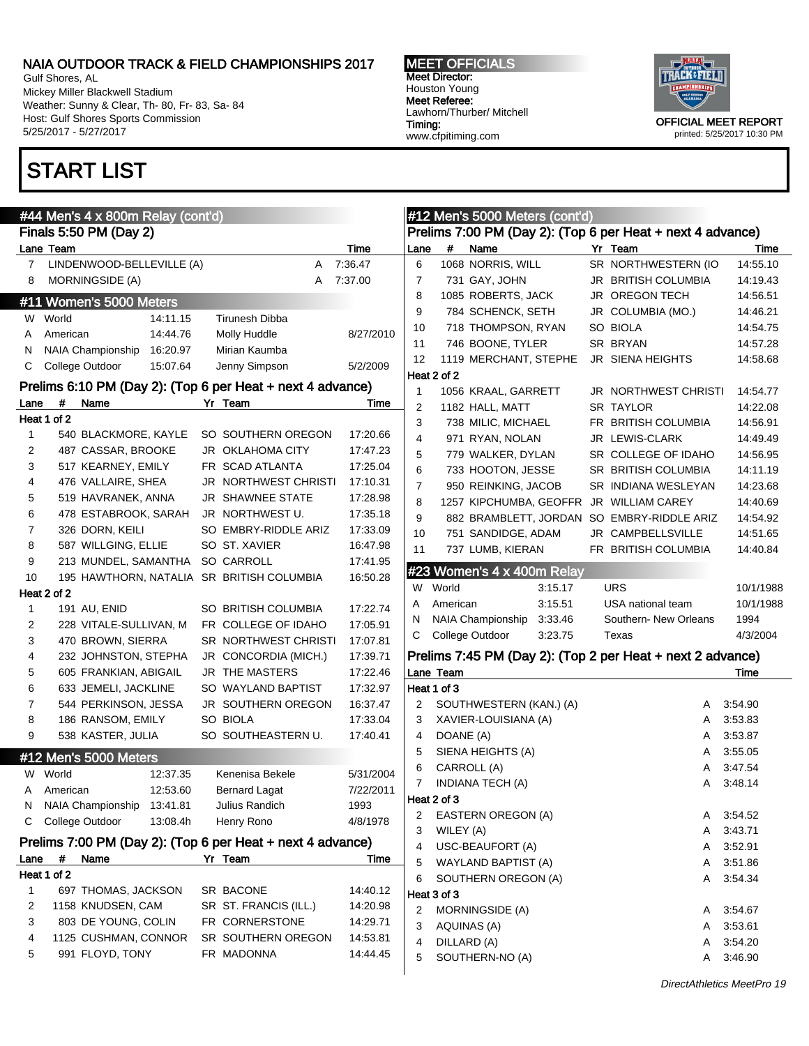Gulf Shores, AL Mickey Miller Blackwell Stadium Weather: Sunny & Clear, Th- 80, Fr- 83, Sa- 84 Host: Gulf Shores Sports Commission 5/25/2017 - 5/27/2017

# START LIST

#### MEET OFFICIALS Meet Director: Houston Young Meet Referee: Lawhorn/Thurber/ Mitchell Timing: www.cfpitiming.com



|              | #44 Men's 4 x 800m Relay (cont'd)                          |                       |                                                            |                |             | #12 Men's 5000 Meters (cont'd)                             |  |                       |           |
|--------------|------------------------------------------------------------|-----------------------|------------------------------------------------------------|----------------|-------------|------------------------------------------------------------|--|-----------------------|-----------|
|              | Finals 5:50 PM (Day 2)                                     |                       | Prelims 7:00 PM (Day 2): (Top 6 per Heat + next 4 advance) |                |             |                                                            |  |                       |           |
|              | Lane Team                                                  |                       | Time                                                       | Lane           | $\#$        | Name                                                       |  | Yr Team               | Time      |
| $\mathbf{7}$ | LINDENWOOD-BELLEVILLE (A)                                  | Α                     | 7:36.47                                                    | 6              |             | 1068 NORRIS, WILL                                          |  | SR NORTHWESTERN (IO   | 14:55.10  |
| 8            | MORNINGSIDE (A)                                            | A                     | 7:37.00                                                    | $\overline{7}$ |             | 731 GAY, JOHN                                              |  | JR BRITISH COLUMBIA   | 14:19.43  |
|              | #11 Women's 5000 Meters                                    |                       |                                                            | 8              |             | 1085 ROBERTS, JACK                                         |  | <b>JR OREGON TECH</b> | 14:56.51  |
|              | W World<br>14:11.15                                        | <b>Tirunesh Dibba</b> |                                                            | 9              |             | 784 SCHENCK, SETH                                          |  | JR COLUMBIA (MO.)     | 14:46.21  |
| A            | American<br>14:44.76                                       | Molly Huddle          | 8/27/2010                                                  | 10             |             | 718 THOMPSON, RYAN                                         |  | SO BIOLA              | 14:54.75  |
| N            | NAIA Championship<br>16:20.97                              | Mirian Kaumba         |                                                            | 11             |             | 746 BOONE, TYLER                                           |  | SR BRYAN              | 14:57.28  |
| C            | College Outdoor<br>15:07.64                                | Jenny Simpson         | 5/2/2009                                                   | 12             |             | 1119 MERCHANT, STEPHE                                      |  | JR SIENA HEIGHTS      | 14:58.68  |
|              |                                                            |                       |                                                            |                | Heat 2 of 2 |                                                            |  |                       |           |
|              | Prelims 6:10 PM (Day 2): (Top 6 per Heat + next 4 advance) |                       |                                                            | $\mathbf{1}$   |             | 1056 KRAAL, GARRETT                                        |  | JR NORTHWEST CHRISTI  | 14:54.77  |
| Lane         | #<br>Name                                                  | Yr Team               | Time                                                       | 2              |             | 1182 HALL, MATT                                            |  | <b>SR TAYLOR</b>      | 14:22.08  |
|              | Heat 1 of 2                                                |                       |                                                            | 3              |             | 738 MILIC, MICHAEL                                         |  | FR BRITISH COLUMBIA   | 14.56.91  |
| 1            | 540 BLACKMORE, KAYLE                                       | SO SOUTHERN OREGON    | 17:20.66                                                   | $\overline{4}$ |             | 971 RYAN, NOLAN                                            |  | JR LEWIS-CLARK        | 14:49.49  |
| 2            | 487 CASSAR, BROOKE                                         | JR OKLAHOMA CITY      | 17:47.23                                                   | 5              |             | 779 WALKER, DYLAN                                          |  | SR COLLEGE OF IDAHO   | 14:56.95  |
| 3            | 517 KEARNEY, EMILY                                         | FR SCAD ATLANTA       | 17:25.04                                                   | 6              |             | 733 HOOTON, JESSE                                          |  | SR BRITISH COLUMBIA   | 14:11.19  |
| 4            | 476 VALLAIRE, SHEA                                         | JR NORTHWEST CHRISTI  | 17:10.31                                                   | $\overline{7}$ |             | 950 REINKING, JACOB                                        |  | SR INDIANA WESLEYAN   | 14:23.68  |
| 5            | 519 HAVRANEK, ANNA                                         | JR SHAWNEE STATE      | 17:28.98                                                   | 8              |             | 1257 KIPCHUMBA, GEOFFR JR WILLIAM CAREY                    |  |                       | 14:40.69  |
| 6            | 478 ESTABROOK, SARAH                                       | JR NORTHWEST U.       | 17:35.18                                                   | 9              |             | 882 BRAMBLETT, JORDAN SO EMBRY-RIDDLE ARIZ                 |  |                       | 14:54.92  |
| 7            | 326 DORN, KEILI                                            | SO EMBRY-RIDDLE ARIZ  | 17:33.09                                                   | 10             |             | 751 SANDIDGE, ADAM                                         |  | JR CAMPBELLSVILLE     | 14:51.65  |
| 8            | 587 WILLGING, ELLIE                                        | SO ST. XAVIER         | 16:47.98                                                   | 11             |             | 737 LUMB, KIERAN                                           |  | FR BRITISH COLUMBIA   | 14:40.84  |
| 9            | 213 MUNDEL, SAMANTHA                                       | SO CARROLL            | 17:41.95                                                   |                |             | #23 Women's 4 x 400m Relay                                 |  |                       |           |
| 10           | 195 HAWTHORN, NATALIA SR BRITISH COLUMBIA                  |                       | 16:50.28                                                   |                | W World     | 3:15.17                                                    |  | <b>URS</b>            | 10/1/1988 |
|              | Heat 2 of 2                                                |                       |                                                            | Α              | American    | 3:15.51                                                    |  | USA national team     | 10/1/1988 |
| $\mathbf{1}$ | 191 AU, ENID                                               | SO BRITISH COLUMBIA   | 17:22.74                                                   | N              |             | NAIA Championship<br>3:33.46                               |  | Southern- New Orleans | 1994      |
| 2            | 228 VITALE-SULLIVAN, M                                     | FR COLLEGE OF IDAHO   | 17:05.91                                                   | С              |             | College Outdoor<br>3:23.75                                 |  | Texas                 | 4/3/2004  |
| 3            | 470 BROWN, SIERRA                                          | SR NORTHWEST CHRISTI  | 17:07.81                                                   |                |             |                                                            |  |                       |           |
| 4            | 232 JOHNSTON, STEPHA                                       | JR CONCORDIA (MICH.)  | 17:39.71                                                   |                |             | Prelims 7:45 PM (Day 2): (Top 2 per Heat + next 2 advance) |  |                       |           |
| 5            | 605 FRANKIAN, ABIGAIL                                      | JR THE MASTERS        | 17:22.46                                                   |                | Lane Team   |                                                            |  |                       | Time      |
| 6            | 633 JEMELI, JACKLINE                                       | SO WAYLAND BAPTIST    | 17:32.97                                                   |                | Heat 1 of 3 |                                                            |  |                       |           |
| 7            | 544 PERKINSON, JESSA                                       | JR SOUTHERN OREGON    | 16:37.47                                                   | 2              |             | SOUTHWESTERN (KAN.) (A)                                    |  | Α                     | 3:54.90   |
| 8            | 186 RANSOM, EMILY                                          | SO BIOLA              | 17:33.04                                                   | 3              |             | XAVIER-LOUISIANA (A)                                       |  | Α                     | 3:53.83   |
| 9            | 538 KASTER, JULIA                                          | SO SOUTHEASTERN U.    | 17:40.41                                                   | 4              | DOANE (A)   |                                                            |  | Α                     | 3:53.87   |
|              | #12 Men's 5000 Meters                                      |                       |                                                            | 5              |             | SIENA HEIGHTS (A)                                          |  | Α                     | 3:55.05   |
|              | W World<br>12:37.35                                        | Kenenisa Bekele       | 5/31/2004                                                  | 6              |             | CARROLL (A)                                                |  | Α                     | 3:47.54   |
| A            | 12:53.60<br>American                                       | <b>Bernard Lagat</b>  | 7/22/2011                                                  | 7              |             | <b>INDIANA TECH (A)</b>                                    |  | Α                     | 3:48.14   |
| N            | NAIA Championship 13:41.81                                 | Julius Randich        | 1993                                                       |                | Heat 2 of 3 |                                                            |  |                       |           |
| C            | College Outdoor<br>13:08.4h                                | Henry Rono            | 4/8/1978                                                   | 2              |             | EASTERN OREGON (A)                                         |  | Α                     | 3:54.52   |
|              |                                                            |                       |                                                            | 3              | WILEY (A)   |                                                            |  | Α                     | 3:43.71   |
|              | Prelims 7:00 PM (Day 2): (Top 6 per Heat + next 4 advance) |                       |                                                            | 4              |             | USC-BEAUFORT (A)                                           |  | Α                     | 3:52.91   |
| Lane         | $\pmb{\#}$<br>Name                                         | Yr Team               | Time                                                       | 5              |             | WAYLAND BAPTIST (A)                                        |  | Α                     | 3:51.86   |
|              | Heat 1 of 2                                                |                       |                                                            | 6              |             | SOUTHERN OREGON (A)                                        |  | Α                     | 3:54.34   |
| 1            | 697 THOMAS, JACKSON                                        | SR BACONE             | 14:40.12                                                   |                | Heat 3 of 3 |                                                            |  |                       |           |
| 2            | 1158 KNUDSEN, CAM                                          | SR ST. FRANCIS (ILL.) | 14:20.98                                                   | 2              |             | <b>MORNINGSIDE (A)</b>                                     |  | Α                     | 3:54.67   |
| 3            | 803 DE YOUNG, COLIN                                        | FR CORNERSTONE        | 14:29.71                                                   | 3              |             | AQUINAS (A)                                                |  | Α                     | 3:53.61   |
| 4            | 1125 CUSHMAN, CONNOR                                       | SR SOUTHERN OREGON    | 14:53.81                                                   | $\overline{4}$ |             | DILLARD (A)                                                |  | Α                     | 3:54.20   |
| 5            | 991 FLOYD, TONY                                            | FR MADONNA            | 14:44.45                                                   | 5              |             | SOUTHERN-NO (A)                                            |  | Α                     | 3:46.90   |
|              |                                                            |                       |                                                            |                |             |                                                            |  |                       |           |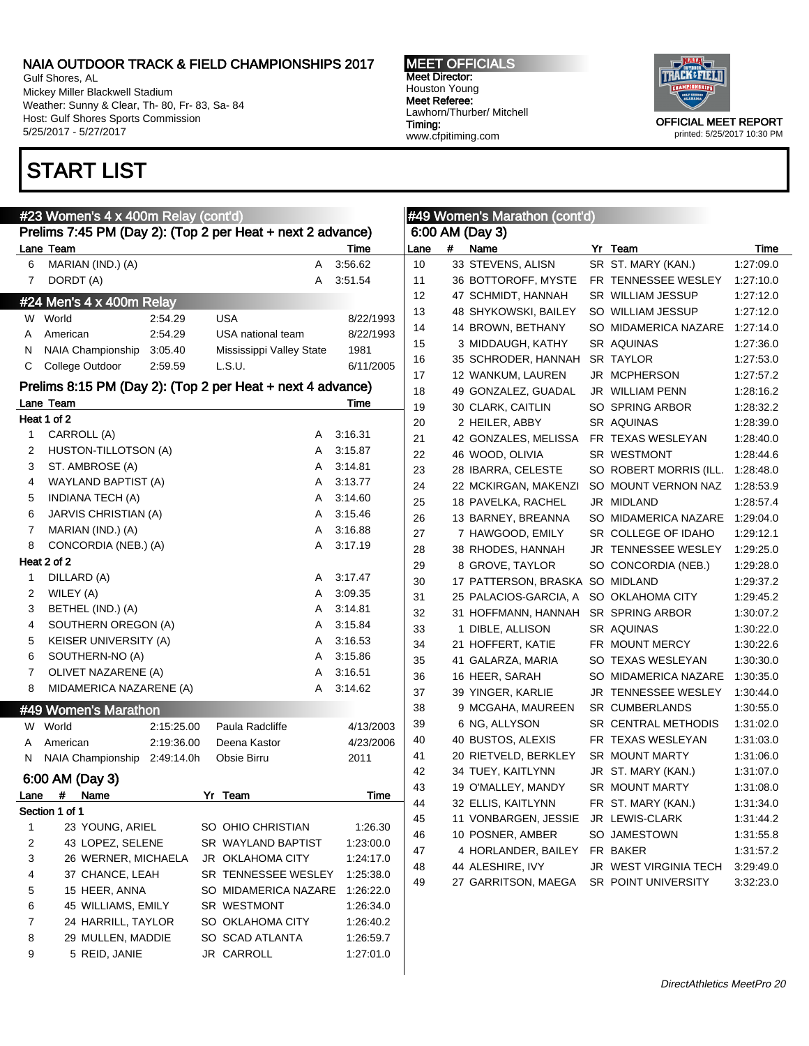Gulf Shores, AL Mickey Miller Blackwell Stadium Weather: Sunny & Clear, Th- 80, Fr- 83, Sa- 84 Host: Gulf Shores Sports Commission 5/25/2017 - 5/27/2017

# START LIST

MEET OFFICIALS Meet Director: Houston Young Meet Referee: Lawhorn/Thurber/ Mitchell Timing: www.cfpitiming.com



printed: 5/25/2017 10:30 PM

|      | #23 Women's 4 x 400m Relay (cont'd)                        |            |    |                          |   | Ŀ         |
|------|------------------------------------------------------------|------------|----|--------------------------|---|-----------|
|      | Prelims 7:45 PM (Day 2): (Top 2 per Heat + next 2 advance) |            |    |                          |   |           |
|      | Lane Team                                                  |            |    |                          |   | Time      |
| 6    | MARIAN (IND.) (A)                                          |            |    |                          | A | 3:56.62   |
| 7    | DORDT (A)                                                  |            |    |                          | A | 3:51.54   |
|      | #24 Men's 4 x 400m Relay                                   |            |    |                          |   |           |
| W.   | World                                                      | 2:54.29    |    | <b>USA</b>               |   | 8/22/1993 |
| A    | American                                                   | 2:54.29    |    | USA national team        |   | 8/22/1993 |
| Ν    | NAIA Championship 3:05.40                                  |            |    | Mississippi Valley State |   | 1981      |
| С    | College Outdoor                                            | 2:59.59    |    | L.S.U.                   |   | 6/11/2005 |
|      | Prelims 8:15 PM (Day 2): (Top 2 per Heat + next 4 advance) |            |    |                          |   |           |
|      | Lane Team                                                  |            |    |                          |   | Time      |
|      | Heat 1 of 2                                                |            |    |                          |   |           |
| 1    | CARROLL (A)                                                |            |    |                          | A | 3:16.31   |
| 2    | HUSTON-TILLOTSON (A)                                       |            |    |                          | A | 3:15.87   |
| 3    | ST. AMBROSE (A)                                            |            |    |                          | A | 3:14.81   |
| 4    | WAYLAND BAPTIST (A)                                        |            |    |                          | A | 3:13.77   |
| 5    | <b>INDIANA TECH (A)</b>                                    |            |    |                          | A | 3:14.60   |
| 6    | <b>JARVIS CHRISTIAN (A)</b>                                |            |    |                          | A | 3:15.46   |
| 7    | MARIAN (IND.) (A)                                          |            |    |                          | A | 3:16.88   |
| 8    | CONCORDIA (NEB.) (A)                                       |            |    |                          | A | 3:17.19   |
|      | Heat 2 of 2                                                |            |    |                          |   |           |
| 1    | DILLARD (A)                                                |            |    |                          | A | 3:17.47   |
| 2    | WILEY (A)                                                  |            |    |                          | A | 3:09.35   |
| 3    | BETHEL (IND.) (A)                                          |            |    |                          | A | 3:14.81   |
| 4    | SOUTHERN OREGON (A)                                        |            |    |                          | A | 3:15.84   |
| 5    | <b>KEISER UNIVERSITY (A)</b>                               |            |    |                          | A | 3:16.53   |
| 6    | SOUTHERN-NO (A)                                            |            |    |                          | A | 3:15.86   |
| 7    | OLIVET NAZARENE (A)                                        |            |    |                          | A | 3:16.51   |
| 8    | MIDAMERICA NAZARENE (A)                                    |            |    |                          | A | 3:14.62   |
|      |                                                            |            |    |                          |   |           |
|      | #49 Women's Marathon                                       |            |    |                          |   |           |
| W.   | World                                                      | 2:15:25.00 |    | Paula Radcliffe          |   | 4/13/2003 |
| A    | American                                                   | 2:19:36.00 |    | Deena Kastor             |   | 4/23/2006 |
| Ν    | NAIA Championship 2:49:14.0h                               |            |    | Obsie Birru              |   | 2011      |
|      | 6:00 AM (Day 3)                                            |            |    |                          |   |           |
| Lane | #<br>Name                                                  |            | Yr | Team                     |   | Time      |
|      | Section 1 of 1                                             |            |    |                          |   |           |
| 1    | 23 YOUNG, ARIEL                                            |            |    | SO OHIO CHRISTIAN        |   | 1:26.30   |
| 2    | 43 LOPEZ, SELENE                                           |            |    | SR WAYLAND BAPTIST       |   | 1:23:00.0 |
| 3    | 26 WERNER, MICHAELA                                        |            |    | <b>JR OKLAHOMA CITY</b>  |   | 1:24:17.0 |
| 4    | 37 CHANCE, LEAH                                            |            |    | SR TENNESSEE WESLEY      |   | 1:25:38.0 |
| 5    | 15 HEER, ANNA                                              |            |    | SO MIDAMERICA NAZARE     |   | 1:26:22.0 |
| 6    | 45 WILLIAMS, EMILY                                         |            |    | <b>SR WESTMONT</b>       |   | 1:26:34.0 |
| 7    | 24 HARRILL, TAYLOR                                         |            |    | SO OKLAHOMA CITY         |   | 1:26:40.2 |
| 8    | 29 MULLEN, MADDIE                                          |            |    | SO SCAD ATLANTA          |   | 1:26:59.7 |
| 9    | 5 REID, JANIE                                              |            |    | JR CARROLL               |   | 1:27:01.0 |
|      |                                                            |            |    |                          |   |           |

|      |   | <b>#49 Women's Marathon (cont'd)</b> |    |                           |           |
|------|---|--------------------------------------|----|---------------------------|-----------|
|      |   | 6:00 AM (Day 3)                      |    |                           |           |
| Lane | # | Name                                 |    | Yr Team                   | Time      |
| 10   |   | 33 STEVENS, ALISN                    |    | SR ST. MARY (KAN.)        | 1:27:09.0 |
| 11   |   | 36 BOTTOROFF, MYSTE                  |    | FR TENNESSEE WESLEY       | 1:27:10.0 |
| 12   |   | 47 SCHMIDT, HANNAH                   |    | SR WILLIAM JESSUP         | 1:27:12.0 |
| 13   |   | 48 SHYKOWSKI, BAILEY                 |    | SO WILLIAM JESSUP         | 1:27:12.0 |
| 14   |   | 14 BROWN, BETHANY                    |    | SO MIDAMERICA NAZARE      | 1:27:14.0 |
| 15   |   | 3 MIDDAUGH, KATHY                    |    | SR AQUINAS                | 1:27:36.0 |
| 16   |   | 35 SCHRODER, HANNAH                  |    | SR TAYLOR                 | 1:27:53.0 |
| 17   |   | 12 WANKUM, LAUREN                    | JR | <b>MCPHERSON</b>          | 1:27:57.2 |
| 18   |   | 49 GONZALEZ, GUADAL                  |    | JR WILLIAM PENN           | 1:28:16.2 |
| 19   |   | 30 CLARK, CAITLIN                    |    | SO SPRING ARBOR           | 1:28:32.2 |
| 20   |   | 2 HEILER, ABBY                       |    | SR AQUINAS                | 1:28:39.0 |
| 21   |   | 42 GONZALES, MELISSA                 |    | FR TEXAS WESLEYAN         | 1:28:40.0 |
| 22   |   | 46 WOOD, OLIVIA                      |    | SR WESTMONT               | 1:28:44.6 |
| 23   |   | 28 IBARRA, CELESTE                   |    | SO ROBERT MORRIS (ILL.    | 1:28:48.0 |
| 24   |   | 22 MCKIRGAN, MAKENZI                 |    | SO MOUNT VERNON NAZ       | 1:28:53.9 |
| 25   |   | 18 PAVELKA, RACHEL                   | JR | MIDLAND                   | 1:28:57.4 |
| 26   |   | 13 BARNEY, BREANNA                   |    | SO MIDAMERICA NAZARE      | 1:29:04.0 |
| 27   |   | 7 HAWGOOD, EMILY                     |    | SR COLLEGE OF IDAHO       | 1:29:12.1 |
| 28   |   | 38 RHODES, HANNAH                    | JR | <b>TENNESSEE WESLEY</b>   | 1:29:25.0 |
| 29   |   | 8 GROVE, TAYLOR                      |    | SO CONCORDIA (NEB.)       | 1:29:28.0 |
| 30   |   | 17 PATTERSON, BRASKA                 |    | SO MIDLAND                | 1:29:37.2 |
| 31   |   | 25 PALACIOS-GARCIA, A                |    | SO OKLAHOMA CITY          | 1:29:45.2 |
| 32   |   | 31 HOFFMANN, HANNAH                  |    | SR SPRING ARBOR           | 1:30:07.2 |
| 33   |   | 1 DIBLE, ALLISON                     |    | SR AQUINAS                | 1:30:22.0 |
| 34   |   | 21 HOFFERT, KATIE                    |    | FR MOUNT MERCY            | 1:30:22.6 |
| 35   |   | 41 GALARZA, MARIA                    |    | SO TEXAS WESLEYAN         | 1:30:30.0 |
| 36   |   | 16 HEER, SARAH                       |    | SO MIDAMERICA NAZARE      | 1:30:35.0 |
| 37   |   | 39 YINGER, KARLIE                    | JR | <b>TENNESSEE WESLEY</b>   | 1:30:44.0 |
| 38   |   | 9 MCGAHA, MAUREEN                    |    | <b>SR CUMBERLANDS</b>     | 1:30:55.0 |
| 39   |   | 6 NG, ALLYSON                        |    | SR CENTRAL METHODIS       | 1:31:02.0 |
| 40   |   | 40 BUSTOS, ALEXIS                    |    | FR TEXAS WESLEYAN         | 1:31:03.0 |
| 41   |   | 20 RIETVELD, BERKLEY                 |    | <b>SR MOUNT MARTY</b>     | 1:31:06.0 |
| 42   |   | 34 TUEY, KAITLYNN                    | JR | ST. MARY (KAN.)           | 1:31:07.0 |
| 43   |   | 19 O'MALLEY, MANDY                   |    | <b>SR MOUNT MARTY</b>     | 1:31:08.0 |
| 44   |   | 32 ELLIS, KAITLYNN                   |    | FR ST. MARY (KAN.)        | 1:31:34.0 |
| 45   |   | 11 VONBARGEN, JESSIE                 | JR | <b>LEWIS-CLARK</b>        | 1.31.44.2 |
| 46   |   | 10 POSNER, AMBER                     |    | SO JAMESTOWN              | 1:31:55.8 |
| 47   |   | 4 HORLANDER, BAILEY                  |    | FR BAKER                  | 1:31:57.2 |
| 48   |   | 44 ALESHIRE, IVY                     | JR | <b>WEST VIRGINIA TECH</b> | 3:29:49.0 |

27 GARRITSON, MAEGA SR POINT UNIVERSITY 3:32:23.0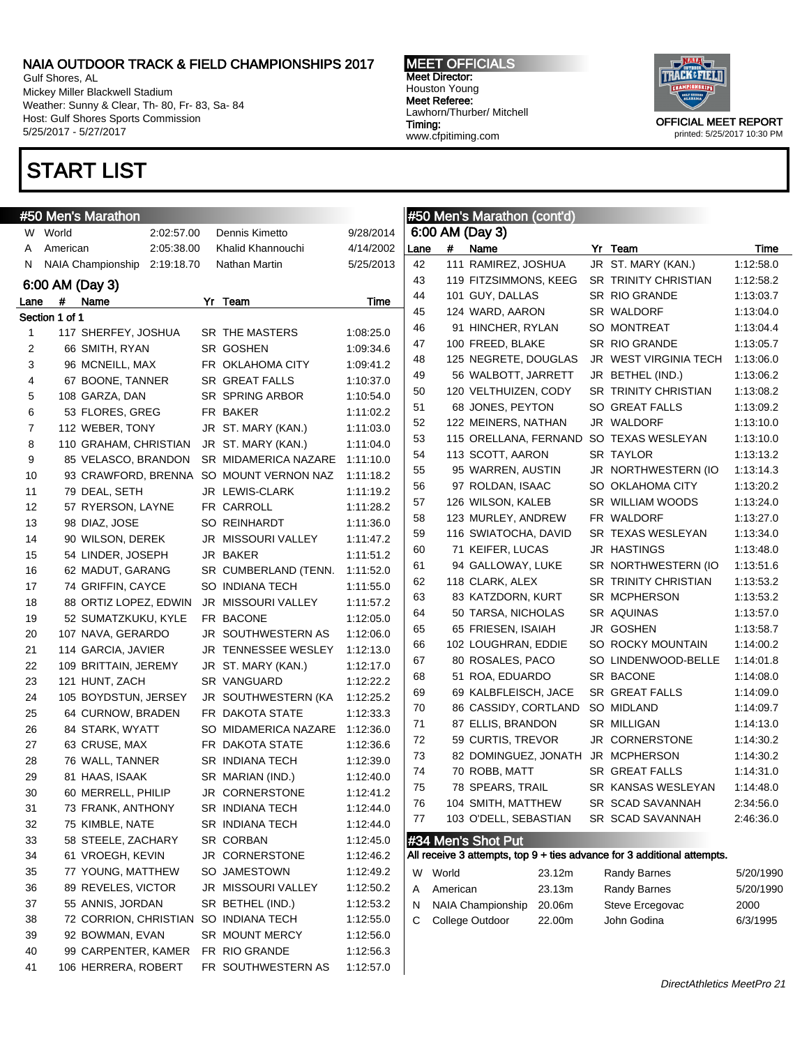Gulf Shores, AL Mickey Miller Blackwell Stadium Weather: Sunny & Clear, Th- 80, Fr- 83, Sa- 84 Host: Gulf Shores Sports Commission 5/25/2017 - 5/27/2017

### START LIST

#### MEET OFFICIALS Meet Director: Houston Young Meet Referee: Lawhorn/Thurber/ Mitchell Timing: www.cfpitiming.com



|      |                | #50 Men's Marathon       |            |                                         |           |      |          | #50 Men's Marathon (cont'd) |        |                                                                         |           |
|------|----------------|--------------------------|------------|-----------------------------------------|-----------|------|----------|-----------------------------|--------|-------------------------------------------------------------------------|-----------|
|      | W World        |                          | 2:02:57.00 | Dennis Kimetto                          | 9/28/2014 |      |          | 6:00 AM (Day 3)             |        |                                                                         |           |
| A    | American       |                          | 2:05:38.00 | Khalid Khannouchi                       | 4/14/2002 | Lane | #        | Name                        |        | Yr Team                                                                 | Time      |
| N.   |                | <b>NAIA Championship</b> | 2:19:18.70 | Nathan Martin                           | 5/25/2013 | 42   |          | 111 RAMIREZ, JOSHUA         |        | JR ST. MARY (KAN.)                                                      | 1:12:58.0 |
|      |                | 6:00 AM (Day 3)          |            |                                         |           | 43   |          | 119 FITZSIMMONS, KEEG       |        | SR TRINITY CHRISTIAN                                                    | 1:12:58.2 |
| Lane | #              | Name                     |            | Yr Team                                 | Time      | 44   |          | 101 GUY, DALLAS             |        | SR RIO GRANDE                                                           | 1:13:03.7 |
|      | Section 1 of 1 |                          |            |                                         |           | 45   |          | 124 WARD, AARON             |        | SR WALDORF                                                              | 1:13:04.0 |
| 1    |                | 117 SHERFEY, JOSHUA      |            | SR THE MASTERS                          | 1:08:25.0 | 46   |          | 91 HINCHER, RYLAN           |        | SO MONTREAT                                                             | 1:13:04.4 |
| 2    |                | 66 SMITH, RYAN           |            | SR GOSHEN                               | 1:09:34.6 | 47   |          | 100 FREED, BLAKE            |        | SR RIO GRANDE                                                           | 1:13:05.7 |
| 3    |                | 96 MCNEILL, MAX          |            | FR OKLAHOMA CITY                        | 1:09:41.2 | 48   |          | 125 NEGRETE, DOUGLAS        |        | JR WEST VIRGINIA TECH                                                   | 1:13:06.0 |
| 4    |                | 67 BOONE, TANNER         |            | <b>SR GREAT FALLS</b>                   | 1:10:37.0 | 49   |          | 56 WALBOTT, JARRETT         |        | JR BETHEL (IND.)                                                        | 1:13:06.2 |
| 5    |                | 108 GARZA, DAN           |            | SR SPRING ARBOR                         | 1:10:54.0 | 50   |          | 120 VELTHUIZEN, CODY        |        | SR TRINITY CHRISTIAN                                                    | 1:13:08.2 |
| 6    |                | 53 FLORES, GREG          |            | FR BAKER                                | 1:11:02.2 | 51   |          | 68 JONES, PEYTON            |        | SO GREAT FALLS                                                          | 1:13:09.2 |
| 7    |                | 112 WEBER, TONY          |            | JR ST. MARY (KAN.)                      | 1:11:03.0 | 52   |          | 122 MEINERS, NATHAN         |        | JR WALDORF                                                              | 1:13:10.0 |
| 8    |                | 110 GRAHAM, CHRISTIAN    |            | JR ST. MARY (KAN.)                      | 1:11:04.0 | 53   |          | 115 ORELLANA, FERNAND       |        | SO TEXAS WESLEYAN                                                       | 1:13:10.0 |
| 9    |                | 85 VELASCO, BRANDON      |            | SR MIDAMERICA NAZARE                    | 1:11:10.0 | 54   |          | 113 SCOTT, AARON            |        | SR TAYLOR                                                               | 1:13:13.2 |
| 10   |                |                          |            | 93 CRAWFORD, BRENNA SO MOUNT VERNON NAZ | 1:11:18.2 | 55   |          | 95 WARREN, AUSTIN           |        | JR NORTHWESTERN (IO                                                     | 1:13:14.3 |
| 11   |                | 79 DEAL, SETH            |            | JR LEWIS-CLARK                          | 1:11:19.2 | 56   |          | 97 ROLDAN, ISAAC            |        | SO OKLAHOMA CITY                                                        | 1:13:20.2 |
| 12   |                | 57 RYERSON, LAYNE        |            | FR CARROLL                              | 1:11:28.2 | 57   |          | 126 WILSON, KALEB           |        | SR WILLIAM WOODS                                                        | 1:13:24.0 |
| 13   |                | 98 DIAZ, JOSE            |            | SO REINHARDT                            | 1:11:36.0 | 58   |          | 123 MURLEY, ANDREW          |        | FR WALDORF                                                              | 1:13:27.0 |
| 14   |                | 90 WILSON, DEREK         |            | JR MISSOURI VALLEY                      | 1:11:47.2 | 59   |          | 116 SWIATOCHA, DAVID        |        | SR TEXAS WESLEYAN                                                       | 1:13:34.0 |
| 15   |                | 54 LINDER, JOSEPH        |            | JR BAKER                                | 1:11:51.2 | 60   |          | 71 KEIFER, LUCAS            |        | JR HASTINGS                                                             | 1:13:48.0 |
| 16   |                | 62 MADUT, GARANG         |            | SR CUMBERLAND (TENN.                    | 1:11:52.0 | 61   |          | 94 GALLOWAY, LUKE           |        | SR NORTHWESTERN (IO                                                     | 1:13:51.6 |
| 17   |                | 74 GRIFFIN, CAYCE        |            | SO INDIANA TECH                         | 1:11:55.0 | 62   |          | 118 CLARK, ALEX             |        | <b>SR TRINITY CHRISTIAN</b>                                             | 1:13:53.2 |
| 18   |                | 88 ORTIZ LOPEZ, EDWIN    |            | JR MISSOURI VALLEY                      | 1:11:57.2 | 63   |          | 83 KATZDORN, KURT           |        | SR MCPHERSON                                                            | 1:13:53.2 |
| 19   |                | 52 SUMATZKUKU, KYLE      |            | FR BACONE                               | 1:12:05.0 | 64   |          | 50 TARSA, NICHOLAS          |        | SR AQUINAS                                                              | 1:13:57.0 |
| 20   |                | 107 NAVA, GERARDO        |            | JR SOUTHWESTERN AS                      | 1:12:06.0 | 65   |          | 65 FRIESEN, ISAIAH          |        | JR GOSHEN                                                               | 1:13:58.7 |
| 21   |                | 114 GARCIA, JAVIER       |            | JR TENNESSEE WESLEY                     | 1:12:13.0 | 66   |          | 102 LOUGHRAN, EDDIE         |        | SO ROCKY MOUNTAIN                                                       | 1:14:00.2 |
| 22   |                | 109 BRITTAIN, JEREMY     |            | JR ST. MARY (KAN.)                      | 1:12:17.0 | 67   |          | 80 ROSALES, PACO            |        | SO LINDENWOOD-BELLE                                                     | 1:14:01.8 |
| 23   |                | 121 HUNT, ZACH           |            | SR VANGUARD                             | 1:12:22.2 | 68   |          | 51 ROA, EDUARDO             |        | SR BACONE                                                               | 1:14:08.0 |
| 24   |                | 105 BOYDSTUN, JERSEY     |            | JR SOUTHWESTERN (KA                     | 1:12:25.2 | 69   |          | 69 KALBFLEISCH, JACE        |        | SR GREAT FALLS                                                          | 1:14:09.0 |
| 25   |                | 64 CURNOW, BRADEN        |            | FR DAKOTA STATE                         | 1:12:33.3 | 70   |          | 86 CASSIDY, CORTLAND        |        | SO MIDLAND                                                              | 1:14:09.7 |
| 26   |                | 84 STARK, WYATT          |            | SO MIDAMERICA NAZARE                    | 1:12:36.0 | 71   |          | 87 ELLIS, BRANDON           |        | SR MILLIGAN                                                             | 1:14:13.0 |
| 27   |                | 63 CRUSE, MAX            |            | FR DAKOTA STATE                         | 1:12:36.6 | 72   |          | 59 CURTIS, TREVOR           |        | JR CORNERSTONE                                                          | 1:14:30.2 |
| 28   |                | 76 WALL, TANNER          |            | SR INDIANA TECH                         | 1:12:39.0 | 73   |          | 82 DOMINGUEZ, JONATH        |        | JR MCPHERSON                                                            | 1:14:30.2 |
| 29   |                | 81 HAAS, ISAAK           |            | SR MARIAN (IND.)                        | 1:12:40.0 | 74   |          | 70 ROBB, MATT               |        | SR GREAT FALLS                                                          | 1:14:31.0 |
| 30   |                | 60 MERRELL, PHILIP       |            | JR CORNERSTONE                          | 1:12:41.2 | 75   |          | 78 SPEARS, TRAIL            |        | SR KANSAS WESLEYAN                                                      | 1:14:48.0 |
| 31   |                | 73 FRANK, ANTHONY        |            | <b>SR INDIANA TECH</b>                  | 1:12:44.0 | 76   |          | 104 SMITH, MATTHEW          |        | SR SCAD SAVANNAH                                                        | 2:34:56.0 |
| 32   |                | 75 KIMBLE, NATE          |            | SR INDIANA TECH                         | 1:12:44.0 | 77   |          | 103 O'DELL, SEBASTIAN       |        | SR SCAD SAVANNAH                                                        | 2:46:36.0 |
| 33   |                | 58 STEELE, ZACHARY       |            | SR CORBAN                               | 1:12:45.0 |      |          | #34 Men's Shot Put          |        |                                                                         |           |
| 34   |                | 61 VROEGH, KEVIN         |            | JR CORNERSTONE                          | 1:12:46.2 |      |          |                             |        | All receive 3 attempts, top 9 + ties advance for 3 additional attempts. |           |
| 35   |                | 77 YOUNG, MATTHEW        |            | SO JAMESTOWN                            | 1:12:49.2 |      | World    |                             |        |                                                                         |           |
| 36   |                | 89 REVELES, VICTOR       |            | JR MISSOURI VALLEY                      | 1:12:50.2 | W    |          |                             | 23.12m | Randy Barnes                                                            | 5/20/1990 |
| 37   |                | 55 ANNIS, JORDAN         |            | SR BETHEL (IND.)                        | 1:12:53.2 | A    | American |                             | 23.13m | <b>Randy Barnes</b>                                                     | 5/20/1990 |
| 38   |                | 72 CORRION, CHRISTIAN    |            | SO INDIANA TECH                         | 1:12:55.0 | N    |          | NAIA Championship           | 20.06m | Steve Ercegovac                                                         | 2000      |
| 39   |                | 92 BOWMAN, EVAN          |            | SR MOUNT MERCY                          | 1:12:56.0 | С    |          | College Outdoor             | 22.00m | John Godina                                                             | 6/3/1995  |
| 40   |                | 99 CARPENTER, KAMER      |            | FR RIO GRANDE                           | 1:12:56.3 |      |          |                             |        |                                                                         |           |
|      |                |                          |            |                                         |           |      |          |                             |        |                                                                         |           |
| 41   |                | 106 HERRERA, ROBERT      |            | FR SOUTHWESTERN AS                      | 1:12:57.0 |      |          |                             |        |                                                                         |           |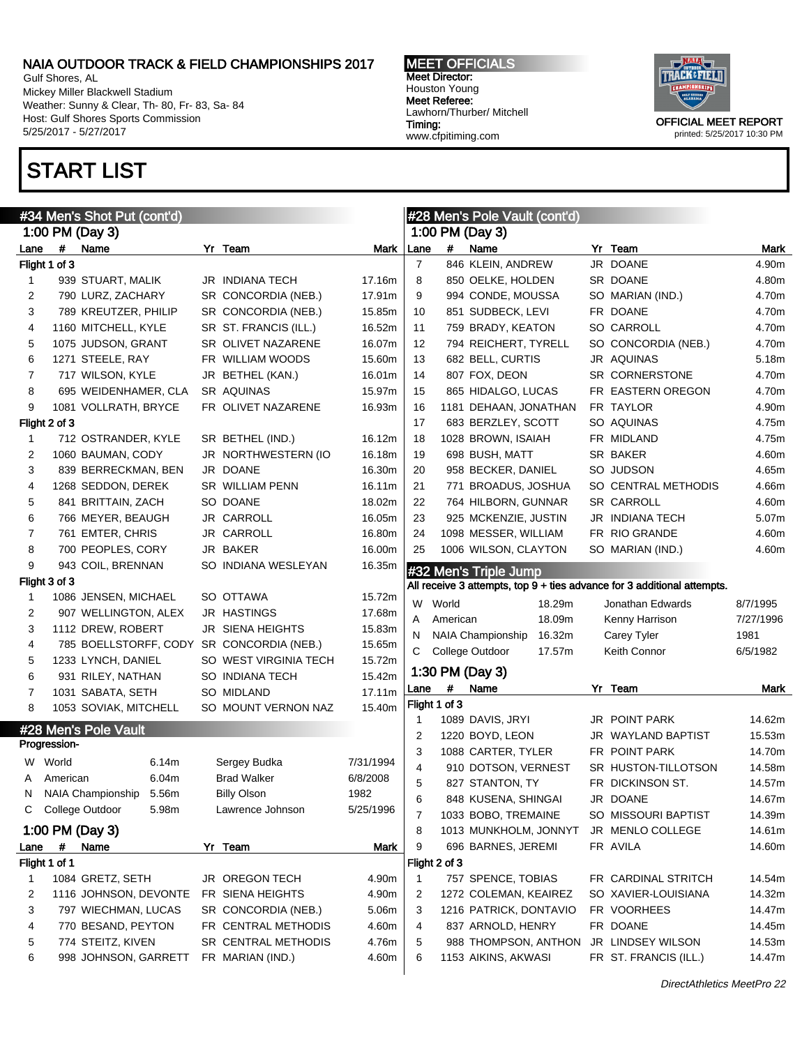Gulf Shores, AL Mickey Miller Blackwell Stadium Weather: Sunny & Clear, Th- 80, Fr- 83, Sa- 84 Host: Gulf Shores Sports Commission 5/25/2017 - 5/27/2017

# START LIST

MEET OFFICIALS Meet Director: Houston Young Meet Referee: Lawhorn/Thurber/ Mitchell Timing: www.cfpitiming.com



| #34 Men's Shot Put (cont'd) |               |                       |       |  | #28 Men's Pole Vault (cont'd) |           |                                                                         |               |                                    |  |                       |           |
|-----------------------------|---------------|-----------------------|-------|--|-------------------------------|-----------|-------------------------------------------------------------------------|---------------|------------------------------------|--|-----------------------|-----------|
|                             |               | 1:00 PM (Day 3)       |       |  |                               |           |                                                                         |               | 1:00 PM (Day 3)                    |  |                       |           |
| Lane                        | $\#$          | Name                  |       |  | Yr Team                       | Mark      | Lane                                                                    | #             | Name                               |  | Yr Team               | Mark      |
|                             | Flight 1 of 3 |                       |       |  |                               |           | $\overline{7}$                                                          |               | 846 KLEIN, ANDREW                  |  | JR DOANE              | 4.90m     |
| 1                           |               | 939 STUART, MALIK     |       |  | <b>JR INDIANA TECH</b>        | 17.16m    | 8                                                                       |               | 850 OELKE, HOLDEN                  |  | SR DOANE              | 4.80m     |
| $\overline{c}$              |               | 790 LURZ, ZACHARY     |       |  | SR CONCORDIA (NEB.)           | 17.91m    | 9                                                                       |               | 994 CONDE, MOUSSA                  |  | SO MARIAN (IND.)      | 4.70m     |
| 3                           |               | 789 KREUTZER, PHILIP  |       |  | SR CONCORDIA (NEB.)           | 15.85m    | 10                                                                      |               | 851 SUDBECK, LEVI                  |  | FR DOANE              | 4.70m     |
| 4                           |               | 1160 MITCHELL, KYLE   |       |  | SR ST. FRANCIS (ILL.)         | 16.52m    | 11                                                                      |               | 759 BRADY, KEATON                  |  | SO CARROLL            | 4.70m     |
| 5                           |               | 1075 JUDSON, GRANT    |       |  | SR OLIVET NAZARENE            | 16.07m    | 12                                                                      |               | 794 REICHERT, TYRELL               |  | SO CONCORDIA (NEB.)   | 4.70m     |
| 6                           |               | 1271 STEELE, RAY      |       |  | FR WILLIAM WOODS              | 15.60m    | 13                                                                      |               | 682 BELL, CURTIS                   |  | JR AQUINAS            | 5.18m     |
| 7                           |               | 717 WILSON, KYLE      |       |  | JR BETHEL (KAN.)              | 16.01m    | 14                                                                      |               | 807 FOX, DEON                      |  | SR CORNERSTONE        | 4.70m     |
| 8                           |               | 695 WEIDENHAMER, CLA  |       |  | SR AQUINAS                    | 15.97m    | 15                                                                      |               | 865 HIDALGO, LUCAS                 |  | FR EASTERN OREGON     | 4.70m     |
| 9                           |               | 1081 VOLLRATH, BRYCE  |       |  | FR OLIVET NAZARENE            | 16.93m    | 16                                                                      |               | 1181 DEHAAN, JONATHAN              |  | FR TAYLOR             | 4.90m     |
|                             | Flight 2 of 3 |                       |       |  |                               |           | 17                                                                      |               | 683 BERZLEY, SCOTT                 |  | SO AQUINAS            | 4.75m     |
| 1                           |               | 712 OSTRANDER, KYLE   |       |  | SR BETHEL (IND.)              | 16.12m    | 18                                                                      |               | 1028 BROWN, ISAIAH                 |  | FR MIDLAND            | 4.75m     |
| 2                           |               | 1060 BAUMAN, CODY     |       |  | JR NORTHWESTERN (IO           | 16.18m    | 19                                                                      |               | 698 BUSH, MATT                     |  | SR BAKER              | 4.60m     |
| 3                           |               | 839 BERRECKMAN, BEN   |       |  | JR DOANE                      | 16.30m    | 20                                                                      |               | 958 BECKER, DANIEL                 |  | SO JUDSON             | 4.65m     |
| 4                           |               | 1268 SEDDON, DEREK    |       |  | <b>SR WILLIAM PENN</b>        | 16.11m    | 21                                                                      |               | 771 BROADUS, JOSHUA                |  | SO CENTRAL METHODIS   | 4.66m     |
| 5                           |               | 841 BRITTAIN, ZACH    |       |  | SO DOANE                      | 18.02m    | 22                                                                      |               | 764 HILBORN, GUNNAR                |  | <b>SR CARROLL</b>     | 4.60m     |
| 6                           |               | 766 MEYER, BEAUGH     |       |  | JR CARROLL                    | 16.05m    | 23                                                                      |               | 925 MCKENZIE, JUSTIN               |  | JR INDIANA TECH       | 5.07m     |
| 7                           |               | 761 EMTER, CHRIS      |       |  | JR CARROLL                    | 16.80m    | 24                                                                      |               | 1098 MESSER, WILLIAM               |  | FR RIO GRANDE         | 4.60m     |
| 8                           |               | 700 PEOPLES, CORY     |       |  | JR BAKER                      | 16.00m    | 25                                                                      |               | 1006 WILSON, CLAYTON               |  | SO MARIAN (IND.)      | 4.60m     |
| 9                           |               | 943 COIL, BRENNAN     |       |  | SO INDIANA WESLEYAN           | 16.35m    |                                                                         |               | #32 Men's Triple Jump              |  |                       |           |
|                             | Flight 3 of 3 |                       |       |  |                               |           | All receive 3 attempts, top 9 + ties advance for 3 additional attempts. |               |                                    |  |                       |           |
| 1                           |               | 1086 JENSEN, MICHAEL  |       |  | SO OTTAWA                     | 15.72m    | W                                                                       | World         | 18.29m                             |  | Jonathan Edwards      | 8/7/1995  |
| 2                           |               | 907 WELLINGTON, ALEX  |       |  | <b>JR HASTINGS</b>            | 17.68m    | Α                                                                       | American      | 18.09m                             |  | Kenny Harrison        | 7/27/1996 |
| 3                           |               | 1112 DREW, ROBERT     |       |  | <b>JR SIENA HEIGHTS</b>       | 15.83m    | N                                                                       |               | <b>NAIA Championship</b><br>16.32m |  | Carey Tyler           | 1981      |
| 4                           |               | 785 BOELLSTORFF, CODY |       |  | SR CONCORDIA (NEB.)           | 15.65m    | С                                                                       |               | College Outdoor<br>17.57m          |  | Keith Connor          | 6/5/1982  |
| 5                           |               | 1233 LYNCH, DANIEL    |       |  | SO WEST VIRGINIA TECH         | 15.72m    |                                                                         |               |                                    |  |                       |           |
| 6                           |               | 931 RILEY, NATHAN     |       |  | SO INDIANA TECH               | 15.42m    |                                                                         |               | 1:30 PM (Day 3)                    |  |                       |           |
| 7                           |               | 1031 SABATA, SETH     |       |  | SO MIDLAND                    | 17.11m    | Lane                                                                    | #             | Name                               |  | Yr Team               | Mark      |
| 8                           |               | 1053 SOVIAK, MITCHELL |       |  | SO MOUNT VERNON NAZ           | 15.40m    |                                                                         | Flight 1 of 3 |                                    |  |                       |           |
|                             |               | #28 Men's Pole Vault  |       |  |                               |           | $\mathbf{1}$                                                            |               | 1089 DAVIS, JRYI                   |  | <b>JR POINT PARK</b>  | 14.62m    |
|                             | Progression-  |                       |       |  |                               |           | $\overline{2}$                                                          |               | 1220 BOYD, LEON                    |  | JR WAYLAND BAPTIST    | 15.53m    |
|                             | W World       |                       | 6.14m |  | Sergey Budka                  | 7/31/1994 | 3                                                                       |               | 1088 CARTER, TYLER                 |  | FR POINT PARK         | 14.70m    |
| A                           | American      |                       | 6.04m |  | <b>Brad Walker</b>            | 6/8/2008  | 4                                                                       |               | 910 DOTSON, VERNEST                |  | SR HUSTON-TILLOTSON   | 14.58m    |
| N.                          |               | NAIA Championship     | 5.56m |  | <b>Billy Olson</b>            | 1982      | 5                                                                       |               | 827 STANTON, TY                    |  | FR DICKINSON ST.      | 14.57m    |
| C                           |               | College Outdoor       | 5.98m |  | Lawrence Johnson              | 5/25/1996 | 6                                                                       |               | 848 KUSENA, SHINGAI                |  | JR DOANE              | 14.67m    |
|                             |               |                       |       |  |                               |           | 7                                                                       |               | 1033 BOBO, TREMAINE                |  | SO MISSOURI BAPTIST   | 14.39m    |
|                             |               | 1:00 PM (Day 3)       |       |  |                               |           | 8                                                                       |               | 1013 MUNKHOLM, JONNYT              |  | JR MENLO COLLEGE      | 14.61m    |
| Lane                        | #             | Name                  |       |  | Yr Team                       | Mark      | 9                                                                       |               | 696 BARNES, JEREMI                 |  | FR AVILA              | 14.60m    |
|                             | Flight 1 of 1 |                       |       |  |                               |           |                                                                         | Flight 2 of 3 |                                    |  |                       |           |
| 1                           |               | 1084 GRETZ, SETH      |       |  | JR OREGON TECH                | 4.90m     | $\mathbf{1}$                                                            |               | 757 SPENCE, TOBIAS                 |  | FR CARDINAL STRITCH   | 14.54m    |
| 2                           |               | 1116 JOHNSON, DEVONTE |       |  | FR SIENA HEIGHTS              | 4.90m     | 2                                                                       |               | 1272 COLEMAN, KEAIREZ              |  | SO XAVIER-LOUISIANA   | 14.32m    |
| 3                           |               | 797 WIECHMAN, LUCAS   |       |  | SR CONCORDIA (NEB.)           | 5.06m     | 3                                                                       |               | 1216 PATRICK, DONTAVIO             |  | FR VOORHEES           | 14.47m    |
| 4                           |               | 770 BESAND, PEYTON    |       |  | FR CENTRAL METHODIS           | 4.60m     | 4                                                                       |               | 837 ARNOLD, HENRY                  |  | FR DOANE              | 14.45m    |
| 5                           |               | 774 STEITZ, KIVEN     |       |  | SR CENTRAL METHODIS           | 4.76m     | 5                                                                       |               | 988 THOMPSON, ANTHON               |  | JR LINDSEY WILSON     | 14.53m    |
| 6                           |               | 998 JOHNSON, GARRETT  |       |  | FR MARIAN (IND.)              | 4.60m     | 6                                                                       |               | 1153 AIKINS, AKWASI                |  | FR ST. FRANCIS (ILL.) | 14.47m    |
|                             |               |                       |       |  |                               |           |                                                                         |               |                                    |  |                       |           |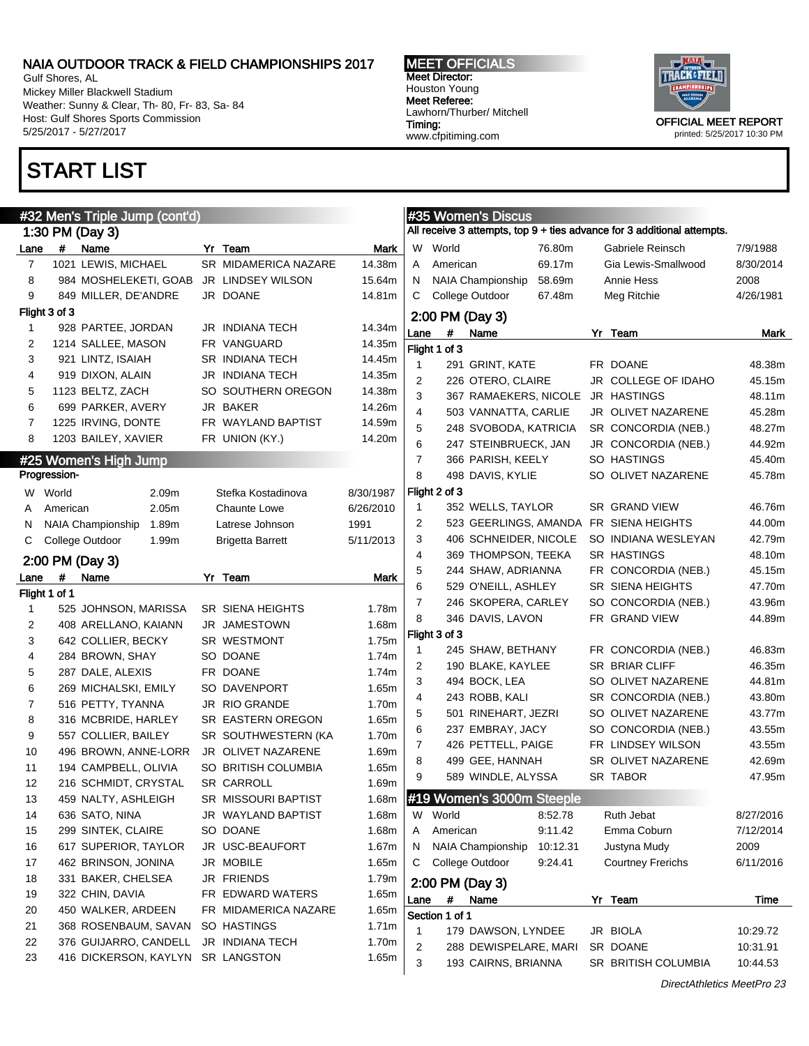Gulf Shores, AL Mickey Miller Blackwell Stadium Weather: Sunny & Clear, Th- 80, Fr- 83, Sa- 84 Host: Gulf Shores Sports Commission 5/25/2017 - 5/27/2017

### START LIST

#### #32 Men's Triple Jump (cont'd) 1:30 PM (Day 3) Lane # Name Yr Team Mark 7 1021 LEWIS, MICHAEL SR MIDAMERICA NAZARE 14.38m 8 984 MOSHELEKETI, GOAB JR LINDSEY WILSON 15.64m 9 849 MILLER, DE'ANDRE JR DOANE 14.81m Flight 3 of 3 1 928 PARTEE, JORDAN JR INDIANA TECH 14.34m 2 1214 SALLEE, MASON FR VANGUARD 14.35m 3 921 LINTZ, ISAIAH SR INDIANA TECH 14.45m 4 919 DIXON, ALAIN JR INDIANA TECH 14.35m 5 1123 BELTZ, ZACH SO SOUTHERN OREGON 14.38m 6 699 PARKER, AVERY JR BAKER 14.26m 7 1225 IRVING, DONTE FR WAYLAND BAPTIST 14.59m 8 1203 BAILEY, XAVIER FR UNION (KY.) 14.20m #25 Women's High Jump Progression-W World 2.09m Stefka Kostadinova 8/30/1987 A American 2.05m Chaunte Lowe 6/26/2010 N NAIA Championship 1.89m Latrese Johnson 1991 C College Outdoor 1.99m Brigetta Barrett 5/11/2013 2:00 PM (Day 3) Lane # Name Yr Team Mark Flight 1 of 1 1 525 JOHNSON, MARISSA SR SIENA HEIGHTS 1.78m 2 408 ARELLANO, KAIANN JR JAMESTOWN 1.68m 3 642 COLLIER, BECKY SR WESTMONT 1.75m 4 284 BROWN, SHAY SO DOANE 1.74m 5 287 DALE, ALEXIS FR DOANE 1.74m 6 269 MICHALSKI, EMILY SO DAVENPORT 1.65m 7 516 PETTY, TYANNA JR RIO GRANDE 1.70m 8 316 MCBRIDE, HARLEY SR EASTERN OREGON 1.65m 9 557 COLLIER, BAILEY SR SOUTHWESTERN (KA 1.70m 10 496 BROWN, ANNE-LORR JR OLIVET NAZARENE 1.69m 11 194 CAMPBELL, OLIVIA SO BRITISH COLUMBIA 1.65m 12 216 SCHMIDT, CRYSTAL SR CARROLL 1.69m 13 459 NALTY, ASHLEIGH SR MISSOURI BAPTIST 1.68m 14 636 SATO, NINA JR WAYLAND BAPTIST 1.68m 15 299 SINTEK, CLAIRE SO DOANE 1.68m 16 617 SUPERIOR, TAYLOR JR USC-BEAUFORT 1.67m 17 462 BRINSON, JONINA JR MOBILE 1.65m 18 331 BAKER, CHELSEA JR FRIENDS 1.79m 19 322 CHIN, DAVIA FR EDWARD WATERS 1.65m 20 450 WALKER, ARDEEN FR MIDAMERICA NAZARE 1.65m 21 368 ROSENBAUM, SAVAN SO HASTINGS 1.71m 22 376 GUIJARRO, CANDELL JR INDIANA TECH 1.70m 23 416 DICKERSON, KAYLYN SR LANGSTON 1.65m *Evening Communication*

MEET OFFICIALS Meet Director: Houston Young Meet Referee: Lawhorn/Thurber/ Mitchell Timing: www.cfpitiming.com



| <b>#35 WOMEN'S DISCUS</b><br>All receive 3 attempts, top 9 + ties advance for 3 additional attempts. |                                             |                  |    |                          |           |  |  |  |
|------------------------------------------------------------------------------------------------------|---------------------------------------------|------------------|----|--------------------------|-----------|--|--|--|
|                                                                                                      |                                             |                  |    |                          |           |  |  |  |
| W                                                                                                    | World<br>76.80m<br>American<br>69.17m       |                  |    | Gabriele Reinsch         | 7/9/1988  |  |  |  |
| A                                                                                                    |                                             |                  |    | Gia Lewis-Smallwood      | 8/30/2014 |  |  |  |
| Ν                                                                                                    | <b>NAIA Championship</b><br>College Outdoor | 58.69m<br>67.48m |    | Annie Hess               | 2008      |  |  |  |
| С                                                                                                    |                                             |                  |    | Meg Ritchie              | 4/26/1981 |  |  |  |
|                                                                                                      | 2:00 PM (Day 3)                             |                  |    |                          |           |  |  |  |
| Lane                                                                                                 | #<br>Name                                   |                  | Yr | Team                     | Mark      |  |  |  |
|                                                                                                      | Flight 1 of 3                               |                  |    |                          |           |  |  |  |
| 1                                                                                                    | 291 GRINT, KATE                             |                  |    | FR DOANE                 | 48.38m    |  |  |  |
| 2                                                                                                    | 226 OTERO, CLAIRE                           |                  |    | JR COLLEGE OF IDAHO      | 45.15m    |  |  |  |
| 3                                                                                                    | 367 RAMAEKERS, NICOLE                       |                  |    | <b>JR HASTINGS</b>       | 48.11m    |  |  |  |
| 4                                                                                                    | 503 VANNATTA, CARLIE                        |                  |    | JR OLIVET NAZARENE       | 45.28m    |  |  |  |
| 5                                                                                                    | 248 SVOBODA, KATRICIA                       |                  |    | SR CONCORDIA (NEB.)      | 48.27m    |  |  |  |
| 6                                                                                                    | 247 STEINBRUECK, JAN                        |                  |    | JR CONCORDIA (NEB.)      | 44.92m    |  |  |  |
| 7                                                                                                    | 366 PARISH, KEELY                           |                  |    | SO HASTINGS              | 45.40m    |  |  |  |
| 8                                                                                                    | 498 DAVIS, KYLIE                            |                  |    | SO OLIVET NAZARENE       | 45.78m    |  |  |  |
|                                                                                                      | Flight 2 of 3                               |                  |    |                          |           |  |  |  |
| 1                                                                                                    | 352 WELLS, TAYLOR                           |                  |    | SR GRAND VIEW            | 46.76m    |  |  |  |
| 2                                                                                                    | 523 GEERLINGS, AMANDA FR SIENA HEIGHTS      |                  |    |                          | 44.00m    |  |  |  |
| 3                                                                                                    | 406 SCHNEIDER, NICOLE                       |                  |    | SO INDIANA WESLEYAN      | 42.79m    |  |  |  |
| 4                                                                                                    | 369 THOMPSON, TEEKA                         |                  |    | <b>SR HASTINGS</b>       | 48.10m    |  |  |  |
| 5                                                                                                    | 244 SHAW, ADRIANNA                          |                  |    | FR CONCORDIA (NEB.)      | 45.15m    |  |  |  |
| 6                                                                                                    | 529 O'NEILL, ASHLEY                         |                  |    | <b>SR SIENA HEIGHTS</b>  | 47.70m    |  |  |  |
| 7                                                                                                    | 246 SKOPERA, CARLEY                         |                  |    | SO CONCORDIA (NEB.)      | 43.96m    |  |  |  |
| 8                                                                                                    | 346 DAVIS, LAVON                            |                  |    | FR GRAND VIEW            | 44.89m    |  |  |  |
|                                                                                                      | Flight 3 of 3                               |                  |    |                          |           |  |  |  |
| 1                                                                                                    | 245 SHAW, BETHANY                           |                  |    | FR CONCORDIA (NEB.)      | 46.83m    |  |  |  |
| 2                                                                                                    | 190 BLAKE, KAYLEE                           |                  |    | <b>SR BRIAR CLIFF</b>    | 46.35m    |  |  |  |
| 3                                                                                                    | 494 BOCK, LEA                               |                  |    | SO OLIVET NAZARENE       | 44.81m    |  |  |  |
| 4                                                                                                    | 243 ROBB, KALI                              |                  |    | SR CONCORDIA (NEB.)      | 43.80m    |  |  |  |
| 5                                                                                                    | 501 RINEHART, JEZRI                         |                  |    | SO OLIVET NAZARENE       | 43.77m    |  |  |  |
| 6                                                                                                    | 237 EMBRAY, JACY                            |                  |    | SO CONCORDIA (NEB.)      | 43.55m    |  |  |  |
| 7                                                                                                    | 426 PETTELL, PAIGE                          |                  |    | FR LINDSEY WILSON        | 43.55m    |  |  |  |
| 8                                                                                                    | 499 GEE, HANNAH                             |                  |    | SR OLIVET NAZARENE       | 42.69m    |  |  |  |
| 9                                                                                                    | 589 WINDLE, ALYSSA                          |                  |    | SR TABOR                 | 47.95m    |  |  |  |
|                                                                                                      | #19 Women's 3000m Steeple                   |                  |    |                          |           |  |  |  |
| W                                                                                                    | World                                       | 8:52.78          |    | Ruth Jebat               | 8/27/2016 |  |  |  |
| Α                                                                                                    | American                                    | 9:11.42          |    | Emma Coburn              | 7/12/2014 |  |  |  |
| Ν                                                                                                    | NAIA Championship                           | 10:12.31         |    | Justyna Mudy             | 2009      |  |  |  |
| С                                                                                                    | College Outdoor                             | 9:24.41          |    | <b>Courtney Frerichs</b> | 6/11/2016 |  |  |  |
|                                                                                                      | 2:00 PM (Day 3)                             |                  |    |                          |           |  |  |  |
| Lane                                                                                                 | Name<br>#                                   |                  | Yr | Team                     | Time      |  |  |  |
|                                                                                                      | Section 1 of 1                              |                  |    |                          |           |  |  |  |
| 1                                                                                                    | 179 DAWSON, LYNDEE                          |                  |    | JR BIOLA                 | 10:29.72  |  |  |  |
| 2                                                                                                    | 288 DEWISPELARE, MARI                       |                  |    | SR DOANE                 | 10:31.91  |  |  |  |
| 3                                                                                                    | 193 CAIRNS, BRIANNA                         |                  |    | SR BRITISH COLUMBIA      | 10:44.53  |  |  |  |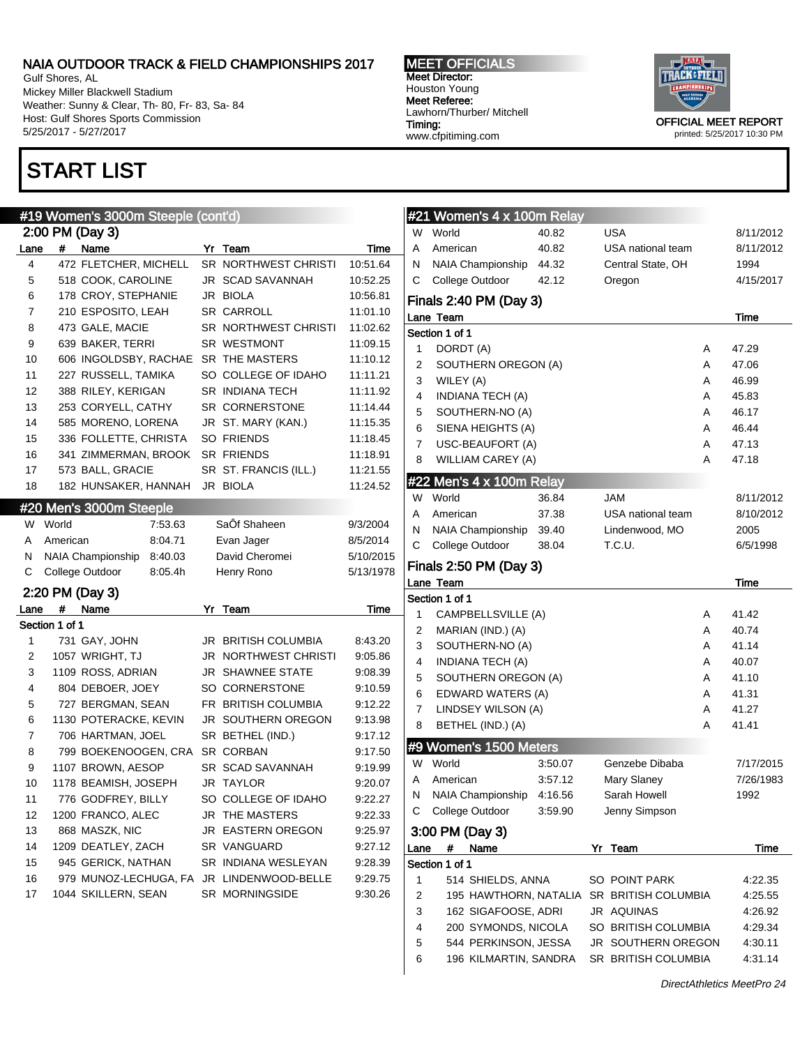Gulf Shores, AL Mickey Miller Blackwell Stadium Weather: Sunny & Clear, Th- 80, Fr- 83, Sa- 84 Host: Gulf Shores Sports Commission 5/25/2017 - 5/27/2017

### START LIST

#### #19 Women's 3000m Steeple (cont'd) 2:00 PM (Day 3) Lane # Name Yr Team Time 4 472 FLETCHER, MICHELL SR NORTHWEST CHRISTI 10:51.64 5 518 COOK, CAROLINE JR SCAD SAVANNAH 10:52.25 6 178 CROY, STEPHANIE JR BIOLA 10:56.81 7 210 ESPOSITO, LEAH SR CARROLL 11:01.10 8 473 GALE, MACIE SR NORTHWEST CHRISTI 11:02.62 9 639 BAKER, TERRI SR WESTMONT 11:09.15 10 606 INGOLDSBY, RACHAE SR THE MASTERS 11:10.12 11 227 RUSSELL, TAMIKA SO COLLEGE OF IDAHO 11:11.21 12 388 RILEY, KERIGAN SR INDIANA TECH 11:11.92 13 253 CORYELL, CATHY SR CORNERSTONE 11:14.44 14 585 MORENO, LORENA JR ST. MARY (KAN.) 11:15.35 15 336 FOLLETTE, CHRISTA SO FRIENDS 11:18.45 16 341 ZIMMERMAN, BROOK SR FRIENDS 11:18.91

| 18             |                | 182 HUNSAKER, HANNAH JR BIOLA |         |    |                             | 11:24.52  |
|----------------|----------------|-------------------------------|---------|----|-----------------------------|-----------|
|                |                | #20 Men's 3000m Steeple       |         |    |                             |           |
| W              | World          |                               | 7:53.63 |    | SaÔf Shaheen                | 9/3/2004  |
| A              | American       |                               | 8:04.71 |    | Evan Jager                  | 8/5/2014  |
| N              |                | <b>NAIA Championship</b>      | 8:40.03 |    | David Cheromei              | 5/10/2015 |
| С              |                | College Outdoor               | 8:05.4h |    | Henry Rono                  | 5/13/1978 |
|                |                | 2:20 PM (Day 3)               |         |    |                             |           |
| Lane           | #              | Name                          |         | Yr | Team                        | Time      |
|                | Section 1 of 1 |                               |         |    |                             |           |
| 1              |                | 731 GAY, JOHN                 |         |    | <b>JR BRITISH COLUMBIA</b>  | 8:43.20   |
| $\overline{2}$ |                | 1057 WRIGHT, TJ               |         |    | <b>JR NORTHWEST CHRISTI</b> | 9:05.86   |
| 3              |                | 1109 ROSS, ADRIAN             |         |    | <b>JR SHAWNEE STATE</b>     | 9:08.39   |
| 4              |                | 804 DEBOER, JOEY              |         |    | SO CORNERSTONE              | 9:10.59   |
| 5              |                | 727 BERGMAN, SEAN             |         |    | FR BRITISH COLUMBIA         | 9:12.22   |
| 6              |                | 1130 POTERACKE, KEVIN         |         |    | <b>JR SOUTHERN OREGON</b>   | 9:13.98   |
| $\overline{7}$ |                | 706 HARTMAN, JOEL             |         |    | SR BETHEL (IND.)            | 9:17.12   |
| 8              |                | 799 BOEKENOOGEN, CRA          |         |    | <b>SR CORBAN</b>            | 9:17.50   |
| 9              |                | 1107 BROWN, AESOP             |         |    | SR SCAD SAVANNAH            | 9:19.99   |
| 10             |                | 1178 BEAMISH, JOSEPH          |         |    | <b>JR TAYLOR</b>            | 9:20.07   |
| 11             |                | 776 GODFREY, BILLY            |         |    | SO COLLEGE OF IDAHO         | 9:22.27   |
| 12             |                | 1200 FRANCO, ALEC             |         |    | <b>JR THE MASTERS</b>       | 9:22.33   |
| 13             |                | 868 MASZK, NIC                |         |    | JR EASTERN OREGON           | 9:25.97   |
| 14             |                | 1209 DEATLEY, ZACH            |         |    | SR VANGUARD                 | 9:27.12   |

15 945 GERICK, NATHAN SR INDIANA WESLEYAN 9:28.39 16 979 MUNOZ-LECHUGA, FA JR LINDENWOOD-BELLE 9:29.75 17 1044 SKILLERN, SEAN SR MORNINGSIDE 9:30.26

17 573 BALL, GRACIE SR ST. FRANCIS (ILL.) 11:21.55

MEET OFFICIALS Meet Director: Houston Young Meet Referee: Lawhorn/Thurber/ Mitchell Timing: www.cfpitiming.com



OFFICIAL MEET REPORT printed: 5/25/2017 10:30 PM

|                                         | #21 Women's 4 x 100m Relay     |         |                            |   |                  |  |  |  |  |
|-----------------------------------------|--------------------------------|---------|----------------------------|---|------------------|--|--|--|--|
| W                                       | World                          | 40.82   | USA                        |   | 8/11/2012        |  |  |  |  |
| A                                       | American                       | 40.82   | USA national team          |   | 8/11/2012        |  |  |  |  |
| Ν                                       | NAIA Championship              | 44.32   | Central State, OH          |   | 1994             |  |  |  |  |
| С                                       | College Outdoor                | 42.12   | Oregon                     |   | 4/15/2017        |  |  |  |  |
|                                         |                                |         |                            |   |                  |  |  |  |  |
|                                         | Finals 2:40 PM (Day 3)<br>Time |         |                            |   |                  |  |  |  |  |
| Lane Team<br>Section 1 of 1             |                                |         |                            |   |                  |  |  |  |  |
| 1                                       | DORDT (A)                      |         |                            | A | 47.29            |  |  |  |  |
| 2                                       | SOUTHERN OREGON (A)            |         |                            | А | 47.06            |  |  |  |  |
| 3                                       | WILEY (A)                      |         |                            | А | 46.99            |  |  |  |  |
| 4                                       | <b>INDIANA TECH (A)</b>        |         |                            | А | 45.83            |  |  |  |  |
| 5                                       | SOUTHERN-NO (A)                |         |                            | А | 46.17            |  |  |  |  |
| 6                                       | SIENA HEIGHTS (A)              |         |                            | А | 46.44            |  |  |  |  |
| 7                                       | USC-BEAUFORT (A)               |         |                            | А | 47.13            |  |  |  |  |
| 8                                       | WILLIAM CAREY (A)              |         |                            | А | 47.18            |  |  |  |  |
|                                         |                                |         |                            |   |                  |  |  |  |  |
|                                         | #22 Men's 4 x 100m Relay       |         |                            |   |                  |  |  |  |  |
|                                         | W World                        | 36.84   | <b>JAM</b>                 |   | 8/11/2012        |  |  |  |  |
| A                                       | American                       | 37.38   | USA national team          |   | 8/10/2012        |  |  |  |  |
| N                                       | NAIA Championship              | 39.40   | Lindenwood, MO             |   | 2005<br>6/5/1998 |  |  |  |  |
| С<br>T.C.U.<br>College Outdoor<br>38.04 |                                |         |                            |   |                  |  |  |  |  |
|                                         | Finals 2:50 PM (Day 3)         |         |                            |   |                  |  |  |  |  |
| Lane Team<br>Time                       |                                |         |                            |   |                  |  |  |  |  |
|                                         | Section 1 of 1                 |         |                            |   |                  |  |  |  |  |
| 1                                       | CAMPBELLSVILLE (A)             |         |                            | A | 41.42            |  |  |  |  |
| 2                                       | MARIAN (IND.) (A)              |         |                            | A | 40.74            |  |  |  |  |
| 3                                       | SOUTHERN-NO (A)                |         |                            | A | 41.14            |  |  |  |  |
| 4                                       | INDIANA TECH (A)               |         |                            | A | 40.07            |  |  |  |  |
| 5                                       | SOUTHERN OREGON (A)            |         |                            | A | 41.10            |  |  |  |  |
| 6                                       | EDWARD WATERS (A)              |         |                            | A | 41.31            |  |  |  |  |
| 7                                       | LINDSEY WILSON (A)             |         |                            | А | 41.27            |  |  |  |  |
| 8                                       | BETHEL (IND.) (A)              |         |                            | А | 41.41            |  |  |  |  |
|                                         | #9 Women's 1500 Meters         |         |                            |   |                  |  |  |  |  |
| W                                       | World                          | 3:50.07 | Genzebe Dibaba             |   | 7/17/2015        |  |  |  |  |
| A                                       | American                       | 3:57.12 | Mary Slaney                |   | 7/26/1983        |  |  |  |  |
| N                                       | NAIA Championship              | 4:16.56 | Sarah Howell               |   | 1992             |  |  |  |  |
| С                                       | College Outdoor                | 3:59.90 | Jenny Simpson              |   |                  |  |  |  |  |
| 3:00 PM (Day 3)                         |                                |         |                            |   |                  |  |  |  |  |
| Lane                                    | Name<br>#                      |         | Yr Team                    |   | Time             |  |  |  |  |
|                                         | Section 1 of 1                 |         |                            |   |                  |  |  |  |  |
| $\mathbf{1}$                            | 514 SHIELDS, ANNA              |         | SO POINT PARK              |   | 4:22.35          |  |  |  |  |
| $\overline{2}$                          | 195 HAWTHORN, NATALIA          |         | <b>SR BRITISH COLUMBIA</b> |   | 4:25.55          |  |  |  |  |
| 3                                       | 162 SIGAFOOSE, ADRI            |         | JR AQUINAS                 |   | 4:26.92          |  |  |  |  |
| $\overline{\mathbf{4}}$                 | 200 SYMONDS, NICOLA            |         | SO BRITISH COLUMBIA        |   | 4:29.34          |  |  |  |  |
| 5                                       | 544 PERKINSON, JESSA           |         | JR SOUTHERN OREGON         |   | 4:30.11          |  |  |  |  |
| 6                                       | 196 KILMARTIN, SANDRA          |         | SR BRITISH COLUMBIA        |   | 4:31.14          |  |  |  |  |

DirectAthletics MeetPro 24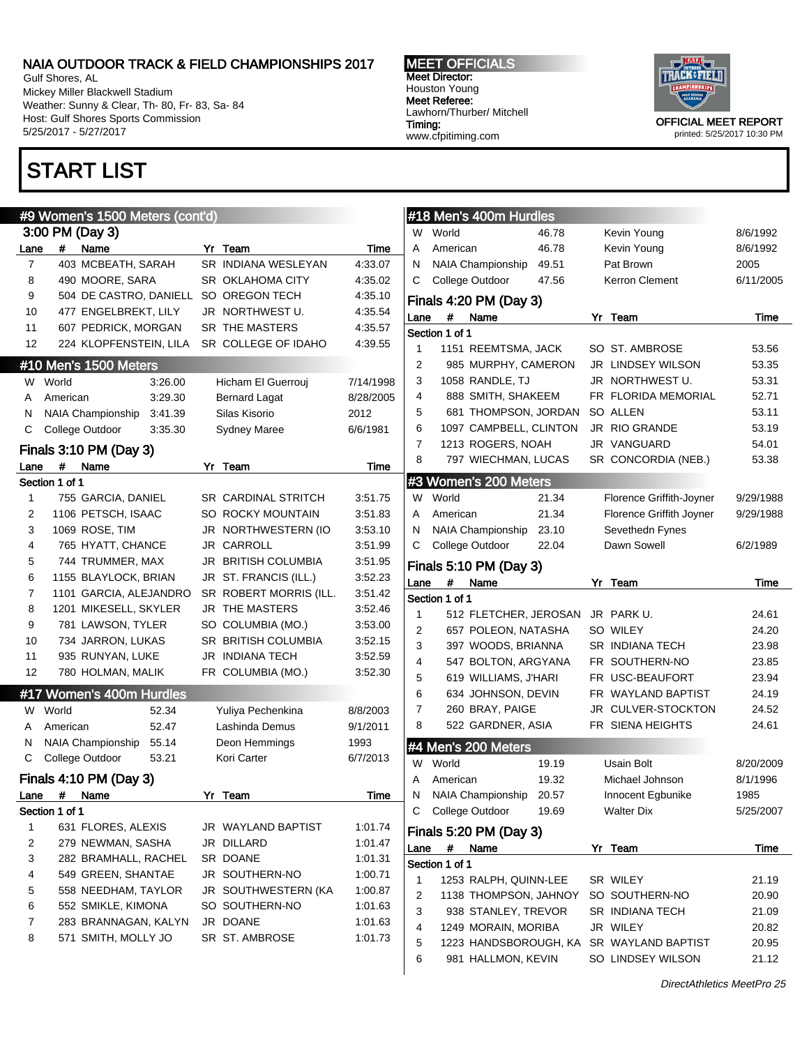Gulf Shores, AL Mickey Miller Blackwell Stadium Weather: Sunny & Clear, Th- 80, Fr- 83, Sa- 84 Host: Gulf Shores Sports Commission 5/25/2017 - 5/27/2017

### START LIST

#### #9 Women's 1500 Meters (cont'd) 3:00 PM (Day 3) Lane # Name Yr Team Time 7 403 MCBEATH, SARAH SR INDIANA WESLEYAN 4:33.07 8 490 MOORE, SARA SR OKLAHOMA CITY 4:35.02 9 504 DE CASTRO, DANIELL SO OREGON TECH 4:35.10 10 477 ENGELBREKT, LILY JR NORTHWEST U. 4:35.54 11 607 PEDRICK, MORGAN SR THE MASTERS 4:35.57 12 224 KLOPFENSTEIN, LILA SR COLLEGE OF IDAHO 4:39.55 #10 Men's 1500 Meters W World 3:26.00 Hicham El Guerrouj 7/14/1998 A American 3:29.30 Bernard Lagat 8/28/2005 N NAIA Championship 3:41.39 Silas Kisorio 2012 C College Outdoor 3:35.30 Sydney Maree 6/6/1981 Finals 3:10 PM (Day 3) Lane # Name Yr Team Time Section 1 of 1 1 755 GARCIA, DANIEL SR CARDINAL STRITCH 3:51.75 2 1106 PETSCH, ISAAC SO ROCKY MOUNTAIN 3:51.83 3 1069 ROSE, TIM JR NORTHWESTERN (IO 3:53.10 4 765 HYATT, CHANCE JR CARROLL 3:51.99 5 744 TRUMMER, MAX JR BRITISH COLUMBIA 3:51.95 6 1155 BLAYLOCK, BRIAN JR ST. FRANCIS (ILL.) 3:52.23 7 1101 GARCIA, ALEJANDRO SR ROBERT MORRIS (ILL. 3:51.42 8 1201 MIKESELL, SKYLER JR THE MASTERS 3:52.46 9 781 LAWSON, TYLER SO COLUMBIA (MO.) 3:53.00 10 734 JARRON, LUKAS SR BRITISH COLUMBIA 3:52.15 11 935 RUNYAN, LUKE JR INDIANA TECH 3:52.59 12 780 HOLMAN, MALIK FR COLUMBIA (MO.) 3:52.30 #17 Women's 400m Hurdles W World 52.34 Yuliya Pechenkina 8/8/2003 A American 52.47 Lashinda Demus 9/1/2011 N NAIA Championship 55.14 Deon Hemmings 1993 C College Outdoor 53.21 Kori Carter 6/7/2013 Finals 4:10 PM (Day 3) Lane # Name Yr Team Time Section 1 of 1 1 631 FLORES, ALEXIS JR WAYLAND BAPTIST 1:01.74 2 279 NEWMAN, SASHA JR DILLARD 1:01.47 3 282 BRAMHALL, RACHEL SR DOANE 1:01.31 4 549 GREEN, SHANTAE JR SOUTHERN-NO 1:00.71 5 558 NEEDHAM, TAYLOR JR SOUTHWESTERN (KA 1:00.87 6 552 SMIKLE, KIMONA SO SOUTHERN-NO 1:01.63 7 283 BRANNAGAN, KALYN JR DOANE 1:01.63 8 571 SMITH, MOLLY JO SR ST. AMBROSE 1:01.73 Section 1 of 1 Section 1 of 1 #4 Men's 200 Meters Section 1 of 1

MEET OFFICIALS Meet Director: Houston Young Meet Referee:

Lawhorn/Thurber/ Mitchell

www.cfpitiming.com

Timing:

OFFICIAL MEET REPORT printed: 5/25/2017 10:30 PM

| #18 Men's 400m Hurdles |                |                         |       |    |                          |           |  |  |
|------------------------|----------------|-------------------------|-------|----|--------------------------|-----------|--|--|
| W                      | World          |                         | 46.78 |    | Kevin Young              | 8/6/1992  |  |  |
| A                      | American       |                         | 46.78 |    | Kevin Young              | 8/6/1992  |  |  |
| Ν                      |                | NAIA Championship       | 49.51 |    | Pat Brown                | 2005      |  |  |
| С                      |                | College Outdoor         | 47.56 |    | <b>Kerron Clement</b>    | 6/11/2005 |  |  |
|                        |                | Finals 4:20 PM (Day 3)  |       |    |                          |           |  |  |
| Lane                   | #              | Name                    |       | Yr | Team                     | Time      |  |  |
|                        | Section 1 of 1 |                         |       |    |                          |           |  |  |
| 1                      |                | 1151 REEMTSMA, JACK     |       |    | SO ST. AMBROSE           | 53.56     |  |  |
| 2                      |                | 985 MURPHY, CAMERON     |       |    | JR LINDSEY WILSON        | 53.35     |  |  |
| 3                      |                | 1058 RANDLE, TJ         |       |    | JR NORTHWEST U.          | 53.31     |  |  |
| 4                      |                | 888 SMITH, SHAKEEM      |       |    | FR FLORIDA MEMORIAL      | 52.71     |  |  |
| 5                      |                | 681 THOMPSON, JORDAN    |       |    | SO ALLEN                 | 53.11     |  |  |
| 6                      |                | 1097 CAMPBELL, CLINTON  |       |    | JR RIO GRANDE            | 53.19     |  |  |
| 7                      |                | 1213 ROGERS, NOAH       |       |    | JR VANGUARD              | 54.01     |  |  |
| 8                      |                | 797 WIECHMAN, LUCAS     |       |    | SR CONCORDIA (NEB.)      | 53.38     |  |  |
|                        |                | #3 Women's 200 Meters   |       |    |                          |           |  |  |
| W                      | World          |                         | 21.34 |    | Florence Griffith-Joyner | 9/29/1988 |  |  |
| A                      | American       |                         | 21.34 |    | Florence Griffith Joyner | 9/29/1988 |  |  |
| N                      |                | NAIA Championship       | 23.10 |    | Sevethedn Fynes          |           |  |  |
| С                      |                | College Outdoor         | 22.04 |    | Dawn Sowell              | 6/2/1989  |  |  |
|                        |                | Finals 5:10 PM (Day 3)  |       |    |                          |           |  |  |
| Lane                   | #              | Name                    |       | Yr | Team                     | Time      |  |  |
|                        | Section 1 of 1 |                         |       |    |                          |           |  |  |
| 1                      |                | 512 FLETCHER, JEROSAN   |       |    | JR PARK U.               | 24.61     |  |  |
| 2                      |                | 657 POLEON, NATASHA     |       |    | SO WILEY                 | 24.20     |  |  |
| 3                      |                | 397 WOODS, BRIANNA      |       |    | SR INDIANA TECH          | 23.98     |  |  |
| 4                      |                | 547 BOLTON, ARGYANA     |       |    | FR SOUTHERN-NO           | 23.85     |  |  |
| 5                      |                | 619 WILLIAMS, J'HARI    |       |    | FR USC-BEAUFORT          | 23.94     |  |  |
| 6                      |                | 634 JOHNSON, DEVIN      |       |    | FR WAYLAND BAPTIST       | 24.19     |  |  |
| 7                      |                | 260 BRAY, PAIGE         |       |    | JR CULVER-STOCKTON       | 24.52     |  |  |
| 8                      |                | 522 GARDNER, ASIA       |       |    | FR SIENA HEIGHTS         | 24.61     |  |  |
|                        |                | #4 Men's 200 Meters     |       |    |                          |           |  |  |
| W                      | World          |                         | 19.19 |    | Usain Bolt               | 8/20/2009 |  |  |
| A                      | American       |                         | 19.32 |    | Michael Johnson          | 8/1/1996  |  |  |
| N                      |                | NAIA Championship 20.57 |       |    | Innocent Egbunike        | 1985      |  |  |
| С                      |                | College Outdoor         | 19.69 |    | <b>Walter Dix</b>        | 5/25/2007 |  |  |
|                        |                | Finals 5:20 PM (Day 3)  |       |    |                          |           |  |  |
| Lane                   | #              | Name                    |       |    | Yr Team                  | Time      |  |  |
|                        | Section 1 of 1 |                         |       |    |                          |           |  |  |
| 1                      |                | 1253 RALPH, QUINN-LEE   |       |    | SR WILEY                 | 21.19     |  |  |
| 2                      |                | 1138 THOMPSON, JAHNOY   |       |    | SO SOUTHERN-NO           | 20.90     |  |  |
| 3                      |                | 938 STANLEY, TREVOR     |       |    | SR INDIANA TECH          | 21.09     |  |  |
| 4                      |                | 1249 MORAIN, MORIBA     |       |    | JR WILEY                 | 20.82     |  |  |
| 5                      |                | 1223 HANDSBOROUGH, KA   |       |    | SR WAYLAND BAPTIST       | 20.95     |  |  |
|                        |                | 981 HALLMON, KEVIN      |       |    | SO LINDSEY WILSON        | 21.12     |  |  |